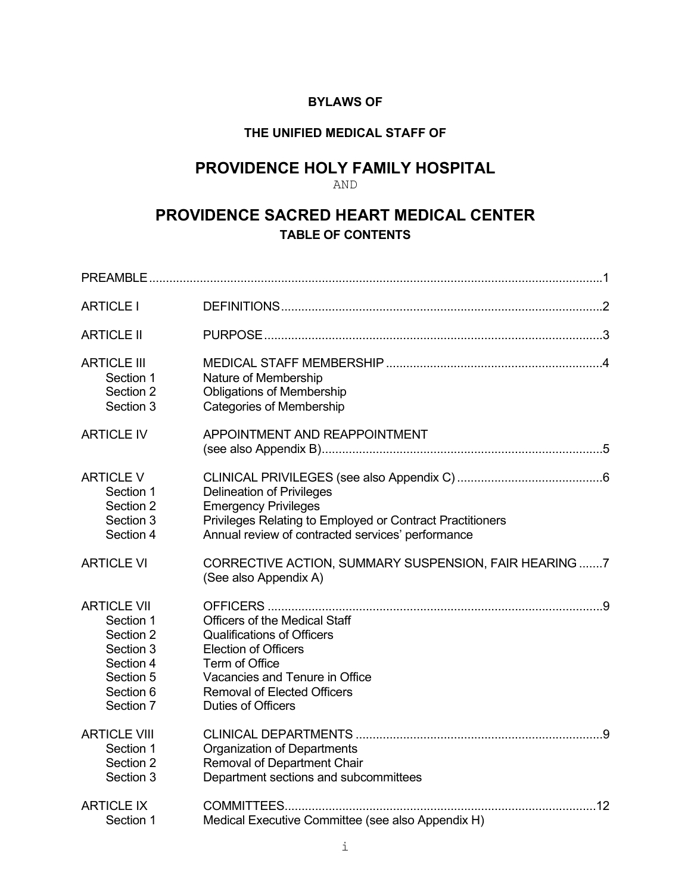# **BYLAWS OF**

# **THE UNIFIED MEDICAL STAFF OF**

# **PROVIDENCE HOLY FAMILY HOSPITAL**

# AND

# **PROVIDENCE SACRED HEART MEDICAL CENTER TABLE OF CONTENTS**

| <b>ARTICLE I</b>                                                                                              |                                                                                                                                                                                                                                 |  |
|---------------------------------------------------------------------------------------------------------------|---------------------------------------------------------------------------------------------------------------------------------------------------------------------------------------------------------------------------------|--|
| <b>ARTICLE II</b>                                                                                             |                                                                                                                                                                                                                                 |  |
| <b>ARTICLE III</b><br>Section 1<br>Section 2<br>Section 3                                                     | Nature of Membership<br><b>Obligations of Membership</b><br><b>Categories of Membership</b>                                                                                                                                     |  |
| <b>ARTICLE IV</b>                                                                                             | APPOINTMENT AND REAPPOINTMENT                                                                                                                                                                                                   |  |
| <b>ARTICLE V</b><br>Section 1<br>Section 2<br>Section 3<br>Section 4                                          | <b>Delineation of Privileges</b><br><b>Emergency Privileges</b><br>Privileges Relating to Employed or Contract Practitioners<br>Annual review of contracted services' performance                                               |  |
| <b>ARTICLE VI</b>                                                                                             | CORRECTIVE ACTION, SUMMARY SUSPENSION, FAIR HEARING 7<br>(See also Appendix A)                                                                                                                                                  |  |
| <b>ARTICLE VII</b><br>Section 1<br>Section 2<br>Section 3<br>Section 4<br>Section 5<br>Section 6<br>Section 7 | <b>Officers of the Medical Staff</b><br><b>Qualifications of Officers</b><br><b>Election of Officers</b><br>Term of Office<br>Vacancies and Tenure in Office<br><b>Removal of Elected Officers</b><br><b>Duties of Officers</b> |  |
| <b>ARTICLE VIII</b><br>Section 1<br>Section 2<br>Section 3                                                    | <b>Organization of Departments</b><br><b>Removal of Department Chair</b><br>Department sections and subcommittees                                                                                                               |  |
| <b>ARTICLE IX</b><br>Section 1                                                                                | Medical Executive Committee (see also Appendix H)                                                                                                                                                                               |  |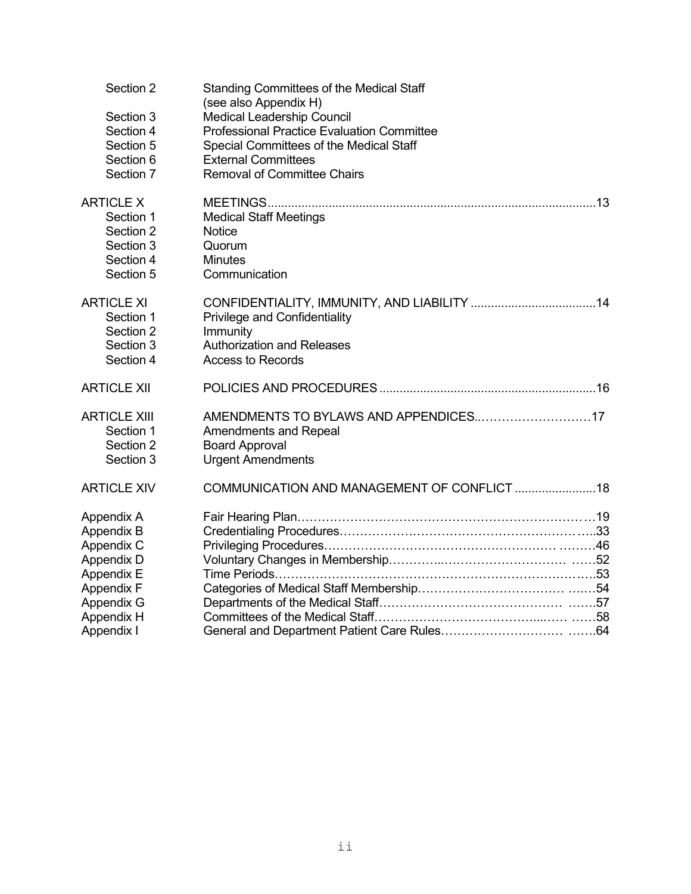| Section 2           | Standing Committees of the Medical Staff<br>(see also Appendix H) |
|---------------------|-------------------------------------------------------------------|
| Section 3           | <b>Medical Leadership Council</b>                                 |
| Section 4           | <b>Professional Practice Evaluation Committee</b>                 |
| Section 5           | Special Committees of the Medical Staff                           |
| Section 6           | <b>External Committees</b>                                        |
| Section 7           | <b>Removal of Committee Chairs</b>                                |
|                     |                                                                   |
| <b>ARTICLE X</b>    |                                                                   |
| Section 1           | <b>Medical Staff Meetings</b>                                     |
| Section 2           | Notice                                                            |
| Section 3           | Quorum                                                            |
| Section 4           | <b>Minutes</b>                                                    |
| Section 5           | Communication                                                     |
| <b>ARTICLE XI</b>   |                                                                   |
| Section 1           | <b>Privilege and Confidentiality</b>                              |
| Section 2           | Immunity                                                          |
| Section 3           | <b>Authorization and Releases</b>                                 |
| Section 4           | <b>Access to Records</b>                                          |
|                     |                                                                   |
| <b>ARTICLE XII</b>  |                                                                   |
| <b>ARTICLE XIII</b> | AMENDMENTS TO BYLAWS AND APPENDICES17                             |
| Section 1           | <b>Amendments and Repeal</b>                                      |
| Section 2           | <b>Board Approval</b>                                             |
| Section 3           | <b>Urgent Amendments</b>                                          |
| <b>ARTICLE XIV</b>  | COMMUNICATION AND MANAGEMENT OF CONFLICT 18                       |
| Appendix A          |                                                                   |
| Appendix B          |                                                                   |
| Appendix C          |                                                                   |
| Appendix D          |                                                                   |
| Appendix E          |                                                                   |
| <b>Appendix F</b>   |                                                                   |
| <b>Appendix G</b>   |                                                                   |
| Appendix H          |                                                                   |
| Appendix I          |                                                                   |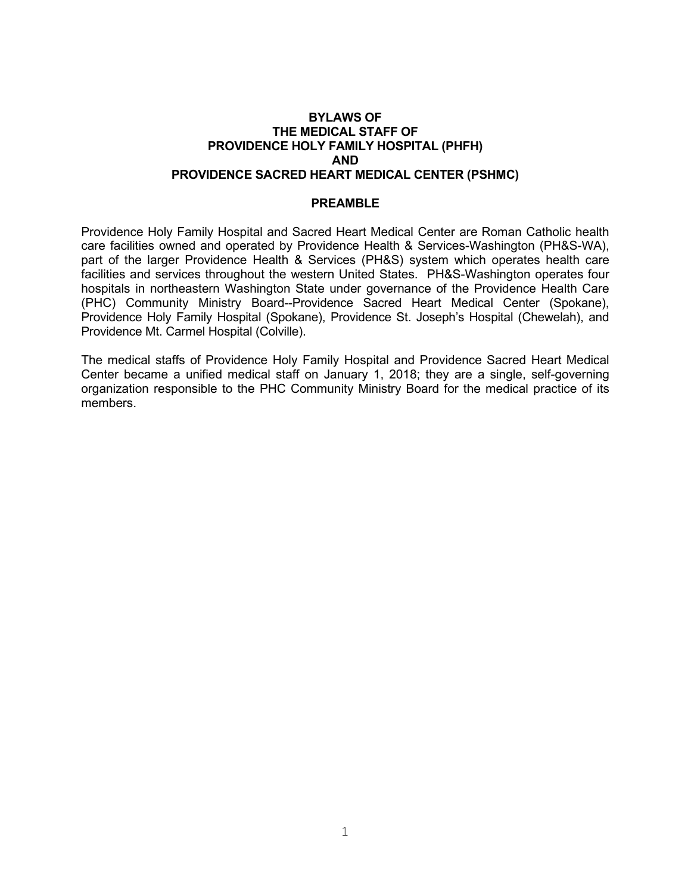#### **BYLAWS OF THE MEDICAL STAFF OF PROVIDENCE HOLY FAMILY HOSPITAL (PHFH) AND PROVIDENCE SACRED HEART MEDICAL CENTER (PSHMC)**

#### **PREAMBLE**

Providence Holy Family Hospital and Sacred Heart Medical Center are Roman Catholic health care facilities owned and operated by Providence Health & Services-Washington (PH&S-WA), part of the larger Providence Health & Services (PH&S) system which operates health care facilities and services throughout the western United States. PH&S-Washington operates four hospitals in northeastern Washington State under governance of the Providence Health Care (PHC) Community Ministry Board--Providence Sacred Heart Medical Center (Spokane), Providence Holy Family Hospital (Spokane), Providence St. Joseph's Hospital (Chewelah), and Providence Mt. Carmel Hospital (Colville).

The medical staffs of Providence Holy Family Hospital and Providence Sacred Heart Medical Center became a unified medical staff on January 1, 2018; they are a single, self-governing organization responsible to the PHC Community Ministry Board for the medical practice of its members.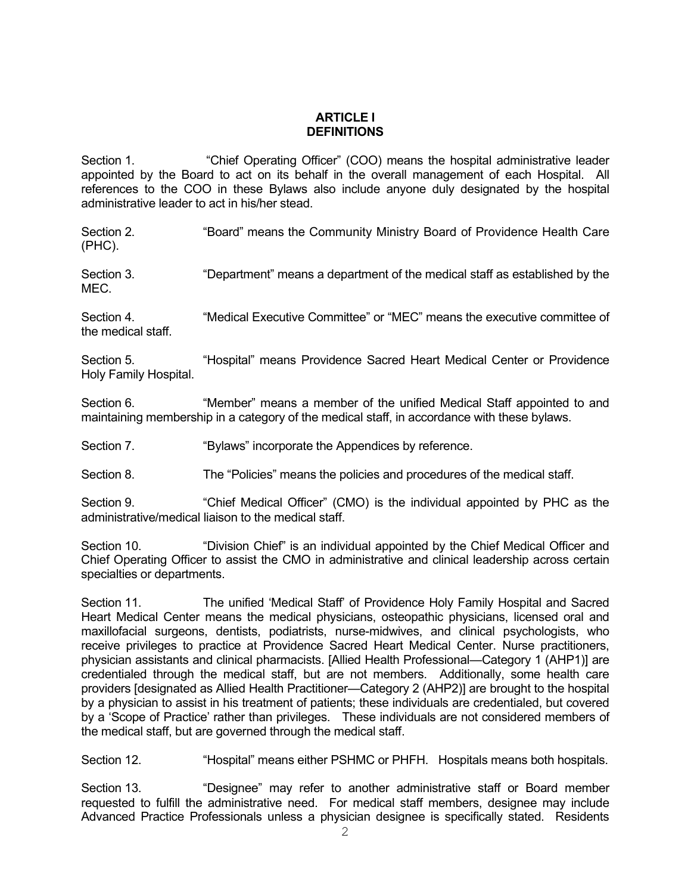# **ARTICLE I DEFINITIONS**

Section 1. "Chief Operating Officer" (COO) means the hospital administrative leader appointed by the Board to act on its behalf in the overall management of each Hospital. All references to the COO in these Bylaws also include anyone duly designated by the hospital administrative leader to act in his/her stead.

Section 2. "Board" means the Community Ministry Board of Providence Health Care (PHC).

Section 3. "Department" means a department of the medical staff as established by the MEC.

Section 4. "Medical Executive Committee" or "MEC" means the executive committee of the medical staff.

Section 5. "Hospital" means Providence Sacred Heart Medical Center or Providence Holy Family Hospital.

Section 6. ""Member" means a member of the unified Medical Staff appointed to and maintaining membership in a category of the medical staff, in accordance with these bylaws.

Section 7. "Bylaws" incorporate the Appendices by reference.

Section 8. The "Policies" means the policies and procedures of the medical staff.

Section 9. "Chief Medical Officer" (CMO) is the individual appointed by PHC as the administrative/medical liaison to the medical staff.

Section 10. "Division Chief" is an individual appointed by the Chief Medical Officer and Chief Operating Officer to assist the CMO in administrative and clinical leadership across certain specialties or departments.

Section 11. The unified 'Medical Staff' of Providence Holy Family Hospital and Sacred Heart Medical Center means the medical physicians, osteopathic physicians, licensed oral and maxillofacial surgeons, dentists, podiatrists, nurse-midwives, and clinical psychologists, who receive privileges to practice at Providence Sacred Heart Medical Center. Nurse practitioners, physician assistants and clinical pharmacists. [Allied Health Professional—Category 1 (AHP1)] are credentialed through the medical staff, but are not members. Additionally, some health care providers [designated as Allied Health Practitioner—Category 2 (AHP2)] are brought to the hospital by a physician to assist in his treatment of patients; these individuals are credentialed, but covered by a 'Scope of Practice' rather than privileges. These individuals are not considered members of the medical staff, but are governed through the medical staff.

Section 12. "Hospital" means either PSHMC or PHFH. Hospitals means both hospitals.

Section 13. "Designee" may refer to another administrative staff or Board member requested to fulfill the administrative need. For medical staff members, designee may include Advanced Practice Professionals unless a physician designee is specifically stated. Residents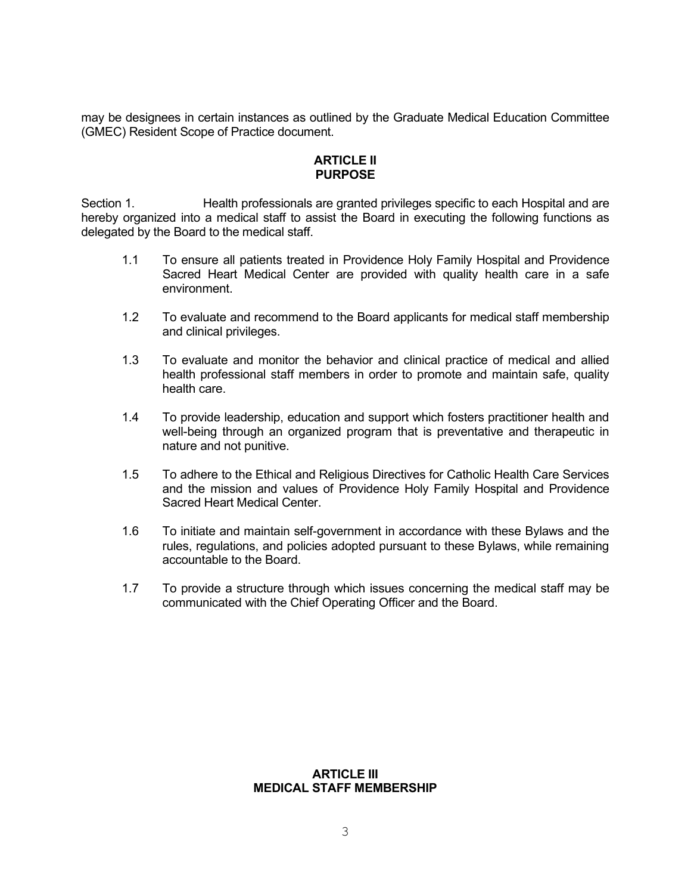may be designees in certain instances as outlined by the Graduate Medical Education Committee (GMEC) Resident Scope of Practice document.

# **ARTICLE II PURPOSE**

Section 1. **Health professionals are granted privileges specific to each Hospital and are** hereby organized into a medical staff to assist the Board in executing the following functions as delegated by the Board to the medical staff.

- 1.1 To ensure all patients treated in Providence Holy Family Hospital and Providence Sacred Heart Medical Center are provided with quality health care in a safe environment.
- 1.2 To evaluate and recommend to the Board applicants for medical staff membership and clinical privileges.
- 1.3 To evaluate and monitor the behavior and clinical practice of medical and allied health professional staff members in order to promote and maintain safe, quality health care.
- 1.4 To provide leadership, education and support which fosters practitioner health and well-being through an organized program that is preventative and therapeutic in nature and not punitive.
- 1.5 To adhere to the Ethical and Religious Directives for Catholic Health Care Services and the mission and values of Providence Holy Family Hospital and Providence Sacred Heart Medical Center.
- 1.6 To initiate and maintain self-government in accordance with these Bylaws and the rules, regulations, and policies adopted pursuant to these Bylaws, while remaining accountable to the Board.
- 1.7 To provide a structure through which issues concerning the medical staff may be communicated with the Chief Operating Officer and the Board.

#### **ARTICLE III MEDICAL STAFF MEMBERSHIP**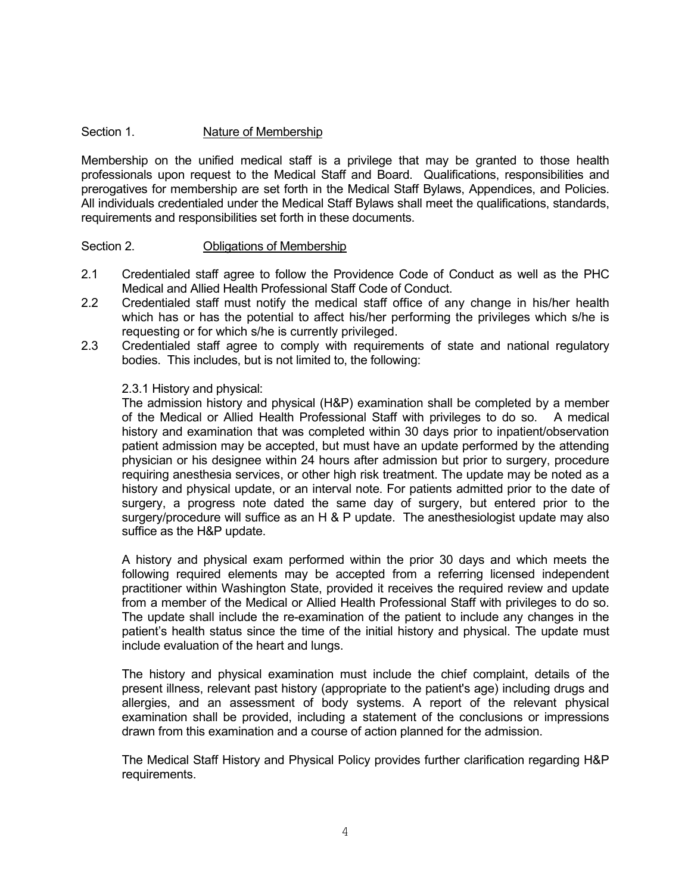# Section 1. Nature of Membership

Membership on the unified medical staff is a privilege that may be granted to those health professionals upon request to the Medical Staff and Board. Qualifications, responsibilities and prerogatives for membership are set forth in the Medical Staff Bylaws, Appendices, and Policies. All individuals credentialed under the Medical Staff Bylaws shall meet the qualifications, standards, requirements and responsibilities set forth in these documents.

#### Section 2. **Obligations of Membership**

- 2.1 Credentialed staff agree to follow the Providence Code of Conduct as well as the PHC Medical and Allied Health Professional Staff Code of Conduct.
- 2.2 Credentialed staff must notify the medical staff office of any change in his/her health which has or has the potential to affect his/her performing the privileges which s/he is requesting or for which s/he is currently privileged.
- 2.3 Credentialed staff agree to comply with requirements of state and national regulatory bodies. This includes, but is not limited to, the following:

#### 2.3.1 History and physical:

The admission history and physical (H&P) examination shall be completed by a member of the Medical or Allied Health Professional Staff with privileges to do so. A medical history and examination that was completed within 30 days prior to inpatient/observation patient admission may be accepted, but must have an update performed by the attending physician or his designee within 24 hours after admission but prior to surgery, procedure requiring anesthesia services, or other high risk treatment. The update may be noted as a history and physical update, or an interval note. For patients admitted prior to the date of surgery, a progress note dated the same day of surgery, but entered prior to the surgery/procedure will suffice as an H & P update. The anesthesiologist update may also suffice as the H&P update.

A history and physical exam performed within the prior 30 days and which meets the following required elements may be accepted from a referring licensed independent practitioner within Washington State, provided it receives the required review and update from a member of the Medical or Allied Health Professional Staff with privileges to do so. The update shall include the re-examination of the patient to include any changes in the patient's health status since the time of the initial history and physical. The update must include evaluation of the heart and lungs.

The history and physical examination must include the chief complaint, details of the present illness, relevant past history (appropriate to the patient's age) including drugs and allergies, and an assessment of body systems. A report of the relevant physical examination shall be provided, including a statement of the conclusions or impressions drawn from this examination and a course of action planned for the admission.

The Medical Staff History and Physical Policy provides further clarification regarding H&P requirements.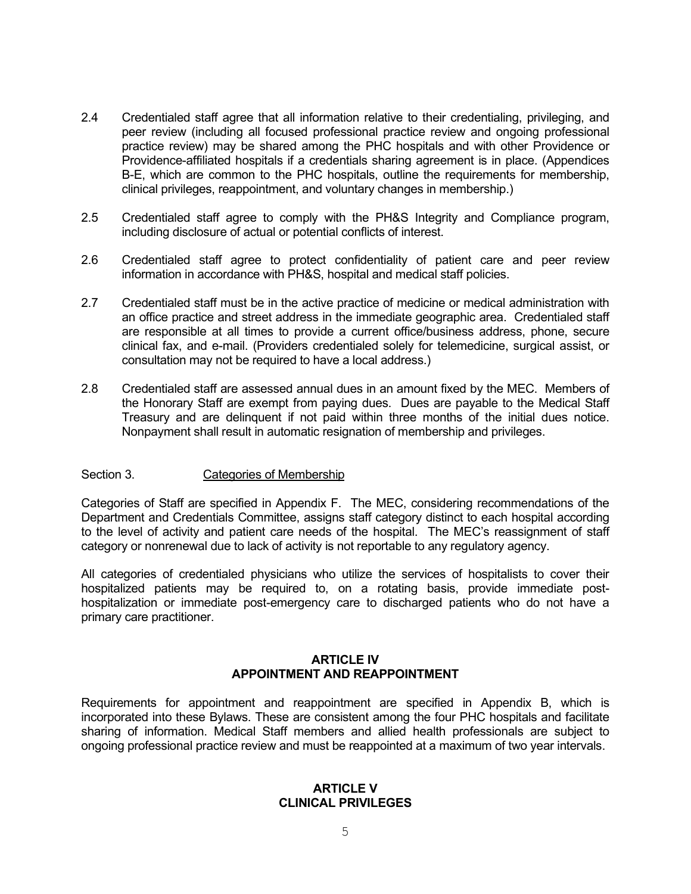- 2.4 Credentialed staff agree that all information relative to their credentialing, privileging, and peer review (including all focused professional practice review and ongoing professional practice review) may be shared among the PHC hospitals and with other Providence or Providence-affiliated hospitals if a credentials sharing agreement is in place. (Appendices B-E, which are common to the PHC hospitals, outline the requirements for membership, clinical privileges, reappointment, and voluntary changes in membership.)
- 2.5 Credentialed staff agree to comply with the PH&S Integrity and Compliance program, including disclosure of actual or potential conflicts of interest.
- 2.6 Credentialed staff agree to protect confidentiality of patient care and peer review information in accordance with PH&S, hospital and medical staff policies.
- 2.7 Credentialed staff must be in the active practice of medicine or medical administration with an office practice and street address in the immediate geographic area. Credentialed staff are responsible at all times to provide a current office/business address, phone, secure clinical fax, and e-mail. (Providers credentialed solely for telemedicine, surgical assist, or consultation may not be required to have a local address.)
- 2.8 Credentialed staff are assessed annual dues in an amount fixed by the MEC. Members of the Honorary Staff are exempt from paying dues. Dues are payable to the Medical Staff Treasury and are delinquent if not paid within three months of the initial dues notice. Nonpayment shall result in automatic resignation of membership and privileges.

#### Section 3. Categories of Membership

Categories of Staff are specified in Appendix F. The MEC, considering recommendations of the Department and Credentials Committee, assigns staff category distinct to each hospital according to the level of activity and patient care needs of the hospital. The MEC's reassignment of staff category or nonrenewal due to lack of activity is not reportable to any regulatory agency.

All categories of credentialed physicians who utilize the services of hospitalists to cover their hospitalized patients may be required to, on a rotating basis, provide immediate posthospitalization or immediate post-emergency care to discharged patients who do not have a primary care practitioner.

#### **ARTICLE IV APPOINTMENT AND REAPPOINTMENT**

Requirements for appointment and reappointment are specified in Appendix B, which is incorporated into these Bylaws. These are consistent among the four PHC hospitals and facilitate sharing of information. Medical Staff members and allied health professionals are subject to ongoing professional practice review and must be reappointed at a maximum of two year intervals.

#### **ARTICLE V CLINICAL PRIVILEGES**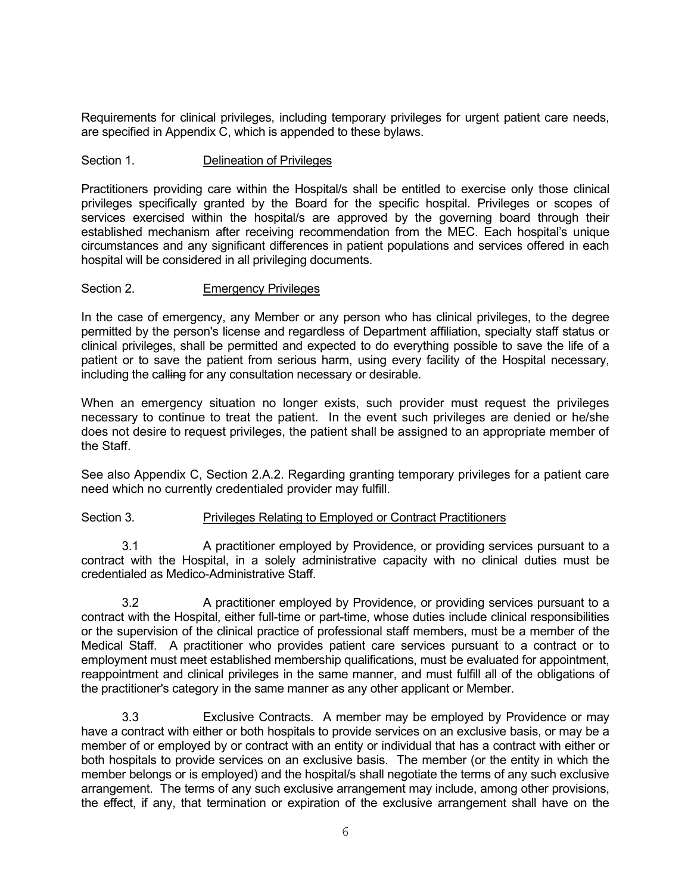Requirements for clinical privileges, including temporary privileges for urgent patient care needs, are specified in Appendix C, which is appended to these bylaws.

## Section 1. **Delineation of Privileges**

Practitioners providing care within the Hospital/s shall be entitled to exercise only those clinical privileges specifically granted by the Board for the specific hospital. Privileges or scopes of services exercised within the hospital/s are approved by the governing board through their established mechanism after receiving recommendation from the MEC. Each hospital's unique circumstances and any significant differences in patient populations and services offered in each hospital will be considered in all privileging documents.

#### Section 2. Emergency Privileges

In the case of emergency, any Member or any person who has clinical privileges, to the degree permitted by the person's license and regardless of Department affiliation, specialty staff status or clinical privileges, shall be permitted and expected to do everything possible to save the life of a patient or to save the patient from serious harm, using every facility of the Hospital necessary, including the calling for any consultation necessary or desirable.

When an emergency situation no longer exists, such provider must request the privileges necessary to continue to treat the patient. In the event such privileges are denied or he/she does not desire to request privileges, the patient shall be assigned to an appropriate member of the Staff.

See also Appendix C, Section 2.A.2. Regarding granting temporary privileges for a patient care need which no currently credentialed provider may fulfill.

#### Section 3. Privileges Relating to Employed or Contract Practitioners

3.1 A practitioner employed by Providence, or providing services pursuant to a contract with the Hospital, in a solely administrative capacity with no clinical duties must be credentialed as Medico-Administrative Staff.

3.2 A practitioner employed by Providence, or providing services pursuant to a contract with the Hospital, either full-time or part-time, whose duties include clinical responsibilities or the supervision of the clinical practice of professional staff members, must be a member of the Medical Staff. A practitioner who provides patient care services pursuant to a contract or to employment must meet established membership qualifications, must be evaluated for appointment, reappointment and clinical privileges in the same manner, and must fulfill all of the obligations of the practitioner's category in the same manner as any other applicant or Member.

3.3 Exclusive Contracts. A member may be employed by Providence or may have a contract with either or both hospitals to provide services on an exclusive basis, or may be a member of or employed by or contract with an entity or individual that has a contract with either or both hospitals to provide services on an exclusive basis. The member (or the entity in which the member belongs or is employed) and the hospital/s shall negotiate the terms of any such exclusive arrangement. The terms of any such exclusive arrangement may include, among other provisions, the effect, if any, that termination or expiration of the exclusive arrangement shall have on the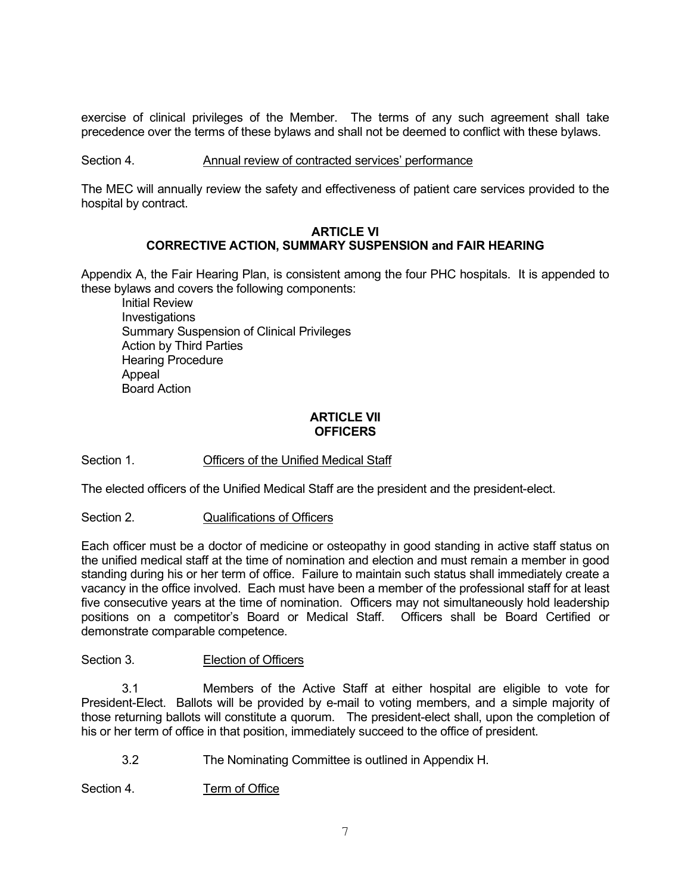exercise of clinical privileges of the Member. The terms of any such agreement shall take precedence over the terms of these bylaws and shall not be deemed to conflict with these bylaws.

#### Section 4. Annual review of contracted services' performance

The MEC will annually review the safety and effectiveness of patient care services provided to the hospital by contract.

#### **ARTICLE VI CORRECTIVE ACTION, SUMMARY SUSPENSION and FAIR HEARING**

Appendix A, the Fair Hearing Plan, is consistent among the four PHC hospitals. It is appended to these bylaws and covers the following components:

Initial Review Investigations Summary Suspension of Clinical Privileges Action by Third Parties Hearing Procedure Appeal Board Action

## **ARTICLE VII OFFICERS**

Section 1. Officers of the Unified Medical Staff

The elected officers of the Unified Medical Staff are the president and the president-elect.

Section 2. **Qualifications of Officers** 

Each officer must be a doctor of medicine or osteopathy in good standing in active staff status on the unified medical staff at the time of nomination and election and must remain a member in good standing during his or her term of office. Failure to maintain such status shall immediately create a vacancy in the office involved. Each must have been a member of the professional staff for at least five consecutive years at the time of nomination. Officers may not simultaneously hold leadership positions on a competitor's Board or Medical Staff. Officers shall be Board Certified or demonstrate comparable competence.

#### Section 3. **Election of Officers**

3.1 Members of the Active Staff at either hospital are eligible to vote for President-Elect. Ballots will be provided by e-mail to voting members, and a simple majority of those returning ballots will constitute a quorum. The president-elect shall, upon the completion of his or her term of office in that position, immediately succeed to the office of president.

3.2 The Nominating Committee is outlined in Appendix H.

Section 4. Term of Office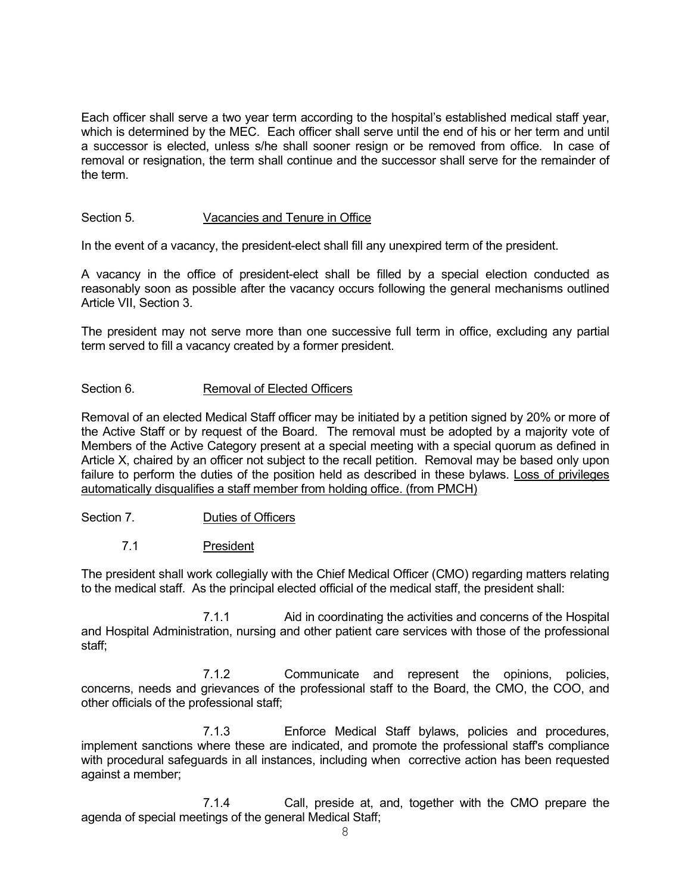Each officer shall serve a two year term according to the hospital's established medical staff year, which is determined by the MEC. Each officer shall serve until the end of his or her term and until a successor is elected, unless s/he shall sooner resign or be removed from office. In case of removal or resignation, the term shall continue and the successor shall serve for the remainder of the term.

# Section 5. Vacancies and Tenure in Office

In the event of a vacancy, the president-elect shall fill any unexpired term of the president.

A vacancy in the office of president-elect shall be filled by a special election conducted as reasonably soon as possible after the vacancy occurs following the general mechanisms outlined Article VII, Section 3.

The president may not serve more than one successive full term in office, excluding any partial term served to fill a vacancy created by a former president.

#### Section 6. Removal of Elected Officers

Removal of an elected Medical Staff officer may be initiated by a petition signed by 20% or more of the Active Staff or by request of the Board. The removal must be adopted by a majority vote of Members of the Active Category present at a special meeting with a special quorum as defined in Article X, chaired by an officer not subject to the recall petition. Removal may be based only upon failure to perform the duties of the position held as described in these bylaws. Loss of privileges automatically disqualifies a staff member from holding office. (from PMCH)

# Section 7. Duties of Officers

# 7.1 President

The president shall work collegially with the Chief Medical Officer (CMO) regarding matters relating to the medical staff. As the principal elected official of the medical staff, the president shall:

7.1.1 Aid in coordinating the activities and concerns of the Hospital and Hospital Administration, nursing and other patient care services with those of the professional staff;

7.1.2 Communicate and represent the opinions, policies, concerns, needs and grievances of the professional staff to the Board, the CMO, the COO, and other officials of the professional staff;

7.1.3 Enforce Medical Staff bylaws, policies and procedures, implement sanctions where these are indicated, and promote the professional staff's compliance with procedural safeguards in all instances, including when corrective action has been requested against a member;

7.1.4 Call, preside at, and, together with the CMO prepare the agenda of special meetings of the general Medical Staff;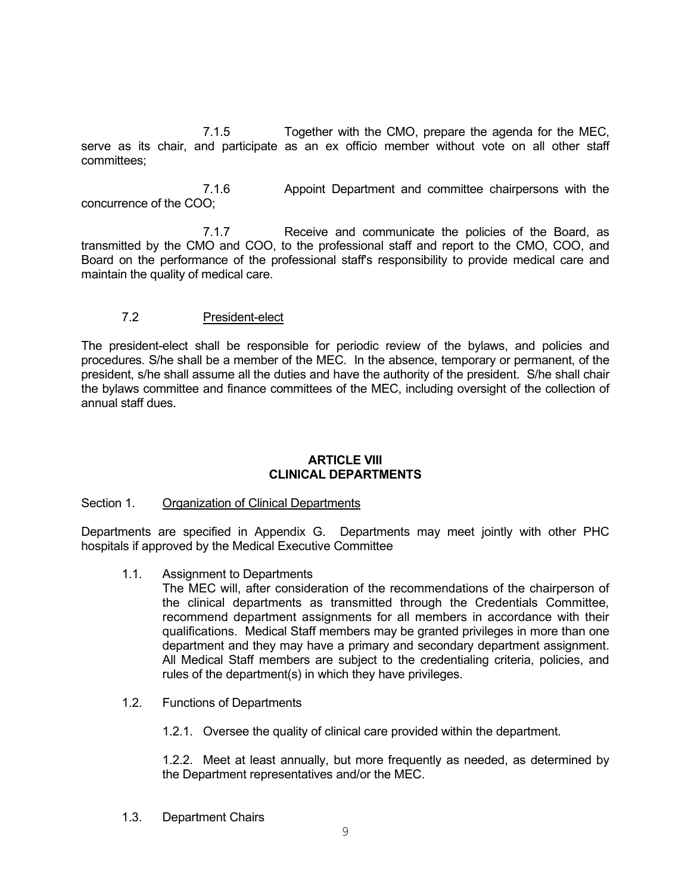7.1.5 Together with the CMO, prepare the agenda for the MEC, serve as its chair, and participate as an ex officio member without vote on all other staff committees;

7.1.6 Appoint Department and committee chairpersons with the concurrence of the COO;

7.1.7 Receive and communicate the policies of the Board, as transmitted by the CMO and COO, to the professional staff and report to the CMO, COO, and Board on the performance of the professional staff's responsibility to provide medical care and maintain the quality of medical care.

# 7.2 President-elect

The president-elect shall be responsible for periodic review of the bylaws, and policies and procedures. S/he shall be a member of the MEC. In the absence, temporary or permanent, of the president, s/he shall assume all the duties and have the authority of the president. S/he shall chair the bylaws committee and finance committees of the MEC, including oversight of the collection of annual staff dues.

#### **ARTICLE VIII CLINICAL DEPARTMENTS**

#### Section 1. Organization of Clinical Departments

Departments are specified in Appendix G. Departments may meet jointly with other PHC hospitals if approved by the Medical Executive Committee

1.1. Assignment to Departments

The MEC will, after consideration of the recommendations of the chairperson of the clinical departments as transmitted through the Credentials Committee, recommend department assignments for all members in accordance with their qualifications. Medical Staff members may be granted privileges in more than one department and they may have a primary and secondary department assignment. All Medical Staff members are subject to the credentialing criteria, policies, and rules of the department(s) in which they have privileges.

- 1.2. Functions of Departments
	- 1.2.1. Oversee the quality of clinical care provided within the department.

1.2.2. Meet at least annually, but more frequently as needed, as determined by the Department representatives and/or the MEC.

1.3. Department Chairs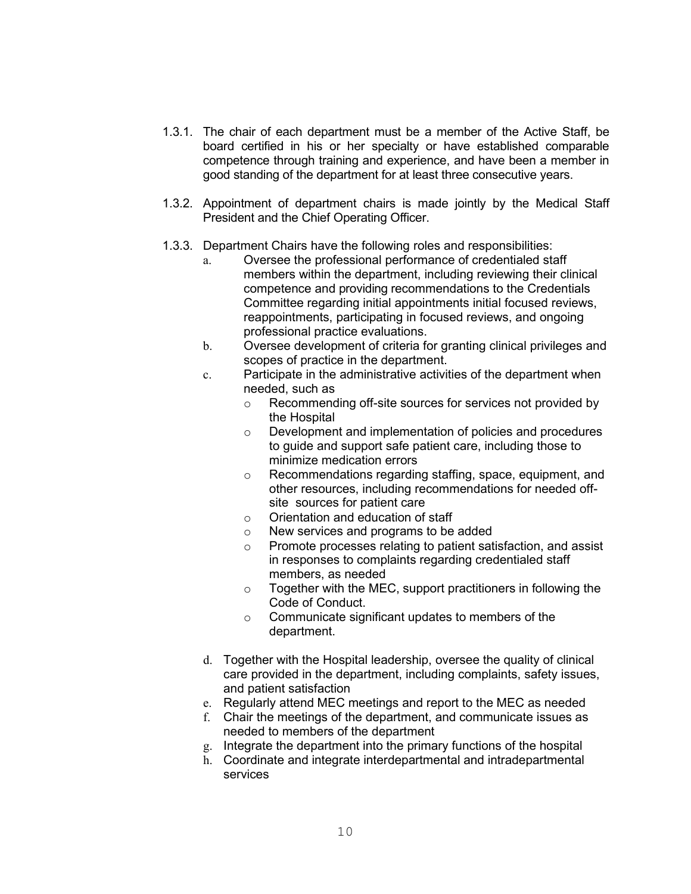- 1.3.1. The chair of each department must be a member of the Active Staff, be board certified in his or her specialty or have established comparable competence through training and experience, and have been a member in good standing of the department for at least three consecutive years.
- 1.3.2. Appointment of department chairs is made jointly by the Medical Staff President and the Chief Operating Officer.
- 1.3.3. Department Chairs have the following roles and responsibilities:
	- a. Oversee the professional performance of credentialed staff members within the department, including reviewing their clinical competence and providing recommendations to the Credentials Committee regarding initial appointments initial focused reviews, reappointments, participating in focused reviews, and ongoing professional practice evaluations.
	- b. Oversee development of criteria for granting clinical privileges and scopes of practice in the department.
	- c. Participate in the administrative activities of the department when needed, such as
		- o Recommending off-site sources for services not provided by the Hospital
		- o Development and implementation of policies and procedures to guide and support safe patient care, including those to minimize medication errors
		- o Recommendations regarding staffing, space, equipment, and other resources, including recommendations for needed offsite sources for patient care
		- o Orientation and education of staff
		- o New services and programs to be added
		- o Promote processes relating to patient satisfaction, and assist in responses to complaints regarding credentialed staff members, as needed
		- o Together with the MEC, support practitioners in following the Code of Conduct.
		- o Communicate significant updates to members of the department.
	- d. Together with the Hospital leadership, oversee the quality of clinical care provided in the department, including complaints, safety issues, and patient satisfaction
	- e. Regularly attend MEC meetings and report to the MEC as needed
	- f. Chair the meetings of the department, and communicate issues as needed to members of the department
	- g. Integrate the department into the primary functions of the hospital
	- h. Coordinate and integrate interdepartmental and intradepartmental services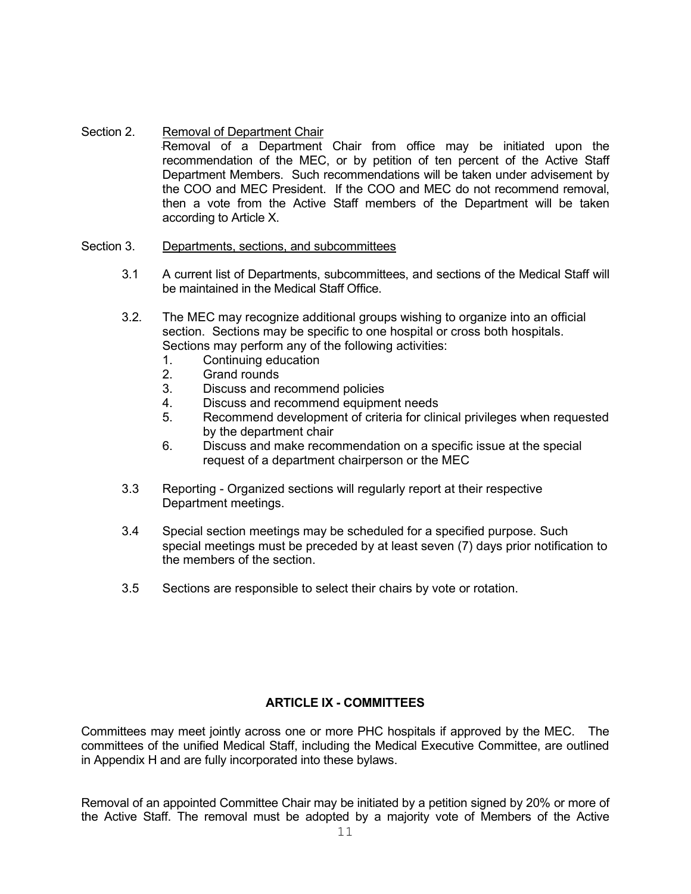Section 2. Removal of Department Chair Removal of a Department Chair from office may be initiated upon the recommendation of the MEC, or by petition of ten percent of the Active Staff Department Members. Such recommendations will be taken under advisement by the COO and MEC President. If the COO and MEC do not recommend removal, then a vote from the Active Staff members of the Department will be taken according to Article X.

#### Section 3. Departments, sections, and subcommittees

- 3.1 A current list of Departments, subcommittees, and sections of the Medical Staff will be maintained in the Medical Staff Office.
- 3.2. The MEC may recognize additional groups wishing to organize into an official section. Sections may be specific to one hospital or cross both hospitals. Sections may perform any of the following activities:
	- 1. Continuing education<br>2. Grand rounds
	- Grand rounds
	- 3. Discuss and recommend policies
	- 4. Discuss and recommend equipment needs
	- 5. Recommend development of criteria for clinical privileges when requested by the department chair
	- 6. Discuss and make recommendation on a specific issue at the special request of a department chairperson or the MEC
- 3.3 Reporting Organized sections will regularly report at their respective Department meetings.
- 3.4 Special section meetings may be scheduled for a specified purpose. Such special meetings must be preceded by at least seven (7) days prior notification to the members of the section.
- 3.5 Sections are responsible to select their chairs by vote or rotation.

# **ARTICLE IX - COMMITTEES**

Committees may meet jointly across one or more PHC hospitals if approved by the MEC. The committees of the unified Medical Staff, including the Medical Executive Committee, are outlined in Appendix H and are fully incorporated into these bylaws.

Removal of an appointed Committee Chair may be initiated by a petition signed by 20% or more of the Active Staff. The removal must be adopted by a majority vote of Members of the Active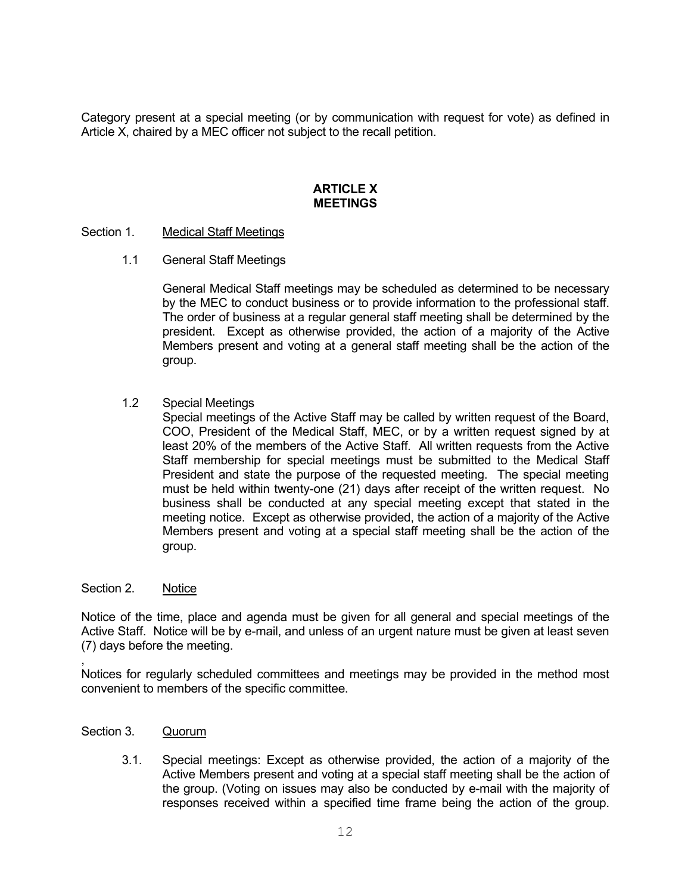Category present at a special meeting (or by communication with request for vote) as defined in Article X, chaired by a MEC officer not subject to the recall petition.

#### **ARTICLE X MEETINGS**

#### Section 1. Medical Staff Meetings

1.1 General Staff Meetings

General Medical Staff meetings may be scheduled as determined to be necessary by the MEC to conduct business or to provide information to the professional staff. The order of business at a regular general staff meeting shall be determined by the president. Except as otherwise provided, the action of a majority of the Active Members present and voting at a general staff meeting shall be the action of the group.

1.2 Special Meetings

Special meetings of the Active Staff may be called by written request of the Board, COO, President of the Medical Staff, MEC, or by a written request signed by at least 20% of the members of the Active Staff. All written requests from the Active Staff membership for special meetings must be submitted to the Medical Staff President and state the purpose of the requested meeting. The special meeting must be held within twenty-one (21) days after receipt of the written request. No business shall be conducted at any special meeting except that stated in the meeting notice. Except as otherwise provided, the action of a majority of the Active Members present and voting at a special staff meeting shall be the action of the group.

#### Section 2. Notice

Notice of the time, place and agenda must be given for all general and special meetings of the Active Staff. Notice will be by e-mail, and unless of an urgent nature must be given at least seven (7) days before the meeting.

, Notices for regularly scheduled committees and meetings may be provided in the method most convenient to members of the specific committee.

- Section 3. Quorum
	- 3.1. Special meetings: Except as otherwise provided, the action of a majority of the Active Members present and voting at a special staff meeting shall be the action of the group. (Voting on issues may also be conducted by e-mail with the majority of responses received within a specified time frame being the action of the group.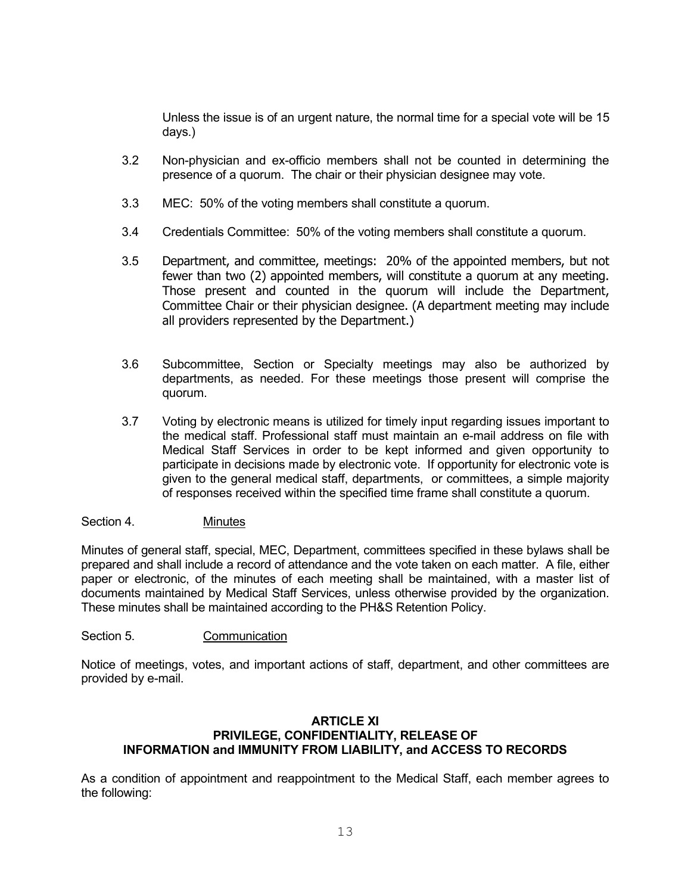Unless the issue is of an urgent nature, the normal time for a special vote will be 15 days.)

- 3.2 Non-physician and ex-officio members shall not be counted in determining the presence of a quorum. The chair or their physician designee may vote.
- 3.3 MEC: 50% of the voting members shall constitute a quorum.
- 3.4 Credentials Committee: 50% of the voting members shall constitute a quorum.
- 3.5 Department, and committee, meetings: 20% of the appointed members, but not fewer than two (2) appointed members, will constitute a quorum at any meeting. Those present and counted in the quorum will include the Department, Committee Chair or their physician designee. (A department meeting may include all providers represented by the Department.)
- 3.6 Subcommittee, Section or Specialty meetings may also be authorized by departments, as needed. For these meetings those present will comprise the quorum.
- 3.7 Voting by electronic means is utilized for timely input regarding issues important to the medical staff. Professional staff must maintain an e-mail address on file with Medical Staff Services in order to be kept informed and given opportunity to participate in decisions made by electronic vote. If opportunity for electronic vote is given to the general medical staff, departments, or committees, a simple majority of responses received within the specified time frame shall constitute a quorum.

#### Section 4. Minutes

Minutes of general staff, special, MEC, Department, committees specified in these bylaws shall be prepared and shall include a record of attendance and the vote taken on each matter. A file, either paper or electronic, of the minutes of each meeting shall be maintained, with a master list of documents maintained by Medical Staff Services, unless otherwise provided by the organization. These minutes shall be maintained according to the PH&S Retention Policy.

#### Section 5. Communication

Notice of meetings, votes, and important actions of staff, department, and other committees are provided by e-mail.

# **ARTICLE XI PRIVILEGE, CONFIDENTIALITY, RELEASE OF INFORMATION and IMMUNITY FROM LIABILITY, and ACCESS TO RECORDS**

As a condition of appointment and reappointment to the Medical Staff, each member agrees to the following: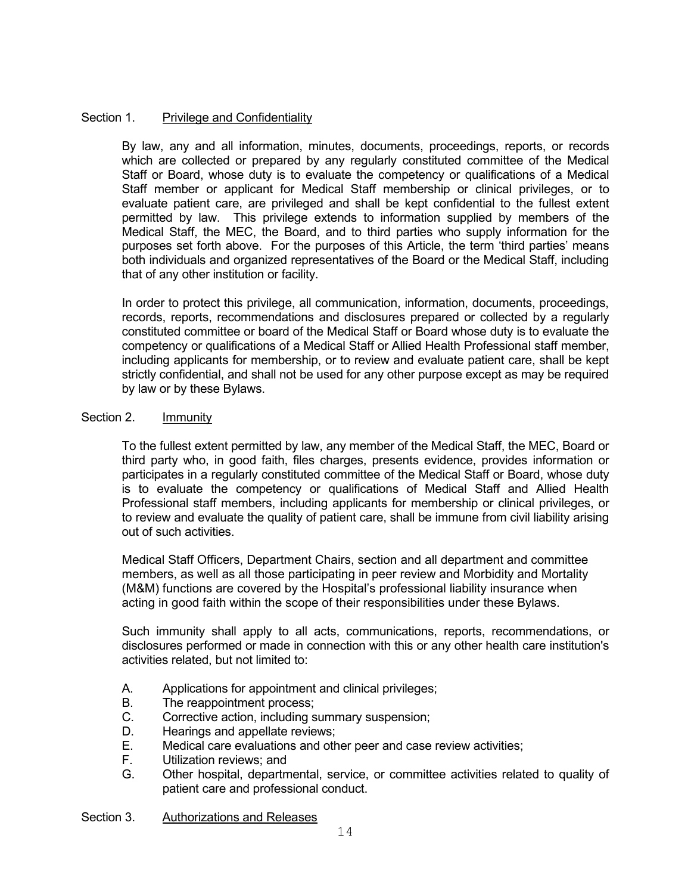# Section 1. Privilege and Confidentiality

By law, any and all information, minutes, documents, proceedings, reports, or records which are collected or prepared by any regularly constituted committee of the Medical Staff or Board, whose duty is to evaluate the competency or qualifications of a Medical Staff member or applicant for Medical Staff membership or clinical privileges, or to evaluate patient care, are privileged and shall be kept confidential to the fullest extent permitted by law. This privilege extends to information supplied by members of the Medical Staff, the MEC, the Board, and to third parties who supply information for the purposes set forth above. For the purposes of this Article, the term 'third parties' means both individuals and organized representatives of the Board or the Medical Staff, including that of any other institution or facility.

In order to protect this privilege, all communication, information, documents, proceedings, records, reports, recommendations and disclosures prepared or collected by a regularly constituted committee or board of the Medical Staff or Board whose duty is to evaluate the competency or qualifications of a Medical Staff or Allied Health Professional staff member, including applicants for membership, or to review and evaluate patient care, shall be kept strictly confidential, and shall not be used for any other purpose except as may be required by law or by these Bylaws.

#### Section 2. Immunity

To the fullest extent permitted by law, any member of the Medical Staff, the MEC, Board or third party who, in good faith, files charges, presents evidence, provides information or participates in a regularly constituted committee of the Medical Staff or Board, whose duty is to evaluate the competency or qualifications of Medical Staff and Allied Health Professional staff members, including applicants for membership or clinical privileges, or to review and evaluate the quality of patient care, shall be immune from civil liability arising out of such activities.

Medical Staff Officers, Department Chairs, section and all department and committee members, as well as all those participating in peer review and Morbidity and Mortality (M&M) functions are covered by the Hospital's professional liability insurance when acting in good faith within the scope of their responsibilities under these Bylaws.

Such immunity shall apply to all acts, communications, reports, recommendations, or disclosures performed or made in connection with this or any other health care institution's activities related, but not limited to:

- A. Applications for appointment and clinical privileges;
- B. The reappointment process;
- C. Corrective action, including summary suspension;
- D. Hearings and appellate reviews;
- E. Medical care evaluations and other peer and case review activities;
- F. Utilization reviews; and
- G. Other hospital, departmental, service, or committee activities related to quality of patient care and professional conduct.

Section 3. Authorizations and Releases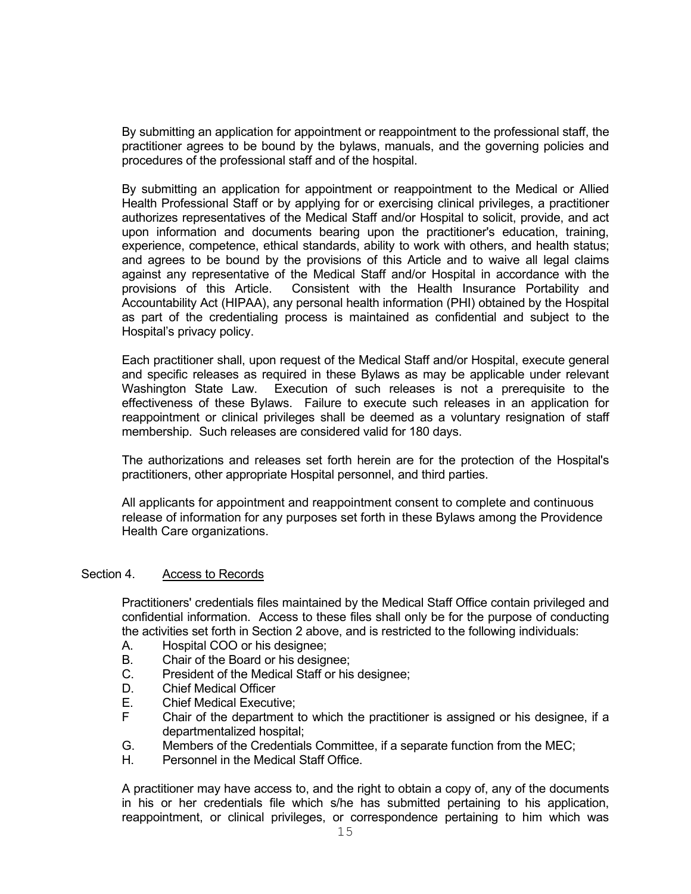By submitting an application for appointment or reappointment to the professional staff, the practitioner agrees to be bound by the bylaws, manuals, and the governing policies and procedures of the professional staff and of the hospital.

By submitting an application for appointment or reappointment to the Medical or Allied Health Professional Staff or by applying for or exercising clinical privileges, a practitioner authorizes representatives of the Medical Staff and/or Hospital to solicit, provide, and act upon information and documents bearing upon the practitioner's education, training, experience, competence, ethical standards, ability to work with others, and health status; and agrees to be bound by the provisions of this Article and to waive all legal claims against any representative of the Medical Staff and/or Hospital in accordance with the provisions of this Article. Consistent with the Health Insurance Portability and Accountability Act (HIPAA), any personal health information (PHI) obtained by the Hospital as part of the credentialing process is maintained as confidential and subject to the Hospital's privacy policy.

Each practitioner shall, upon request of the Medical Staff and/or Hospital, execute general and specific releases as required in these Bylaws as may be applicable under relevant Washington State Law. Execution of such releases is not a prerequisite to the effectiveness of these Bylaws. Failure to execute such releases in an application for reappointment or clinical privileges shall be deemed as a voluntary resignation of staff membership. Such releases are considered valid for 180 days.

The authorizations and releases set forth herein are for the protection of the Hospital's practitioners, other appropriate Hospital personnel, and third parties.

All applicants for appointment and reappointment consent to complete and continuous release of information for any purposes set forth in these Bylaws among the Providence Health Care organizations.

#### Section 4. Access to Records

Practitioners' credentials files maintained by the Medical Staff Office contain privileged and confidential information. Access to these files shall only be for the purpose of conducting the activities set forth in Section 2 above, and is restricted to the following individuals:

- A. Hospital COO or his designee;<br>B. Chair of the Board or his designee
- Chair of the Board or his designee:
- C. President of the Medical Staff or his designee;
- D. Chief Medical Officer<br>E. Chief Medical Executi
- **Chief Medical Executive;**
- F Chair of the department to which the practitioner is assigned or his designee, if a departmentalized hospital;
- G. Members of the Credentials Committee, if a separate function from the MEC;
- H. Personnel in the Medical Staff Office.

A practitioner may have access to, and the right to obtain a copy of, any of the documents in his or her credentials file which s/he has submitted pertaining to his application, reappointment, or clinical privileges, or correspondence pertaining to him which was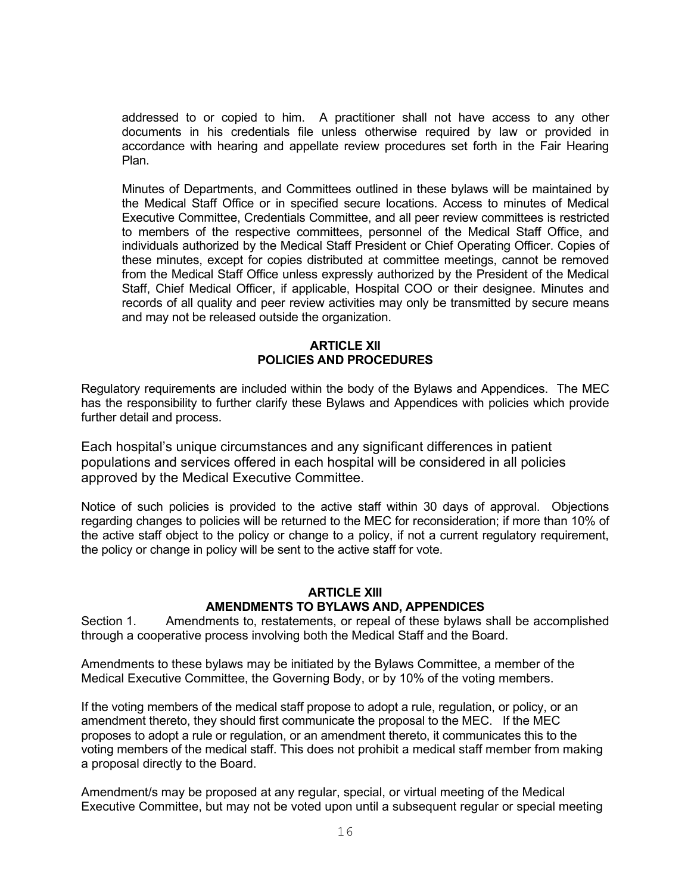addressed to or copied to him. A practitioner shall not have access to any other documents in his credentials file unless otherwise required by law or provided in accordance with hearing and appellate review procedures set forth in the Fair Hearing Plan.

Minutes of Departments, and Committees outlined in these bylaws will be maintained by the Medical Staff Office or in specified secure locations. Access to minutes of Medical Executive Committee, Credentials Committee, and all peer review committees is restricted to members of the respective committees, personnel of the Medical Staff Office, and individuals authorized by the Medical Staff President or Chief Operating Officer. Copies of these minutes, except for copies distributed at committee meetings, cannot be removed from the Medical Staff Office unless expressly authorized by the President of the Medical Staff, Chief Medical Officer, if applicable, Hospital COO or their designee. Minutes and records of all quality and peer review activities may only be transmitted by secure means and may not be released outside the organization.

# **ARTICLE XII POLICIES AND PROCEDURES**

Regulatory requirements are included within the body of the Bylaws and Appendices. The MEC has the responsibility to further clarify these Bylaws and Appendices with policies which provide further detail and process.

Each hospital's unique circumstances and any significant differences in patient populations and services offered in each hospital will be considered in all policies approved by the Medical Executive Committee.

Notice of such policies is provided to the active staff within 30 days of approval. Objections regarding changes to policies will be returned to the MEC for reconsideration; if more than 10% of the active staff object to the policy or change to a policy, if not a current regulatory requirement, the policy or change in policy will be sent to the active staff for vote.

# **ARTICLE XIII AMENDMENTS TO BYLAWS AND, APPENDICES**

Section 1. Amendments to, restatements, or repeal of these bylaws shall be accomplished through a cooperative process involving both the Medical Staff and the Board.

Amendments to these bylaws may be initiated by the Bylaws Committee, a member of the Medical Executive Committee, the Governing Body, or by 10% of the voting members.

If the voting members of the medical staff propose to adopt a rule, regulation, or policy, or an amendment thereto, they should first communicate the proposal to the MEC. If the MEC proposes to adopt a rule or regulation, or an amendment thereto, it communicates this to the voting members of the medical staff. This does not prohibit a medical staff member from making a proposal directly to the Board.

Amendment/s may be proposed at any regular, special, or virtual meeting of the Medical Executive Committee, but may not be voted upon until a subsequent regular or special meeting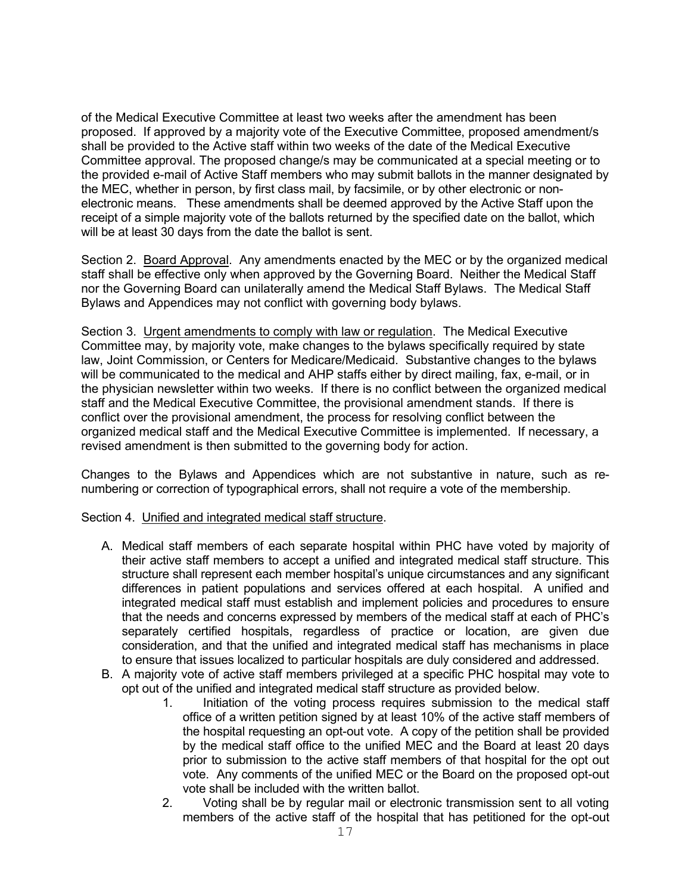of the Medical Executive Committee at least two weeks after the amendment has been proposed. If approved by a majority vote of the Executive Committee, proposed amendment/s shall be provided to the Active staff within two weeks of the date of the Medical Executive Committee approval. The proposed change/s may be communicated at a special meeting or to the provided e-mail of Active Staff members who may submit ballots in the manner designated by the MEC, whether in person, by first class mail, by facsimile, or by other electronic or nonelectronic means. These amendments shall be deemed approved by the Active Staff upon the receipt of a simple majority vote of the ballots returned by the specified date on the ballot, which will be at least 30 days from the date the ballot is sent.

Section 2. Board Approval. Any amendments enacted by the MEC or by the organized medical staff shall be effective only when approved by the Governing Board. Neither the Medical Staff nor the Governing Board can unilaterally amend the Medical Staff Bylaws. The Medical Staff Bylaws and Appendices may not conflict with governing body bylaws.

Section 3. Urgent amendments to comply with law or regulation. The Medical Executive Committee may, by majority vote, make changes to the bylaws specifically required by state law, Joint Commission, or Centers for Medicare/Medicaid. Substantive changes to the bylaws will be communicated to the medical and AHP staffs either by direct mailing, fax, e-mail, or in the physician newsletter within two weeks. If there is no conflict between the organized medical staff and the Medical Executive Committee, the provisional amendment stands. If there is conflict over the provisional amendment, the process for resolving conflict between the organized medical staff and the Medical Executive Committee is implemented. If necessary, a revised amendment is then submitted to the governing body for action.

Changes to the Bylaws and Appendices which are not substantive in nature, such as renumbering or correction of typographical errors, shall not require a vote of the membership.

# Section 4. Unified and integrated medical staff structure.

- A. Medical staff members of each separate hospital within PHC have voted by majority of their active staff members to accept a unified and integrated medical staff structure. This structure shall represent each member hospital's unique circumstances and any significant differences in patient populations and services offered at each hospital. A unified and integrated medical staff must establish and implement policies and procedures to ensure that the needs and concerns expressed by members of the medical staff at each of PHC's separately certified hospitals, regardless of practice or location, are given due consideration, and that the unified and integrated medical staff has mechanisms in place to ensure that issues localized to particular hospitals are duly considered and addressed.
- B. A majority vote of active staff members privileged at a specific PHC hospital may vote to opt out of the unified and integrated medical staff structure as provided below.<br>1. Initiation of the voting process requires submission to the r
	- Initiation of the voting process requires submission to the medical staff office of a written petition signed by at least 10% of the active staff members of the hospital requesting an opt-out vote. A copy of the petition shall be provided by the medical staff office to the unified MEC and the Board at least 20 days prior to submission to the active staff members of that hospital for the opt out vote. Any comments of the unified MEC or the Board on the proposed opt-out vote shall be included with the written ballot.
	- 2. Voting shall be by regular mail or electronic transmission sent to all voting members of the active staff of the hospital that has petitioned for the opt-out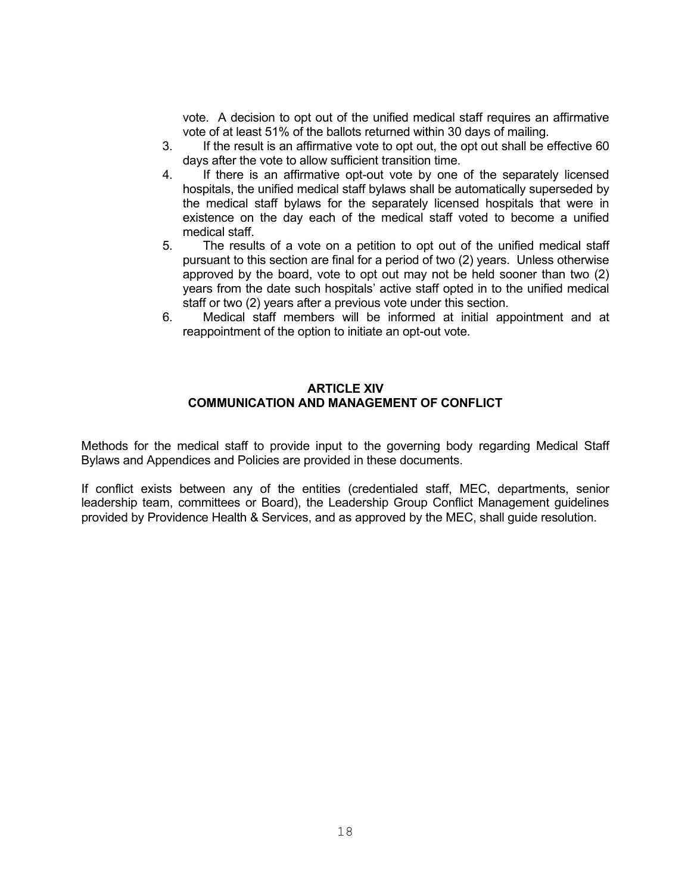vote. A decision to opt out of the unified medical staff requires an affirmative vote of at least 51% of the ballots returned within 30 days of mailing.

- 3. If the result is an affirmative vote to opt out, the opt out shall be effective 60 days after the vote to allow sufficient transition time.
- 4. If there is an affirmative opt-out vote by one of the separately licensed hospitals, the unified medical staff bylaws shall be automatically superseded by the medical staff bylaws for the separately licensed hospitals that were in existence on the day each of the medical staff voted to become a unified medical staff.
- 5. The results of a vote on a petition to opt out of the unified medical staff pursuant to this section are final for a period of two (2) years. Unless otherwise approved by the board, vote to opt out may not be held sooner than two (2) years from the date such hospitals' active staff opted in to the unified medical staff or two (2) years after a previous vote under this section.
- 6. Medical staff members will be informed at initial appointment and at reappointment of the option to initiate an opt-out vote.

### **ARTICLE XIV COMMUNICATION AND MANAGEMENT OF CONFLICT**

Methods for the medical staff to provide input to the governing body regarding Medical Staff Bylaws and Appendices and Policies are provided in these documents.

If conflict exists between any of the entities (credentialed staff, MEC, departments, senior leadership team, committees or Board), the Leadership Group Conflict Management guidelines provided by Providence Health & Services, and as approved by the MEC, shall guide resolution.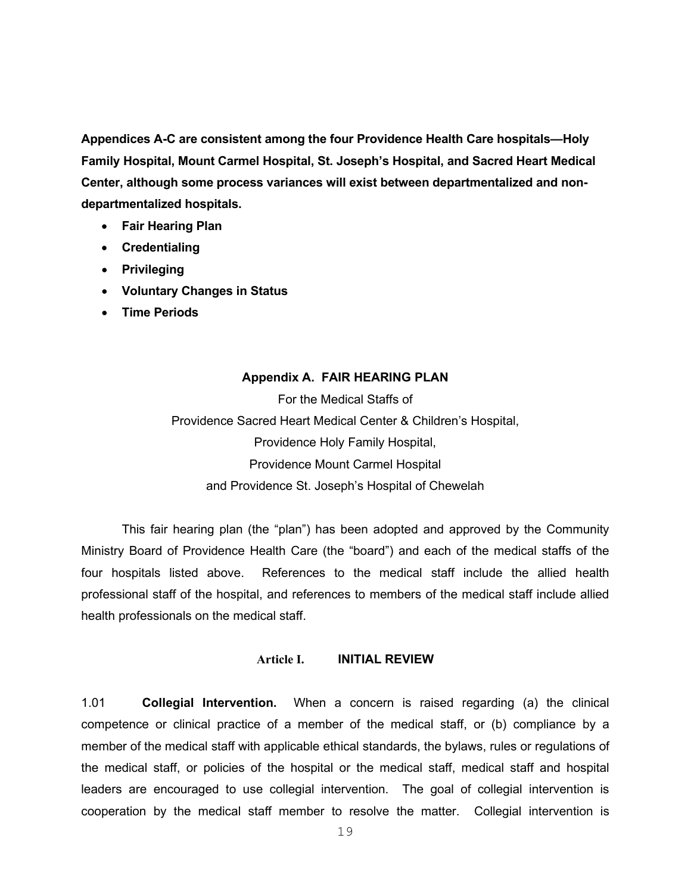**Appendices A-C are consistent among the four Providence Health Care hospitals—Holy Family Hospital, Mount Carmel Hospital, St. Joseph's Hospital, and Sacred Heart Medical Center, although some process variances will exist between departmentalized and nondepartmentalized hospitals.** 

- **Fair Hearing Plan**
- **Credentialing**
- **Privileging**
- **Voluntary Changes in Status**
- **Time Periods**

#### **Appendix A. FAIR HEARING PLAN**

For the Medical Staffs of Providence Sacred Heart Medical Center & Children's Hospital, Providence Holy Family Hospital, Providence Mount Carmel Hospital and Providence St. Joseph's Hospital of Chewelah

This fair hearing plan (the "plan") has been adopted and approved by the Community Ministry Board of Providence Health Care (the "board") and each of the medical staffs of the four hospitals listed above. References to the medical staff include the allied health professional staff of the hospital, and references to members of the medical staff include allied health professionals on the medical staff.

#### **Article I. INITIAL REVIEW**

1.01 **Collegial Intervention.** When a concern is raised regarding (a) the clinical competence or clinical practice of a member of the medical staff, or (b) compliance by a member of the medical staff with applicable ethical standards, the bylaws, rules or regulations of the medical staff, or policies of the hospital or the medical staff, medical staff and hospital leaders are encouraged to use collegial intervention. The goal of collegial intervention is cooperation by the medical staff member to resolve the matter. Collegial intervention is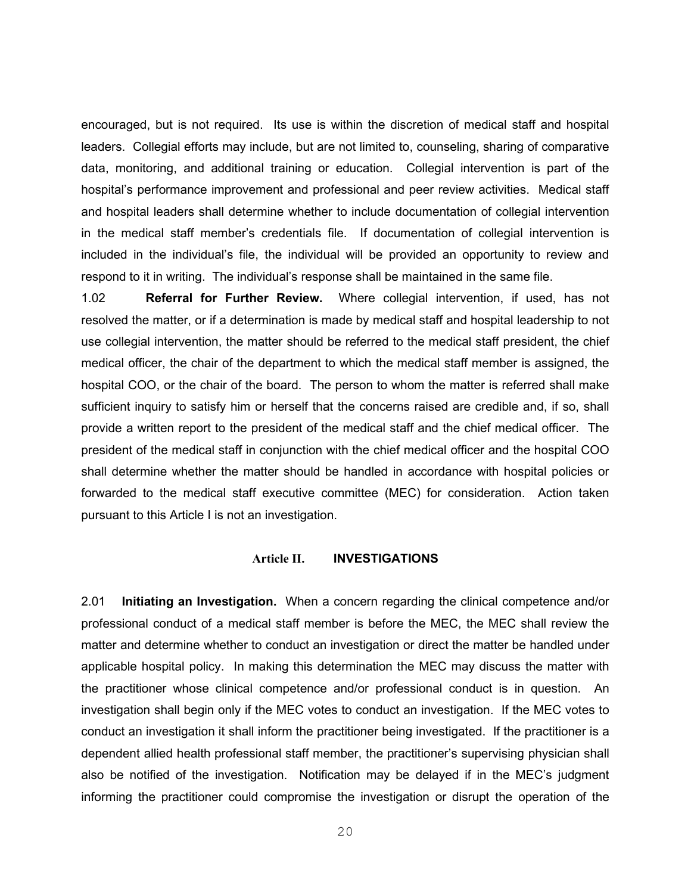encouraged, but is not required. Its use is within the discretion of medical staff and hospital leaders. Collegial efforts may include, but are not limited to, counseling, sharing of comparative data, monitoring, and additional training or education. Collegial intervention is part of the hospital's performance improvement and professional and peer review activities. Medical staff and hospital leaders shall determine whether to include documentation of collegial intervention in the medical staff member's credentials file. If documentation of collegial intervention is included in the individual's file, the individual will be provided an opportunity to review and respond to it in writing. The individual's response shall be maintained in the same file.

1.02 **Referral for Further Review.** Where collegial intervention, if used, has not resolved the matter, or if a determination is made by medical staff and hospital leadership to not use collegial intervention, the matter should be referred to the medical staff president, the chief medical officer, the chair of the department to which the medical staff member is assigned, the hospital COO, or the chair of the board. The person to whom the matter is referred shall make sufficient inquiry to satisfy him or herself that the concerns raised are credible and, if so, shall provide a written report to the president of the medical staff and the chief medical officer. The president of the medical staff in conjunction with the chief medical officer and the hospital COO shall determine whether the matter should be handled in accordance with hospital policies or forwarded to the medical staff executive committee (MEC) for consideration. Action taken pursuant to this Article I is not an investigation.

## **Article II. INVESTIGATIONS**

2.01 **Initiating an Investigation.** When a concern regarding the clinical competence and/or professional conduct of a medical staff member is before the MEC, the MEC shall review the matter and determine whether to conduct an investigation or direct the matter be handled under applicable hospital policy. In making this determination the MEC may discuss the matter with the practitioner whose clinical competence and/or professional conduct is in question. An investigation shall begin only if the MEC votes to conduct an investigation. If the MEC votes to conduct an investigation it shall inform the practitioner being investigated. If the practitioner is a dependent allied health professional staff member, the practitioner's supervising physician shall also be notified of the investigation. Notification may be delayed if in the MEC's judgment informing the practitioner could compromise the investigation or disrupt the operation of the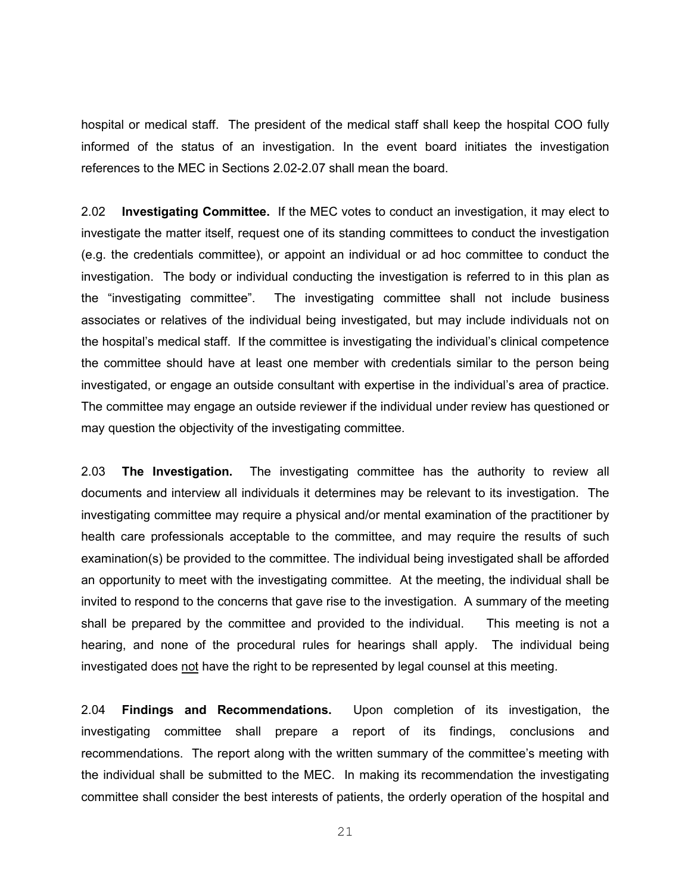hospital or medical staff. The president of the medical staff shall keep the hospital COO fully informed of the status of an investigation. In the event board initiates the investigation references to the MEC in Sections 2.02-2.07 shall mean the board.

2.02 **Investigating Committee.** If the MEC votes to conduct an investigation, it may elect to investigate the matter itself, request one of its standing committees to conduct the investigation (e.g. the credentials committee), or appoint an individual or ad hoc committee to conduct the investigation. The body or individual conducting the investigation is referred to in this plan as the "investigating committee". The investigating committee shall not include business associates or relatives of the individual being investigated, but may include individuals not on the hospital's medical staff. If the committee is investigating the individual's clinical competence the committee should have at least one member with credentials similar to the person being investigated, or engage an outside consultant with expertise in the individual's area of practice. The committee may engage an outside reviewer if the individual under review has questioned or may question the objectivity of the investigating committee.

2.03 **The Investigation.** The investigating committee has the authority to review all documents and interview all individuals it determines may be relevant to its investigation. The investigating committee may require a physical and/or mental examination of the practitioner by health care professionals acceptable to the committee, and may require the results of such examination(s) be provided to the committee. The individual being investigated shall be afforded an opportunity to meet with the investigating committee. At the meeting, the individual shall be invited to respond to the concerns that gave rise to the investigation. A summary of the meeting shall be prepared by the committee and provided to the individual. This meeting is not a hearing, and none of the procedural rules for hearings shall apply. The individual being investigated does not have the right to be represented by legal counsel at this meeting.

2.04 **Findings and Recommendations.** Upon completion of its investigation, the investigating committee shall prepare a report of its findings, conclusions and recommendations. The report along with the written summary of the committee's meeting with the individual shall be submitted to the MEC. In making its recommendation the investigating committee shall consider the best interests of patients, the orderly operation of the hospital and

21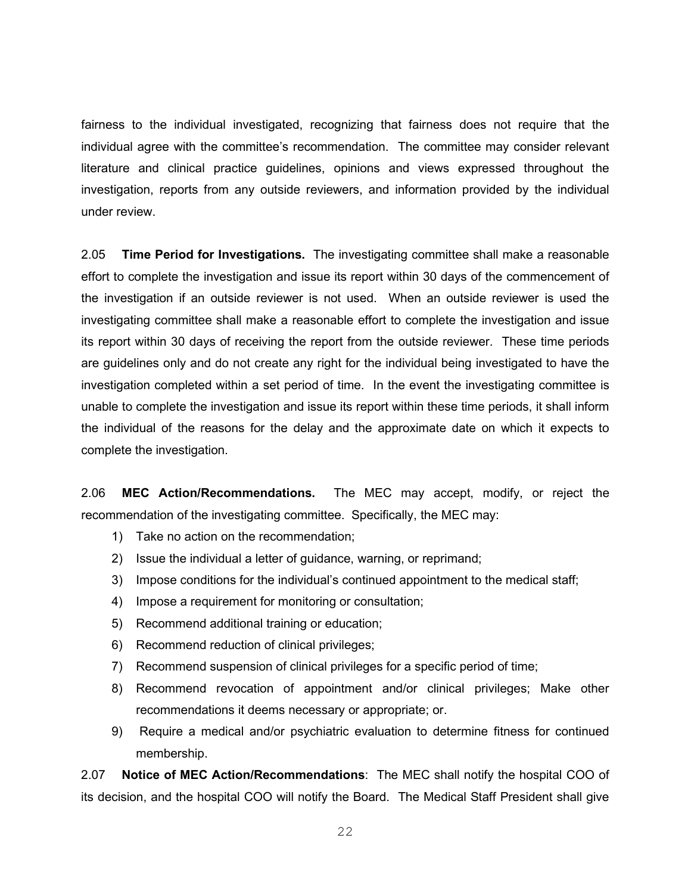fairness to the individual investigated, recognizing that fairness does not require that the individual agree with the committee's recommendation. The committee may consider relevant literature and clinical practice guidelines, opinions and views expressed throughout the investigation, reports from any outside reviewers, and information provided by the individual under review.

2.05 **Time Period for Investigations.** The investigating committee shall make a reasonable effort to complete the investigation and issue its report within 30 days of the commencement of the investigation if an outside reviewer is not used. When an outside reviewer is used the investigating committee shall make a reasonable effort to complete the investigation and issue its report within 30 days of receiving the report from the outside reviewer. These time periods are guidelines only and do not create any right for the individual being investigated to have the investigation completed within a set period of time. In the event the investigating committee is unable to complete the investigation and issue its report within these time periods, it shall inform the individual of the reasons for the delay and the approximate date on which it expects to complete the investigation.

2.06 **MEC Action/Recommendations.** The MEC may accept, modify, or reject the recommendation of the investigating committee. Specifically, the MEC may:

- 1) Take no action on the recommendation;
- 2) Issue the individual a letter of guidance, warning, or reprimand;
- 3) Impose conditions for the individual's continued appointment to the medical staff;
- 4) Impose a requirement for monitoring or consultation;
- 5) Recommend additional training or education;
- 6) Recommend reduction of clinical privileges;
- 7) Recommend suspension of clinical privileges for a specific period of time;
- 8) Recommend revocation of appointment and/or clinical privileges; Make other recommendations it deems necessary or appropriate; or.
- 9) Require a medical and/or psychiatric evaluation to determine fitness for continued membership.

2.07 **Notice of MEC Action/Recommendations**: The MEC shall notify the hospital COO of its decision, and the hospital COO will notify the Board. The Medical Staff President shall give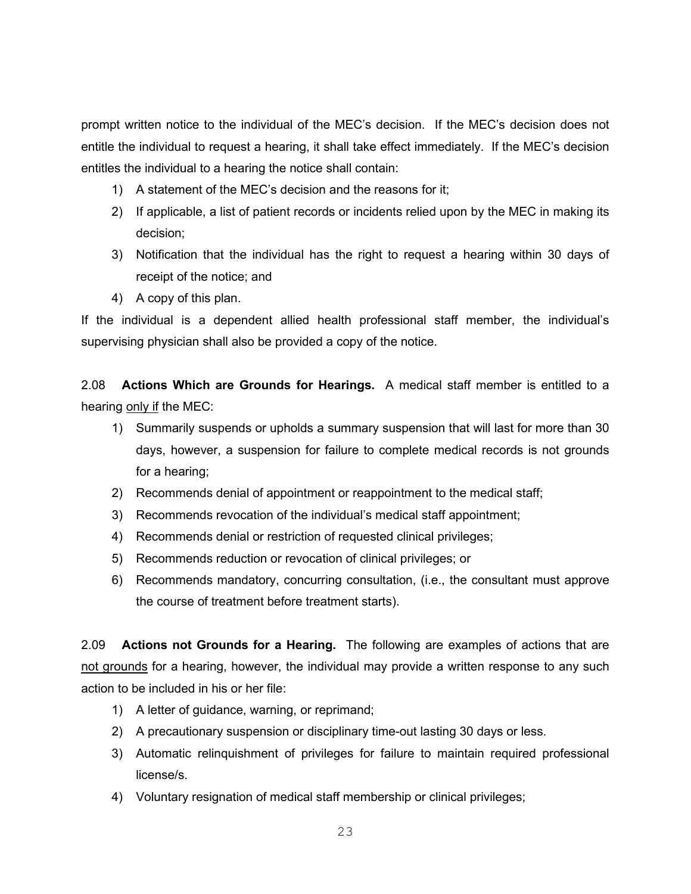prompt written notice to the individual of the MEC's decision. If the MEC's decision does not entitle the individual to request a hearing, it shall take effect immediately. If the MEC's decision entitles the individual to a hearing the notice shall contain:

- 1) A statement of the MEC's decision and the reasons for it;
- 2) If applicable, a list of patient records or incidents relied upon by the MEC in making its decision;
- 3) Notification that the individual has the right to request a hearing within 30 days of receipt of the notice; and
- 4) A copy of this plan.

If the individual is a dependent allied health professional staff member, the individual's supervising physician shall also be provided a copy of the notice.

2.08 **Actions Which are Grounds for Hearings.** A medical staff member is entitled to a hearing only if the MEC:

- 1) Summarily suspends or upholds a summary suspension that will last for more than 30 days, however, a suspension for failure to complete medical records is not grounds for a hearing;
- 2) Recommends denial of appointment or reappointment to the medical staff;
- 3) Recommends revocation of the individual's medical staff appointment;
- 4) Recommends denial or restriction of requested clinical privileges;
- 5) Recommends reduction or revocation of clinical privileges; or
- 6) Recommends mandatory, concurring consultation, (i.e., the consultant must approve the course of treatment before treatment starts).

2.09 **Actions not Grounds for a Hearing.** The following are examples of actions that are not grounds for a hearing, however, the individual may provide a written response to any such action to be included in his or her file:

- 1) A letter of guidance, warning, or reprimand;
- 2) A precautionary suspension or disciplinary time-out lasting 30 days or less.
- 3) Automatic relinquishment of privileges for failure to maintain required professional license/s.
- 4) Voluntary resignation of medical staff membership or clinical privileges;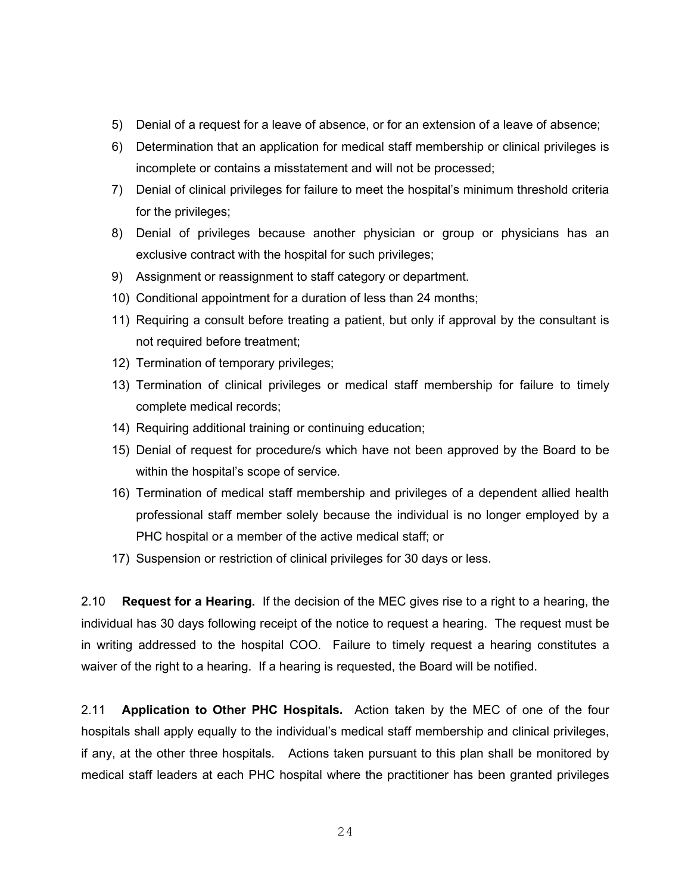- 5) Denial of a request for a leave of absence, or for an extension of a leave of absence;
- 6) Determination that an application for medical staff membership or clinical privileges is incomplete or contains a misstatement and will not be processed;
- 7) Denial of clinical privileges for failure to meet the hospital's minimum threshold criteria for the privileges;
- 8) Denial of privileges because another physician or group or physicians has an exclusive contract with the hospital for such privileges;
- 9) Assignment or reassignment to staff category or department.
- 10) Conditional appointment for a duration of less than 24 months;
- 11) Requiring a consult before treating a patient, but only if approval by the consultant is not required before treatment;
- 12) Termination of temporary privileges;
- 13) Termination of clinical privileges or medical staff membership for failure to timely complete medical records;
- 14) Requiring additional training or continuing education;
- 15) Denial of request for procedure/s which have not been approved by the Board to be within the hospital's scope of service.
- 16) Termination of medical staff membership and privileges of a dependent allied health professional staff member solely because the individual is no longer employed by a PHC hospital or a member of the active medical staff; or
- 17) Suspension or restriction of clinical privileges for 30 days or less.

2.10 **Request for a Hearing.** If the decision of the MEC gives rise to a right to a hearing, the individual has 30 days following receipt of the notice to request a hearing. The request must be in writing addressed to the hospital COO. Failure to timely request a hearing constitutes a waiver of the right to a hearing. If a hearing is requested, the Board will be notified.

2.11 **Application to Other PHC Hospitals.** Action taken by the MEC of one of the four hospitals shall apply equally to the individual's medical staff membership and clinical privileges, if any, at the other three hospitals. Actions taken pursuant to this plan shall be monitored by medical staff leaders at each PHC hospital where the practitioner has been granted privileges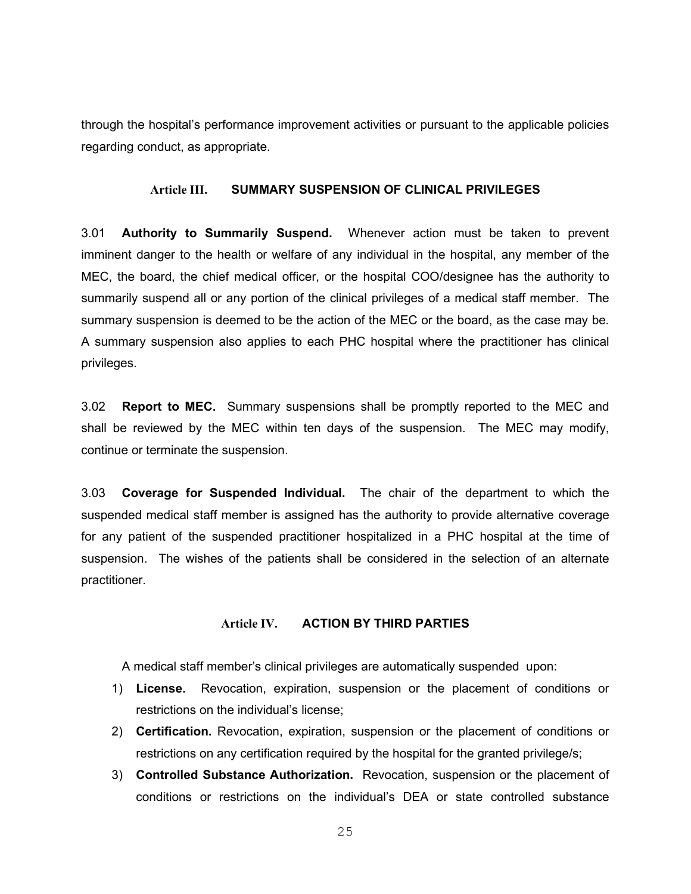through the hospital's performance improvement activities or pursuant to the applicable policies regarding conduct, as appropriate.

# **Article III. SUMMARY SUSPENSION OF CLINICAL PRIVILEGES**

3.01 **Authority to Summarily Suspend.** Whenever action must be taken to prevent imminent danger to the health or welfare of any individual in the hospital, any member of the MEC, the board, the chief medical officer, or the hospital COO/designee has the authority to summarily suspend all or any portion of the clinical privileges of a medical staff member. The summary suspension is deemed to be the action of the MEC or the board, as the case may be. A summary suspension also applies to each PHC hospital where the practitioner has clinical privileges.

3.02 **Report to MEC.** Summary suspensions shall be promptly reported to the MEC and shall be reviewed by the MEC within ten days of the suspension. The MEC may modify, continue or terminate the suspension.

3.03 **Coverage for Suspended Individual.** The chair of the department to which the suspended medical staff member is assigned has the authority to provide alternative coverage for any patient of the suspended practitioner hospitalized in a PHC hospital at the time of suspension. The wishes of the patients shall be considered in the selection of an alternate practitioner.

#### **Article IV. ACTION BY THIRD PARTIES**

A medical staff member's clinical privileges are automatically suspended upon:

- 1) **License.** Revocation, expiration, suspension or the placement of conditions or restrictions on the individual's license;
- 2) **Certification.** Revocation, expiration, suspension or the placement of conditions or restrictions on any certification required by the hospital for the granted privilege/s;
- 3) **Controlled Substance Authorization.** Revocation, suspension or the placement of conditions or restrictions on the individual's DEA or state controlled substance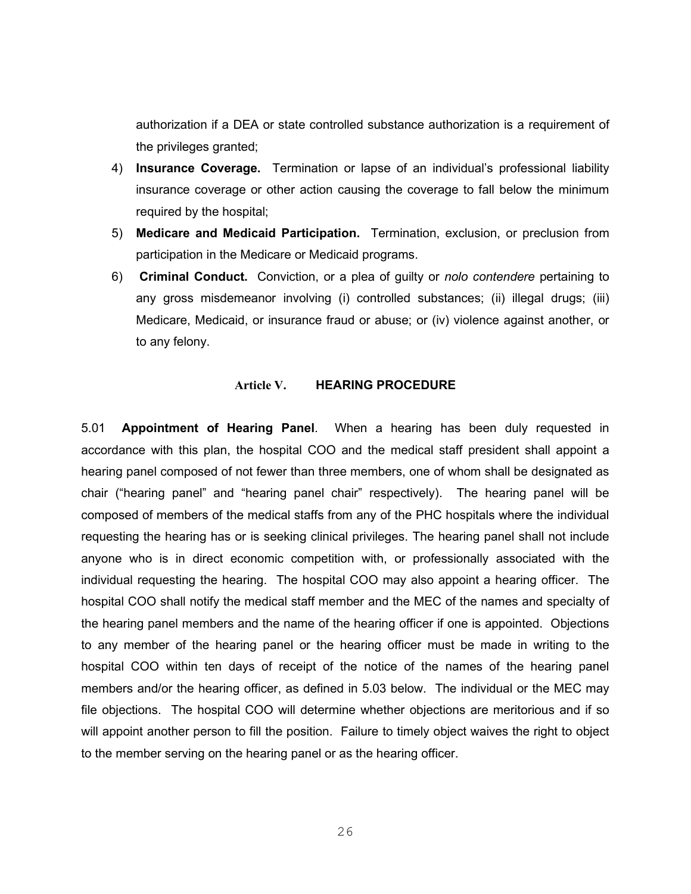authorization if a DEA or state controlled substance authorization is a requirement of the privileges granted;

- 4) **Insurance Coverage.** Termination or lapse of an individual's professional liability insurance coverage or other action causing the coverage to fall below the minimum required by the hospital;
- 5) **Medicare and Medicaid Participation.** Termination, exclusion, or preclusion from participation in the Medicare or Medicaid programs.
- 6) **Criminal Conduct.** Conviction, or a plea of guilty or *nolo contendere* pertaining to any gross misdemeanor involving (i) controlled substances; (ii) illegal drugs; (iii) Medicare, Medicaid, or insurance fraud or abuse; or (iv) violence against another, or to any felony.

#### **Article V. HEARING PROCEDURE**

5.01 **Appointment of Hearing Panel**. When a hearing has been duly requested in accordance with this plan, the hospital COO and the medical staff president shall appoint a hearing panel composed of not fewer than three members, one of whom shall be designated as chair ("hearing panel" and "hearing panel chair" respectively). The hearing panel will be composed of members of the medical staffs from any of the PHC hospitals where the individual requesting the hearing has or is seeking clinical privileges. The hearing panel shall not include anyone who is in direct economic competition with, or professionally associated with the individual requesting the hearing. The hospital COO may also appoint a hearing officer. The hospital COO shall notify the medical staff member and the MEC of the names and specialty of the hearing panel members and the name of the hearing officer if one is appointed. Objections to any member of the hearing panel or the hearing officer must be made in writing to the hospital COO within ten days of receipt of the notice of the names of the hearing panel members and/or the hearing officer, as defined in 5.03 below. The individual or the MEC may file objections. The hospital COO will determine whether objections are meritorious and if so will appoint another person to fill the position. Failure to timely object waives the right to object to the member serving on the hearing panel or as the hearing officer.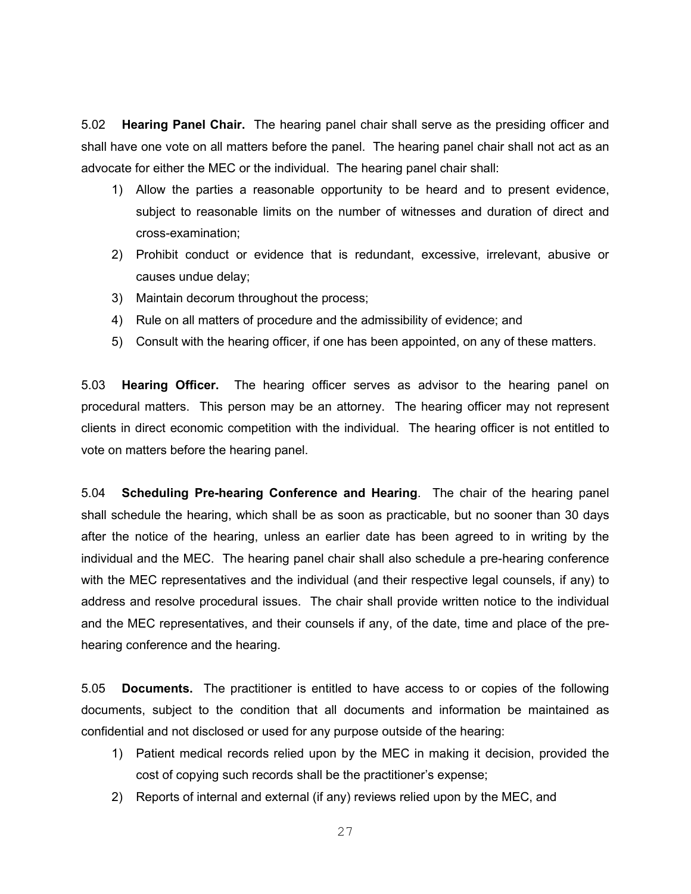5.02 **Hearing Panel Chair.** The hearing panel chair shall serve as the presiding officer and shall have one vote on all matters before the panel. The hearing panel chair shall not act as an advocate for either the MEC or the individual. The hearing panel chair shall:

- 1) Allow the parties a reasonable opportunity to be heard and to present evidence, subject to reasonable limits on the number of witnesses and duration of direct and cross-examination;
- 2) Prohibit conduct or evidence that is redundant, excessive, irrelevant, abusive or causes undue delay;
- 3) Maintain decorum throughout the process;
- 4) Rule on all matters of procedure and the admissibility of evidence; and
- 5) Consult with the hearing officer, if one has been appointed, on any of these matters.

5.03 **Hearing Officer.** The hearing officer serves as advisor to the hearing panel on procedural matters. This person may be an attorney. The hearing officer may not represent clients in direct economic competition with the individual. The hearing officer is not entitled to vote on matters before the hearing panel.

5.04 **Scheduling Pre-hearing Conference and Hearing**. The chair of the hearing panel shall schedule the hearing, which shall be as soon as practicable, but no sooner than 30 days after the notice of the hearing, unless an earlier date has been agreed to in writing by the individual and the MEC. The hearing panel chair shall also schedule a pre-hearing conference with the MEC representatives and the individual (and their respective legal counsels, if any) to address and resolve procedural issues. The chair shall provide written notice to the individual and the MEC representatives, and their counsels if any, of the date, time and place of the prehearing conference and the hearing.

5.05 **Documents.** The practitioner is entitled to have access to or copies of the following documents, subject to the condition that all documents and information be maintained as confidential and not disclosed or used for any purpose outside of the hearing:

- 1) Patient medical records relied upon by the MEC in making it decision, provided the cost of copying such records shall be the practitioner's expense;
- 2) Reports of internal and external (if any) reviews relied upon by the MEC, and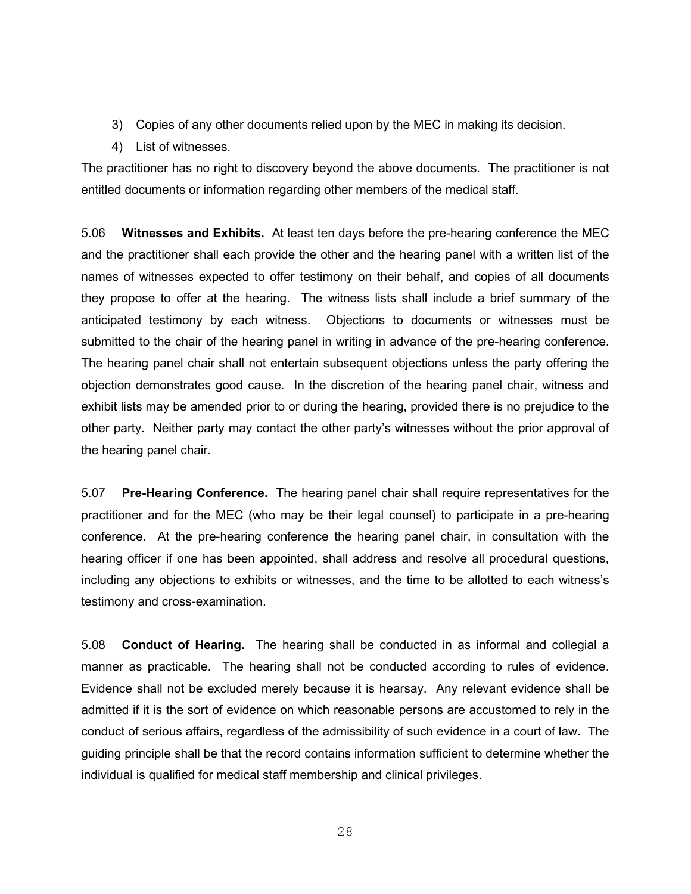- 3) Copies of any other documents relied upon by the MEC in making its decision.
- 4) List of witnesses.

The practitioner has no right to discovery beyond the above documents. The practitioner is not entitled documents or information regarding other members of the medical staff.

5.06 **Witnesses and Exhibits.** At least ten days before the pre-hearing conference the MEC and the practitioner shall each provide the other and the hearing panel with a written list of the names of witnesses expected to offer testimony on their behalf, and copies of all documents they propose to offer at the hearing. The witness lists shall include a brief summary of the anticipated testimony by each witness. Objections to documents or witnesses must be submitted to the chair of the hearing panel in writing in advance of the pre-hearing conference. The hearing panel chair shall not entertain subsequent objections unless the party offering the objection demonstrates good cause. In the discretion of the hearing panel chair, witness and exhibit lists may be amended prior to or during the hearing, provided there is no prejudice to the other party. Neither party may contact the other party's witnesses without the prior approval of the hearing panel chair.

5.07 **Pre-Hearing Conference.** The hearing panel chair shall require representatives for the practitioner and for the MEC (who may be their legal counsel) to participate in a pre-hearing conference. At the pre-hearing conference the hearing panel chair, in consultation with the hearing officer if one has been appointed, shall address and resolve all procedural questions, including any objections to exhibits or witnesses, and the time to be allotted to each witness's testimony and cross-examination.

5.08 **Conduct of Hearing.** The hearing shall be conducted in as informal and collegial a manner as practicable. The hearing shall not be conducted according to rules of evidence. Evidence shall not be excluded merely because it is hearsay. Any relevant evidence shall be admitted if it is the sort of evidence on which reasonable persons are accustomed to rely in the conduct of serious affairs, regardless of the admissibility of such evidence in a court of law. The guiding principle shall be that the record contains information sufficient to determine whether the individual is qualified for medical staff membership and clinical privileges.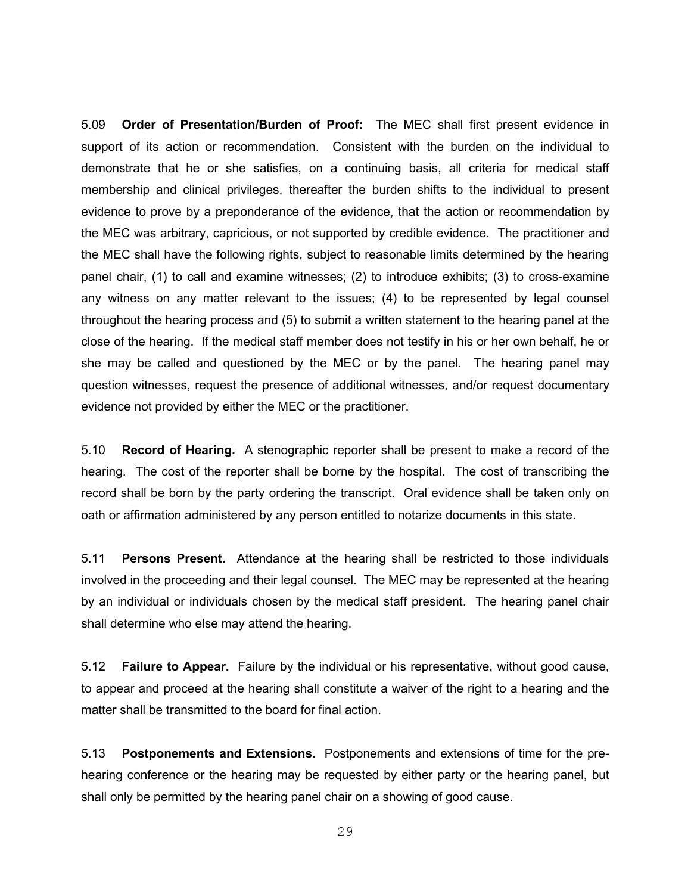5.09 **Order of Presentation/Burden of Proof:** The MEC shall first present evidence in support of its action or recommendation. Consistent with the burden on the individual to demonstrate that he or she satisfies, on a continuing basis, all criteria for medical staff membership and clinical privileges, thereafter the burden shifts to the individual to present evidence to prove by a preponderance of the evidence, that the action or recommendation by the MEC was arbitrary, capricious, or not supported by credible evidence. The practitioner and the MEC shall have the following rights, subject to reasonable limits determined by the hearing panel chair, (1) to call and examine witnesses; (2) to introduce exhibits; (3) to cross-examine any witness on any matter relevant to the issues; (4) to be represented by legal counsel throughout the hearing process and (5) to submit a written statement to the hearing panel at the close of the hearing. If the medical staff member does not testify in his or her own behalf, he or she may be called and questioned by the MEC or by the panel. The hearing panel may question witnesses, request the presence of additional witnesses, and/or request documentary evidence not provided by either the MEC or the practitioner.

5.10 **Record of Hearing.** A stenographic reporter shall be present to make a record of the hearing. The cost of the reporter shall be borne by the hospital. The cost of transcribing the record shall be born by the party ordering the transcript. Oral evidence shall be taken only on oath or affirmation administered by any person entitled to notarize documents in this state.

5.11 **Persons Present.** Attendance at the hearing shall be restricted to those individuals involved in the proceeding and their legal counsel. The MEC may be represented at the hearing by an individual or individuals chosen by the medical staff president. The hearing panel chair shall determine who else may attend the hearing.

5.12 **Failure to Appear.** Failure by the individual or his representative, without good cause, to appear and proceed at the hearing shall constitute a waiver of the right to a hearing and the matter shall be transmitted to the board for final action.

5.13 **Postponements and Extensions.** Postponements and extensions of time for the prehearing conference or the hearing may be requested by either party or the hearing panel, but shall only be permitted by the hearing panel chair on a showing of good cause.

29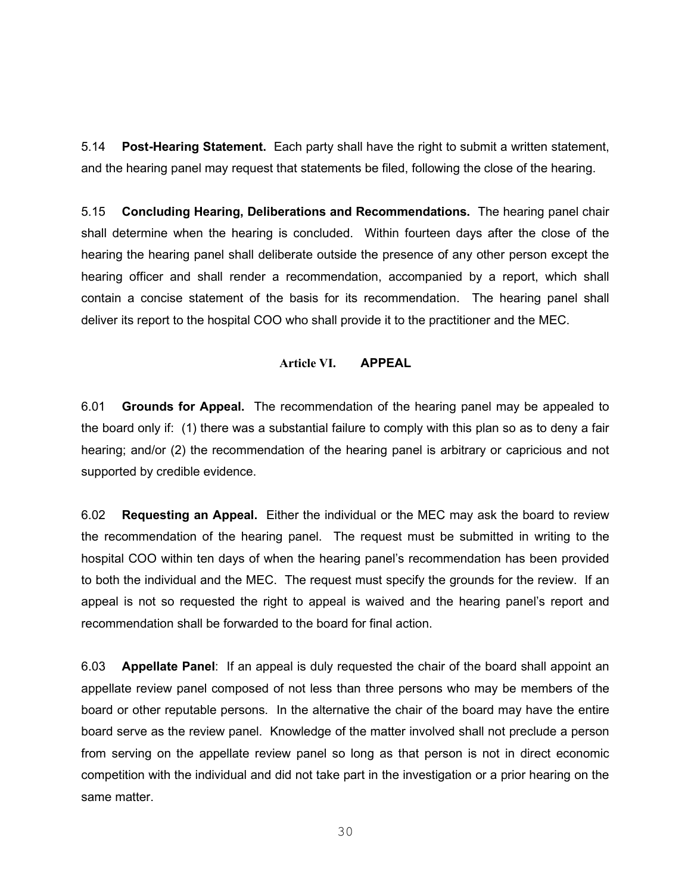5.14 **Post-Hearing Statement.** Each party shall have the right to submit a written statement, and the hearing panel may request that statements be filed, following the close of the hearing.

5.15 **Concluding Hearing, Deliberations and Recommendations.** The hearing panel chair shall determine when the hearing is concluded. Within fourteen days after the close of the hearing the hearing panel shall deliberate outside the presence of any other person except the hearing officer and shall render a recommendation, accompanied by a report, which shall contain a concise statement of the basis for its recommendation. The hearing panel shall deliver its report to the hospital COO who shall provide it to the practitioner and the MEC.

# **Article VI. APPEAL**

6.01 **Grounds for Appeal.** The recommendation of the hearing panel may be appealed to the board only if: (1) there was a substantial failure to comply with this plan so as to deny a fair hearing; and/or (2) the recommendation of the hearing panel is arbitrary or capricious and not supported by credible evidence.

6.02 **Requesting an Appeal.** Either the individual or the MEC may ask the board to review the recommendation of the hearing panel. The request must be submitted in writing to the hospital COO within ten days of when the hearing panel's recommendation has been provided to both the individual and the MEC. The request must specify the grounds for the review. If an appeal is not so requested the right to appeal is waived and the hearing panel's report and recommendation shall be forwarded to the board for final action.

6.03 **Appellate Panel**: If an appeal is duly requested the chair of the board shall appoint an appellate review panel composed of not less than three persons who may be members of the board or other reputable persons. In the alternative the chair of the board may have the entire board serve as the review panel. Knowledge of the matter involved shall not preclude a person from serving on the appellate review panel so long as that person is not in direct economic competition with the individual and did not take part in the investigation or a prior hearing on the same matter.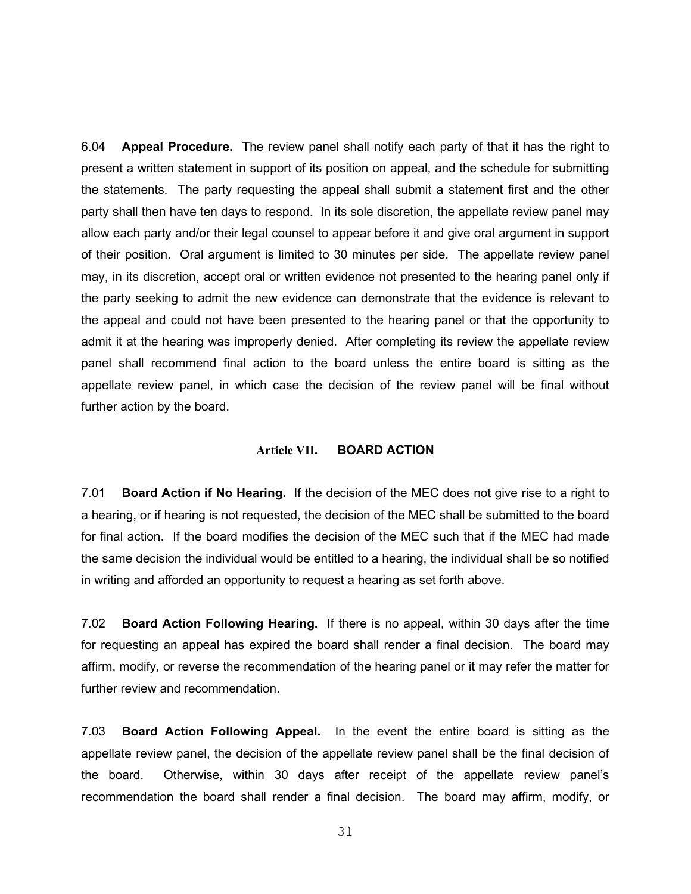6.04 **Appeal Procedure.** The review panel shall notify each party of that it has the right to present a written statement in support of its position on appeal, and the schedule for submitting the statements. The party requesting the appeal shall submit a statement first and the other party shall then have ten days to respond. In its sole discretion, the appellate review panel may allow each party and/or their legal counsel to appear before it and give oral argument in support of their position. Oral argument is limited to 30 minutes per side. The appellate review panel may, in its discretion, accept oral or written evidence not presented to the hearing panel only if the party seeking to admit the new evidence can demonstrate that the evidence is relevant to the appeal and could not have been presented to the hearing panel or that the opportunity to admit it at the hearing was improperly denied. After completing its review the appellate review panel shall recommend final action to the board unless the entire board is sitting as the appellate review panel, in which case the decision of the review panel will be final without further action by the board.

#### **Article VII. BOARD ACTION**

7.01 **Board Action if No Hearing.** If the decision of the MEC does not give rise to a right to a hearing, or if hearing is not requested, the decision of the MEC shall be submitted to the board for final action. If the board modifies the decision of the MEC such that if the MEC had made the same decision the individual would be entitled to a hearing, the individual shall be so notified in writing and afforded an opportunity to request a hearing as set forth above.

7.02 **Board Action Following Hearing.** If there is no appeal, within 30 days after the time for requesting an appeal has expired the board shall render a final decision. The board may affirm, modify, or reverse the recommendation of the hearing panel or it may refer the matter for further review and recommendation.

7.03 **Board Action Following Appeal.** In the event the entire board is sitting as the appellate review panel, the decision of the appellate review panel shall be the final decision of the board. Otherwise, within 30 days after receipt of the appellate review panel's recommendation the board shall render a final decision. The board may affirm, modify, or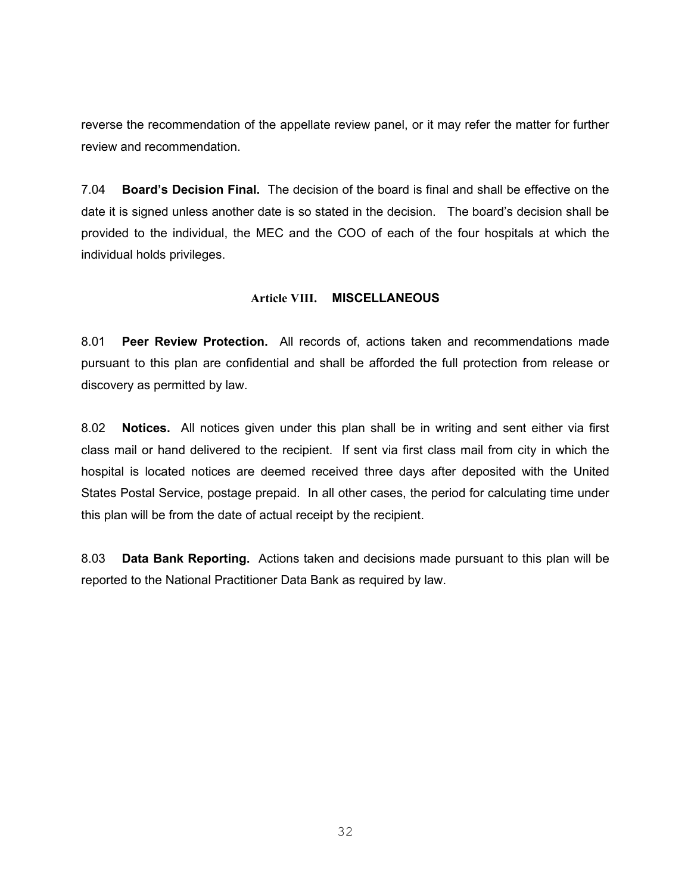reverse the recommendation of the appellate review panel, or it may refer the matter for further review and recommendation.

7.04 **Board's Decision Final.** The decision of the board is final and shall be effective on the date it is signed unless another date is so stated in the decision. The board's decision shall be provided to the individual, the MEC and the COO of each of the four hospitals at which the individual holds privileges.

# **Article VIII. MISCELLANEOUS**

8.01 **Peer Review Protection.** All records of, actions taken and recommendations made pursuant to this plan are confidential and shall be afforded the full protection from release or discovery as permitted by law.

8.02 **Notices.** All notices given under this plan shall be in writing and sent either via first class mail or hand delivered to the recipient. If sent via first class mail from city in which the hospital is located notices are deemed received three days after deposited with the United States Postal Service, postage prepaid. In all other cases, the period for calculating time under this plan will be from the date of actual receipt by the recipient.

8.03 **Data Bank Reporting.** Actions taken and decisions made pursuant to this plan will be reported to the National Practitioner Data Bank as required by law.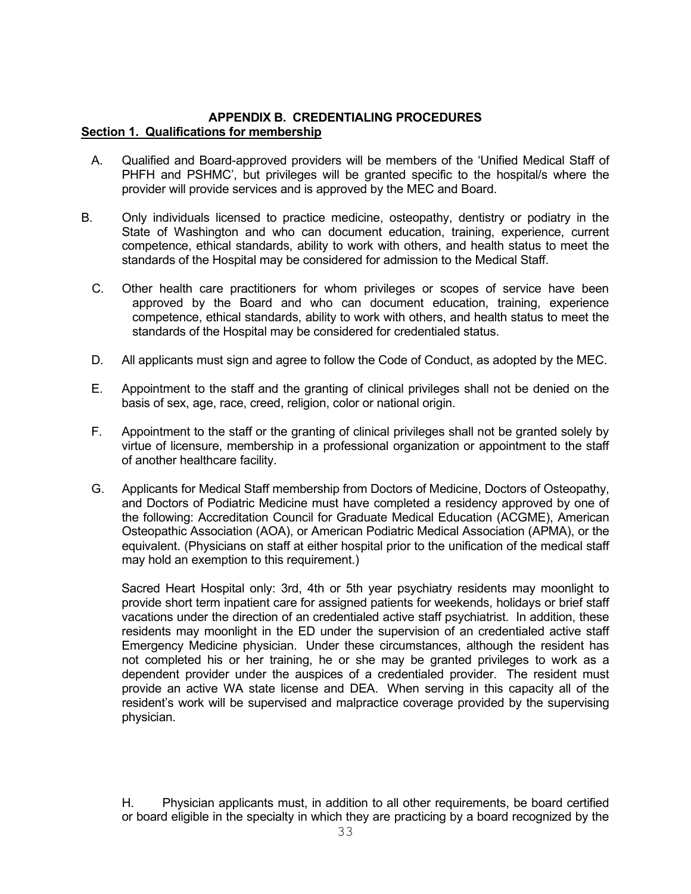# **APPENDIX B. CREDENTIALING PROCEDURES Section 1. Qualifications for membership**

- A. Qualified and Board-approved providers will be members of the 'Unified Medical Staff of PHFH and PSHMC', but privileges will be granted specific to the hospital/s where the provider will provide services and is approved by the MEC and Board.
- B. Only individuals licensed to practice medicine, osteopathy, dentistry or podiatry in the State of Washington and who can document education, training, experience, current competence, ethical standards, ability to work with others, and health status to meet the standards of the Hospital may be considered for admission to the Medical Staff.
	- C. Other health care practitioners for whom privileges or scopes of service have been approved by the Board and who can document education, training, experience competence, ethical standards, ability to work with others, and health status to meet the standards of the Hospital may be considered for credentialed status.
	- D. All applicants must sign and agree to follow the Code of Conduct, as adopted by the MEC.
	- E. Appointment to the staff and the granting of clinical privileges shall not be denied on the basis of sex, age, race, creed, religion, color or national origin.
	- F. Appointment to the staff or the granting of clinical privileges shall not be granted solely by virtue of licensure, membership in a professional organization or appointment to the staff of another healthcare facility.
	- G. Applicants for Medical Staff membership from Doctors of Medicine, Doctors of Osteopathy, and Doctors of Podiatric Medicine must have completed a residency approved by one of the following: Accreditation Council for Graduate Medical Education (ACGME), American Osteopathic Association (AOA), or American Podiatric Medical Association (APMA), or the equivalent. (Physicians on staff at either hospital prior to the unification of the medical staff may hold an exemption to this requirement.)

 Sacred Heart Hospital only: 3rd, 4th or 5th year psychiatry residents may moonlight to provide short term inpatient care for assigned patients for weekends, holidays or brief staff vacations under the direction of an credentialed active staff psychiatrist. In addition, these residents may moonlight in the ED under the supervision of an credentialed active staff Emergency Medicine physician. Under these circumstances, although the resident has not completed his or her training, he or she may be granted privileges to work as a dependent provider under the auspices of a credentialed provider. The resident must provide an active WA state license and DEA. When serving in this capacity all of the resident's work will be supervised and malpractice coverage provided by the supervising physician.

H. Physician applicants must, in addition to all other requirements, be board certified or board eligible in the specialty in which they are practicing by a board recognized by the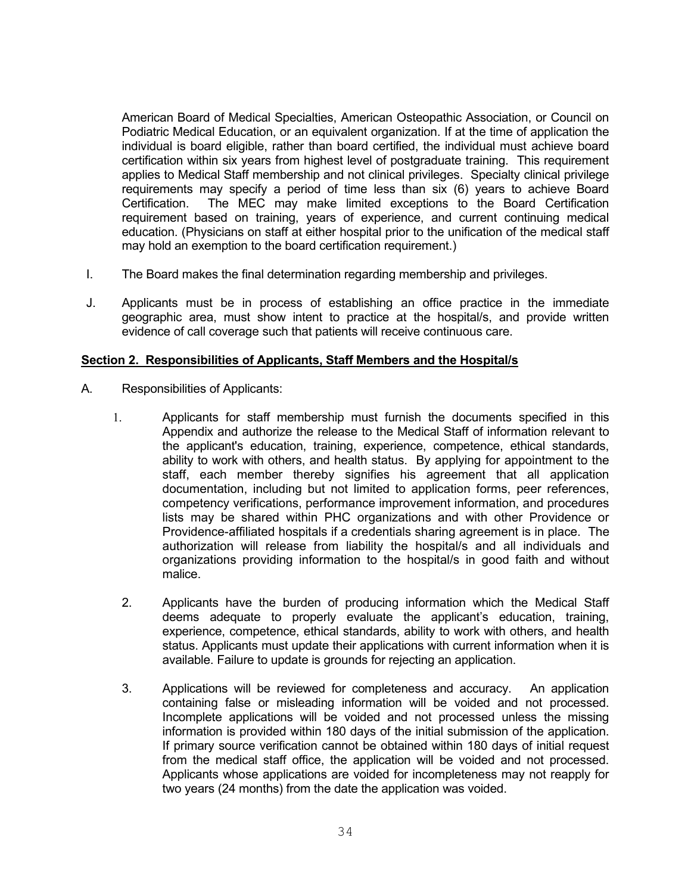American Board of Medical Specialties, American Osteopathic Association, or Council on Podiatric Medical Education, or an equivalent organization. If at the time of application the individual is board eligible, rather than board certified, the individual must achieve board certification within six years from highest level of postgraduate training. This requirement applies to Medical Staff membership and not clinical privileges. Specialty clinical privilege requirements may specify a period of time less than six (6) years to achieve Board Certification. The MEC may make limited exceptions to the Board Certification requirement based on training, years of experience, and current continuing medical education. (Physicians on staff at either hospital prior to the unification of the medical staff may hold an exemption to the board certification requirement.)

- I. The Board makes the final determination regarding membership and privileges.
- J. Applicants must be in process of establishing an office practice in the immediate geographic area, must show intent to practice at the hospital/s, and provide written evidence of call coverage such that patients will receive continuous care.

# **Section 2. Responsibilities of Applicants, Staff Members and the Hospital/s**

- A. Responsibilities of Applicants:
	- 1. Applicants for staff membership must furnish the documents specified in this Appendix and authorize the release to the Medical Staff of information relevant to the applicant's education, training, experience, competence, ethical standards, ability to work with others, and health status. By applying for appointment to the staff, each member thereby signifies his agreement that all application documentation, including but not limited to application forms, peer references, competency verifications, performance improvement information, and procedures lists may be shared within PHC organizations and with other Providence or Providence-affiliated hospitals if a credentials sharing agreement is in place. The authorization will release from liability the hospital/s and all individuals and organizations providing information to the hospital/s in good faith and without malice.
		- 2. Applicants have the burden of producing information which the Medical Staff deems adequate to properly evaluate the applicant's education, training, experience, competence, ethical standards, ability to work with others, and health status. Applicants must update their applications with current information when it is available. Failure to update is grounds for rejecting an application.
		- 3. Applications will be reviewed for completeness and accuracy. An application containing false or misleading information will be voided and not processed. Incomplete applications will be voided and not processed unless the missing information is provided within 180 days of the initial submission of the application. If primary source verification cannot be obtained within 180 days of initial request from the medical staff office, the application will be voided and not processed. Applicants whose applications are voided for incompleteness may not reapply for two years (24 months) from the date the application was voided.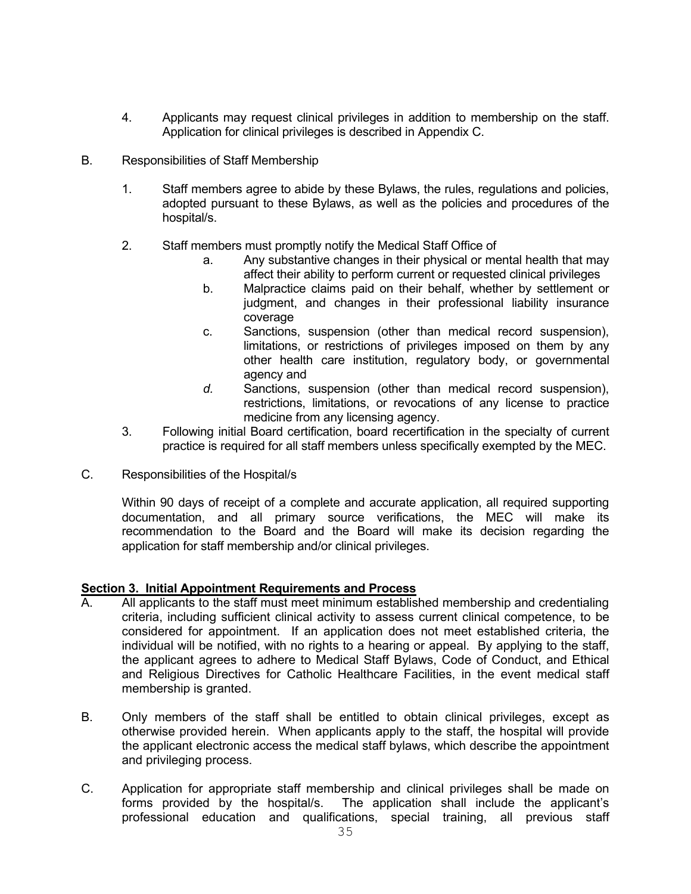- 4. Applicants may request clinical privileges in addition to membership on the staff. Application for clinical privileges is described in Appendix C.
- B. Responsibilities of Staff Membership
	- 1. Staff members agree to abide by these Bylaws, the rules, regulations and policies, adopted pursuant to these Bylaws, as well as the policies and procedures of the hospital/s.
	- 2. Staff members must promptly notify the Medical Staff Office of
		- a. Any substantive changes in their physical or mental health that may affect their ability to perform current or requested clinical privileges
		- b. Malpractice claims paid on their behalf, whether by settlement or judgment, and changes in their professional liability insurance coverage
		- c. Sanctions, suspension (other than medical record suspension), limitations, or restrictions of privileges imposed on them by any other health care institution, regulatory body, or governmental agency and
		- *d.* Sanctions, suspension (other than medical record suspension), restrictions, limitations, or revocations of any license to practice medicine from any licensing agency.
	- 3. Following initial Board certification, board recertification in the specialty of current practice is required for all staff members unless specifically exempted by the MEC.
- C. Responsibilities of the Hospital/s

Within 90 days of receipt of a complete and accurate application, all required supporting documentation, and all primary source verifications, the MEC will make its recommendation to the Board and the Board will make its decision regarding the application for staff membership and/or clinical privileges.

# **Section 3. Initial Appointment Requirements and Process**

- All applicants to the staff must meet minimum established membership and credentialing criteria, including sufficient clinical activity to assess current clinical competence, to be considered for appointment. If an application does not meet established criteria, the individual will be notified, with no rights to a hearing or appeal. By applying to the staff, the applicant agrees to adhere to Medical Staff Bylaws, Code of Conduct, and Ethical and Religious Directives for Catholic Healthcare Facilities, in the event medical staff membership is granted.
- B. Only members of the staff shall be entitled to obtain clinical privileges, except as otherwise provided herein. When applicants apply to the staff, the hospital will provide the applicant electronic access the medical staff bylaws, which describe the appointment and privileging process.
- C. Application for appropriate staff membership and clinical privileges shall be made on forms provided by the hospital/s. The application shall include the applicant's professional education and qualifications, special training, all previous staff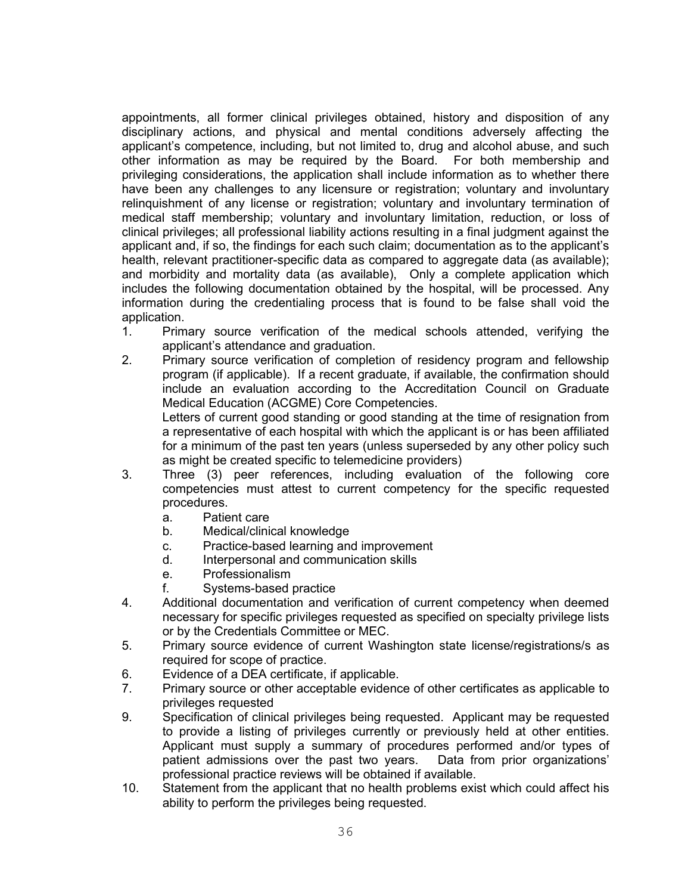appointments, all former clinical privileges obtained, history and disposition of any disciplinary actions, and physical and mental conditions adversely affecting the applicant's competence, including, but not limited to, drug and alcohol abuse, and such other information as may be required by the Board. For both membership and privileging considerations, the application shall include information as to whether there have been any challenges to any licensure or registration; voluntary and involuntary relinquishment of any license or registration; voluntary and involuntary termination of medical staff membership; voluntary and involuntary limitation, reduction, or loss of clinical privileges; all professional liability actions resulting in a final judgment against the applicant and, if so, the findings for each such claim; documentation as to the applicant's health, relevant practitioner-specific data as compared to aggregate data (as available); and morbidity and mortality data (as available), Only a complete application which includes the following documentation obtained by the hospital, will be processed. Any information during the credentialing process that is found to be false shall void the application.

- 1. Primary source verification of the medical schools attended, verifying the applicant's attendance and graduation.
- 2. Primary source verification of completion of residency program and fellowship program (if applicable). If a recent graduate, if available, the confirmation should include an evaluation according to the Accreditation Council on Graduate Medical Education (ACGME) Core Competencies. Letters of current good standing or good standing at the time of resignation from a representative of each hospital with which the applicant is or has been affiliated for a minimum of the past ten years (unless superseded by any other policy such as might be created specific to telemedicine providers)
- 3. Three (3) peer references, including evaluation of the following core competencies must attest to current competency for the specific requested procedures.
	- a. Patient care
	- b. Medical/clinical knowledge
	- c. Practice-based learning and improvement
	- d. Interpersonal and communication skills
	- e. Professionalism
	- f. Systems-based practice
- 4. Additional documentation and verification of current competency when deemed necessary for specific privileges requested as specified on specialty privilege lists or by the Credentials Committee or MEC.
- 5. Primary source evidence of current Washington state license/registrations/s as required for scope of practice.
- 6. Evidence of a DEA certificate, if applicable.
- 7. Primary source or other acceptable evidence of other certificates as applicable to privileges requested
- 9. Specification of clinical privileges being requested. Applicant may be requested to provide a listing of privileges currently or previously held at other entities. Applicant must supply a summary of procedures performed and/or types of patient admissions over the past two years. Data from prior organizations' professional practice reviews will be obtained if available.
- 10. Statement from the applicant that no health problems exist which could affect his ability to perform the privileges being requested.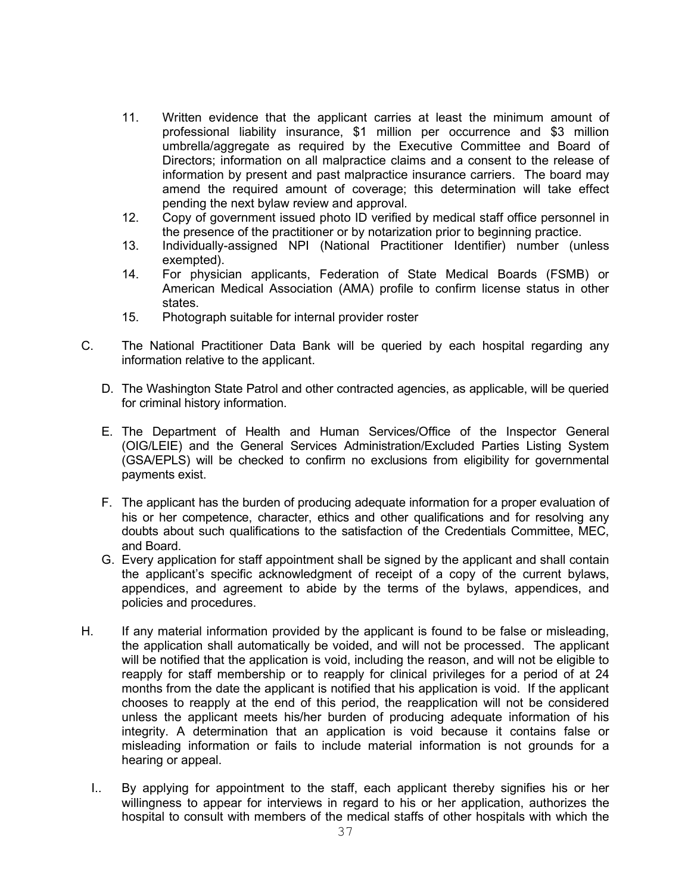- 11. Written evidence that the applicant carries at least the minimum amount of professional liability insurance, \$1 million per occurrence and \$3 million umbrella/aggregate as required by the Executive Committee and Board of Directors; information on all malpractice claims and a consent to the release of information by present and past malpractice insurance carriers. The board may amend the required amount of coverage; this determination will take effect pending the next bylaw review and approval.
- 12. Copy of government issued photo ID verified by medical staff office personnel in the presence of the practitioner or by notarization prior to beginning practice.
- 13. Individually-assigned NPI (National Practitioner Identifier) number (unless exempted).
- 14. For physician applicants, Federation of State Medical Boards (FSMB) or American Medical Association (AMA) profile to confirm license status in other states.
- 15. Photograph suitable for internal provider roster
- C. The National Practitioner Data Bank will be queried by each hospital regarding any information relative to the applicant.
	- D. The Washington State Patrol and other contracted agencies, as applicable, will be queried for criminal history information.
	- E. The Department of Health and Human Services/Office of the Inspector General (OIG/LEIE) and the General Services Administration/Excluded Parties Listing System (GSA/EPLS) will be checked to confirm no exclusions from eligibility for governmental payments exist.
	- F. The applicant has the burden of producing adequate information for a proper evaluation of his or her competence, character, ethics and other qualifications and for resolving any doubts about such qualifications to the satisfaction of the Credentials Committee, MEC, and Board.
	- G. Every application for staff appointment shall be signed by the applicant and shall contain the applicant's specific acknowledgment of receipt of a copy of the current bylaws, appendices, and agreement to abide by the terms of the bylaws, appendices, and policies and procedures.
- H. If any material information provided by the applicant is found to be false or misleading, the application shall automatically be voided, and will not be processed. The applicant will be notified that the application is void, including the reason, and will not be eligible to reapply for staff membership or to reapply for clinical privileges for a period of at 24 months from the date the applicant is notified that his application is void. If the applicant chooses to reapply at the end of this period, the reapplication will not be considered unless the applicant meets his/her burden of producing adequate information of his integrity. A determination that an application is void because it contains false or misleading information or fails to include material information is not grounds for a hearing or appeal.
	- I.. By applying for appointment to the staff, each applicant thereby signifies his or her willingness to appear for interviews in regard to his or her application, authorizes the hospital to consult with members of the medical staffs of other hospitals with which the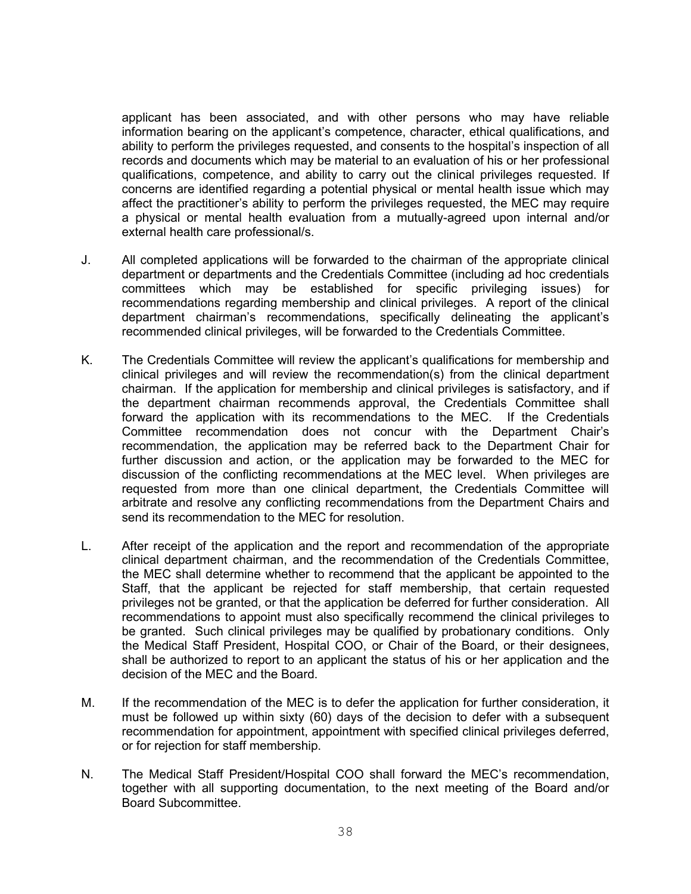applicant has been associated, and with other persons who may have reliable information bearing on the applicant's competence, character, ethical qualifications, and ability to perform the privileges requested, and consents to the hospital's inspection of all records and documents which may be material to an evaluation of his or her professional qualifications, competence, and ability to carry out the clinical privileges requested. If concerns are identified regarding a potential physical or mental health issue which may affect the practitioner's ability to perform the privileges requested, the MEC may require a physical or mental health evaluation from a mutually-agreed upon internal and/or external health care professional/s.

- J. All completed applications will be forwarded to the chairman of the appropriate clinical department or departments and the Credentials Committee (including ad hoc credentials committees which may be established for specific privileging issues) for recommendations regarding membership and clinical privileges. A report of the clinical department chairman's recommendations, specifically delineating the applicant's recommended clinical privileges, will be forwarded to the Credentials Committee.
- K. The Credentials Committee will review the applicant's qualifications for membership and clinical privileges and will review the recommendation(s) from the clinical department chairman. If the application for membership and clinical privileges is satisfactory, and if the department chairman recommends approval, the Credentials Committee shall forward the application with its recommendations to the MEC. If the Credentials Committee recommendation does not concur with the Department Chair's recommendation, the application may be referred back to the Department Chair for further discussion and action, or the application may be forwarded to the MEC for discussion of the conflicting recommendations at the MEC level. When privileges are requested from more than one clinical department, the Credentials Committee will arbitrate and resolve any conflicting recommendations from the Department Chairs and send its recommendation to the MEC for resolution.
- L. After receipt of the application and the report and recommendation of the appropriate clinical department chairman, and the recommendation of the Credentials Committee, the MEC shall determine whether to recommend that the applicant be appointed to the Staff, that the applicant be rejected for staff membership, that certain requested privileges not be granted, or that the application be deferred for further consideration. All recommendations to appoint must also specifically recommend the clinical privileges to be granted. Such clinical privileges may be qualified by probationary conditions. Only the Medical Staff President, Hospital COO, or Chair of the Board, or their designees, shall be authorized to report to an applicant the status of his or her application and the decision of the MEC and the Board.
- M. If the recommendation of the MEC is to defer the application for further consideration, it must be followed up within sixty (60) days of the decision to defer with a subsequent recommendation for appointment, appointment with specified clinical privileges deferred, or for rejection for staff membership.
- N. The Medical Staff President/Hospital COO shall forward the MEC's recommendation, together with all supporting documentation, to the next meeting of the Board and/or Board Subcommittee.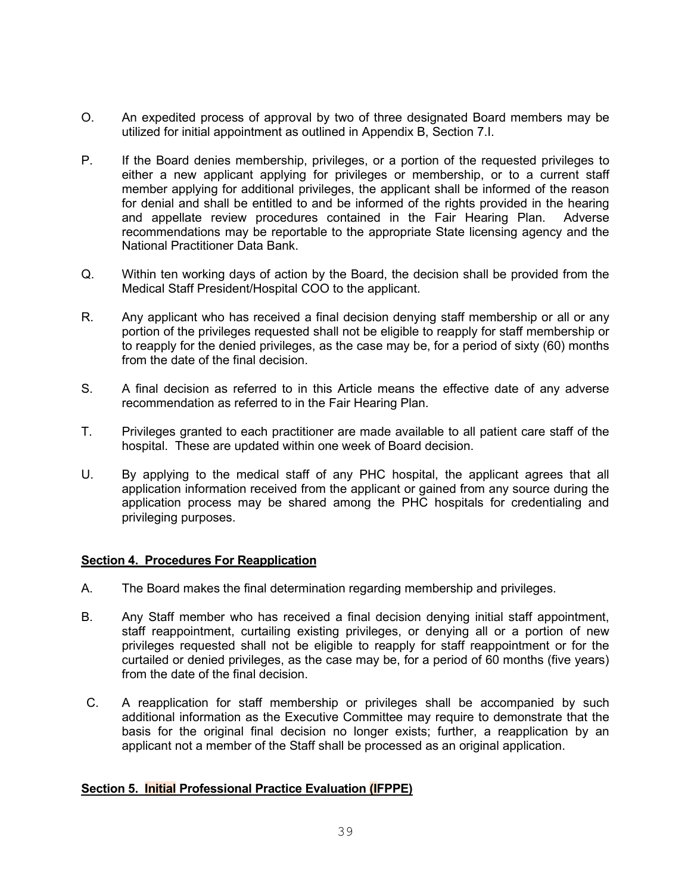- O. An expedited process of approval by two of three designated Board members may be utilized for initial appointment as outlined in Appendix B, Section 7.I.
- P. If the Board denies membership, privileges, or a portion of the requested privileges to either a new applicant applying for privileges or membership, or to a current staff member applying for additional privileges, the applicant shall be informed of the reason for denial and shall be entitled to and be informed of the rights provided in the hearing and appellate review procedures contained in the Fair Hearing Plan. Adverse recommendations may be reportable to the appropriate State licensing agency and the National Practitioner Data Bank.
- Q. Within ten working days of action by the Board, the decision shall be provided from the Medical Staff President/Hospital COO to the applicant.
- R. Any applicant who has received a final decision denying staff membership or all or any portion of the privileges requested shall not be eligible to reapply for staff membership or to reapply for the denied privileges, as the case may be, for a period of sixty (60) months from the date of the final decision.
- S. A final decision as referred to in this Article means the effective date of any adverse recommendation as referred to in the Fair Hearing Plan.
- T. Privileges granted to each practitioner are made available to all patient care staff of the hospital. These are updated within one week of Board decision.
- U. By applying to the medical staff of any PHC hospital, the applicant agrees that all application information received from the applicant or gained from any source during the application process may be shared among the PHC hospitals for credentialing and privileging purposes.

### **Section 4. Procedures For Reapplication**

- A. The Board makes the final determination regarding membership and privileges.
- B. Any Staff member who has received a final decision denying initial staff appointment, staff reappointment, curtailing existing privileges, or denying all or a portion of new privileges requested shall not be eligible to reapply for staff reappointment or for the curtailed or denied privileges, as the case may be, for a period of 60 months (five years) from the date of the final decision.
- C. A reapplication for staff membership or privileges shall be accompanied by such additional information as the Executive Committee may require to demonstrate that the basis for the original final decision no longer exists; further, a reapplication by an applicant not a member of the Staff shall be processed as an original application.

# **Section 5. Initial Professional Practice Evaluation (IFPPE)**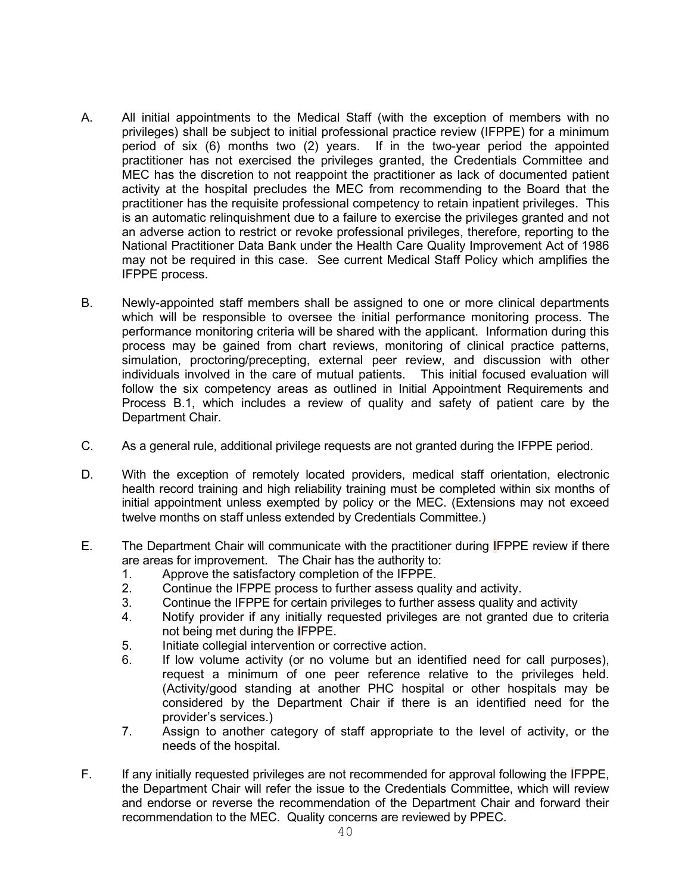- A. All initial appointments to the Medical Staff (with the exception of members with no privileges) shall be subject to initial professional practice review (IFPPE) for a minimum period of six (6) months two (2) years. If in the two-year period the appointed practitioner has not exercised the privileges granted, the Credentials Committee and MEC has the discretion to not reappoint the practitioner as lack of documented patient activity at the hospital precludes the MEC from recommending to the Board that the practitioner has the requisite professional competency to retain inpatient privileges. This is an automatic relinquishment due to a failure to exercise the privileges granted and not an adverse action to restrict or revoke professional privileges, therefore, reporting to the National Practitioner Data Bank under the Health Care Quality Improvement Act of 1986 may not be required in this case. See current Medical Staff Policy which amplifies the IFPPE process.
- B. Newly-appointed staff members shall be assigned to one or more clinical departments which will be responsible to oversee the initial performance monitoring process. The performance monitoring criteria will be shared with the applicant. Information during this process may be gained from chart reviews, monitoring of clinical practice patterns, simulation, proctoring/precepting, external peer review, and discussion with other individuals involved in the care of mutual patients. This initial focused evaluation will follow the six competency areas as outlined in Initial Appointment Requirements and Process B.1, which includes a review of quality and safety of patient care by the Department Chair.
- C. As a general rule, additional privilege requests are not granted during the IFPPE period.
- D. With the exception of remotely located providers, medical staff orientation, electronic health record training and high reliability training must be completed within six months of initial appointment unless exempted by policy or the MEC. (Extensions may not exceed twelve months on staff unless extended by Credentials Committee.)
- E. The Department Chair will communicate with the practitioner during IFPPE review if there are areas for improvement. The Chair has the authority to:
	- 1. Approve the satisfactory completion of the IFPPE.<br>2. Continue the IFPPE process to further assess qual
	- 2. Continue the IFPPE process to further assess quality and activity.
	- 3. Continue the IFPPE for certain privileges to further assess quality and activity
	- 4. Notify provider if any initially requested privileges are not granted due to criteria not being met during the IFPPE.
	- 5. Initiate collegial intervention or corrective action.
	- 6. If low volume activity (or no volume but an identified need for call purposes), request a minimum of one peer reference relative to the privileges held. (Activity/good standing at another PHC hospital or other hospitals may be considered by the Department Chair if there is an identified need for the provider's services.)
	- 7. Assign to another category of staff appropriate to the level of activity, or the needs of the hospital.
- F. If any initially requested privileges are not recommended for approval following the IFPPE, the Department Chair will refer the issue to the Credentials Committee, which will review and endorse or reverse the recommendation of the Department Chair and forward their recommendation to the MEC. Quality concerns are reviewed by PPEC.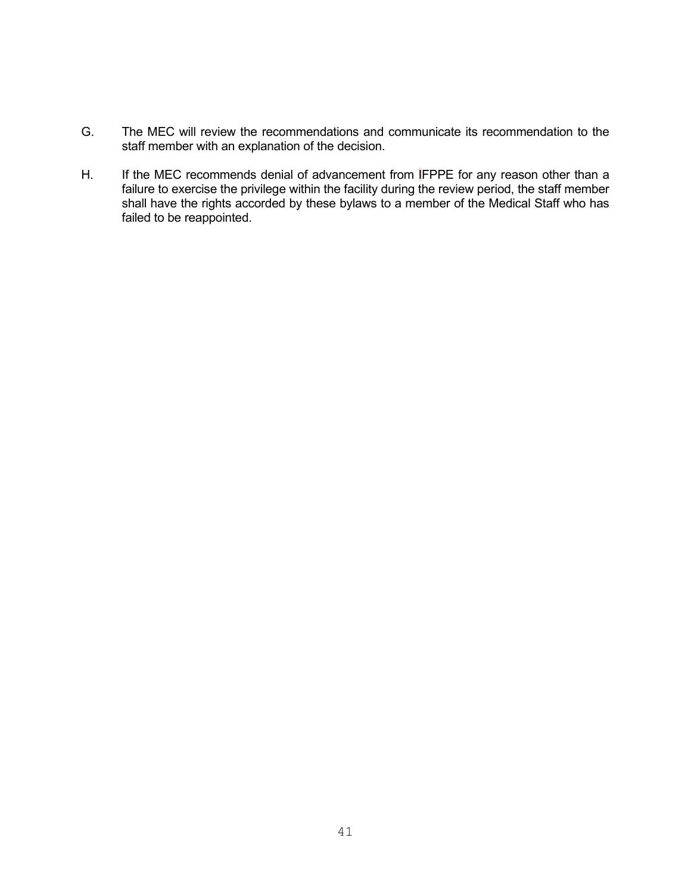- G. The MEC will review the recommendations and communicate its recommendation to the staff member with an explanation of the decision.
- H. If the MEC recommends denial of advancement from **I**FPPE for any reason other than a failure to exercise the privilege within the facility during the review period, the staff member shall have the rights accorded by these bylaws to a member of the Medical Staff who has failed to be reappointed.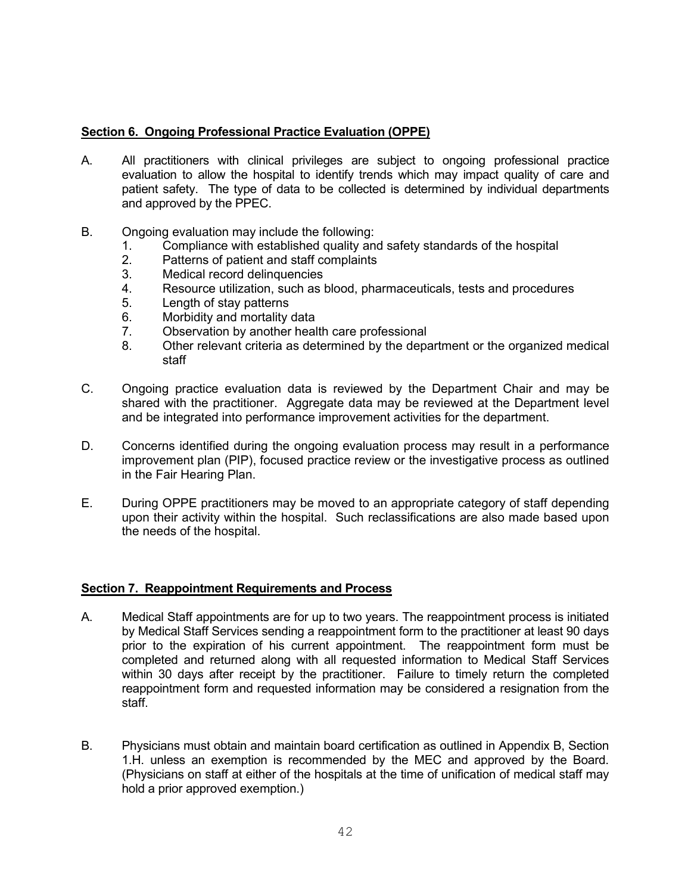# **Section 6. Ongoing Professional Practice Evaluation (OPPE)**

- A. All practitioners with clinical privileges are subject to ongoing professional practice evaluation to allow the hospital to identify trends which may impact quality of care and patient safety. The type of data to be collected is determined by individual departments and approved by the PPEC.
- B. Ongoing evaluation may include the following:
	- 1. Compliance with established quality and safety standards of the hospital 2.<br>2. Patterns of patient and staff complaints
	- 2. Patterns of patient and staff complaints<br>3. Medical record delinguencies
	- Medical record delinquencies
	- 4. Resource utilization, such as blood, pharmaceuticals, tests and procedures
	- 5. Length of stay patterns
	- 6. Morbidity and mortality data
	- 7. Observation by another health care professional
	- 8. Other relevant criteria as determined by the department or the organized medical staff
- C. Ongoing practice evaluation data is reviewed by the Department Chair and may be shared with the practitioner. Aggregate data may be reviewed at the Department level and be integrated into performance improvement activities for the department.
- D. Concerns identified during the ongoing evaluation process may result in a performance improvement plan (PIP), focused practice review or the investigative process as outlined in the Fair Hearing Plan.
- E. During OPPE practitioners may be moved to an appropriate category of staff depending upon their activity within the hospital. Such reclassifications are also made based upon the needs of the hospital.

### **Section 7. Reappointment Requirements and Process**

- A. Medical Staff appointments are for up to two years. The reappointment process is initiated by Medical Staff Services sending a reappointment form to the practitioner at least 90 days prior to the expiration of his current appointment. The reappointment form must be completed and returned along with all requested information to Medical Staff Services within 30 days after receipt by the practitioner. Failure to timely return the completed reappointment form and requested information may be considered a resignation from the staff.
- B. Physicians must obtain and maintain board certification as outlined in Appendix B, Section 1.H. unless an exemption is recommended by the MEC and approved by the Board. (Physicians on staff at either of the hospitals at the time of unification of medical staff may hold a prior approved exemption.)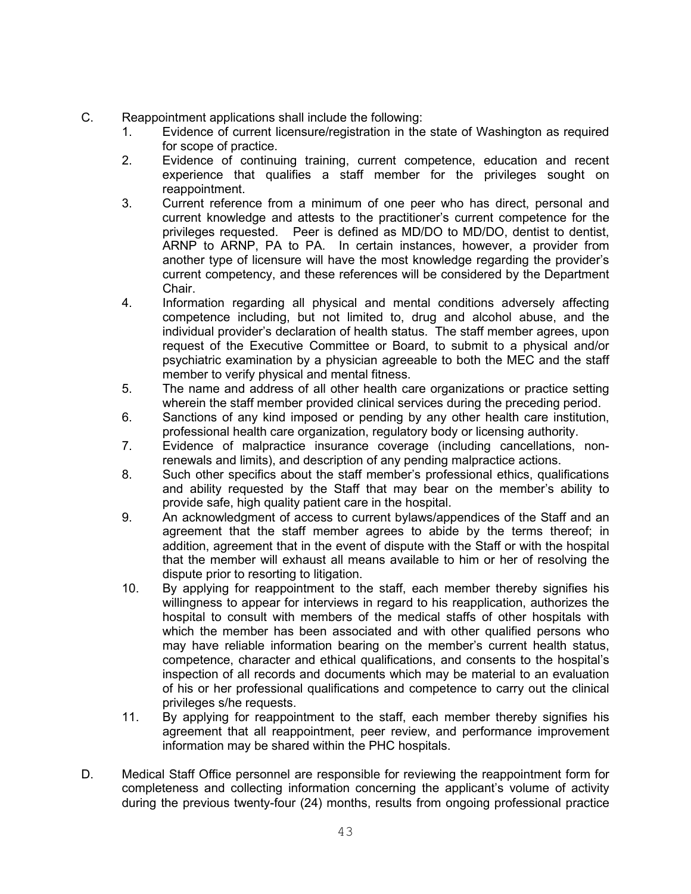- C. Reappointment applications shall include the following:
	- 1. Evidence of current licensure/registration in the state of Washington as required for scope of practice.
	- 2. Evidence of continuing training, current competence, education and recent experience that qualifies a staff member for the privileges sought on reappointment.
	- 3. Current reference from a minimum of one peer who has direct, personal and current knowledge and attests to the practitioner's current competence for the privileges requested. Peer is defined as MD/DO to MD/DO, dentist to dentist, ARNP to ARNP, PA to PA. In certain instances, however, a provider from another type of licensure will have the most knowledge regarding the provider's current competency, and these references will be considered by the Department Chair.
	- 4. Information regarding all physical and mental conditions adversely affecting competence including, but not limited to, drug and alcohol abuse, and the individual provider's declaration of health status. The staff member agrees, upon request of the Executive Committee or Board, to submit to a physical and/or psychiatric examination by a physician agreeable to both the MEC and the staff member to verify physical and mental fitness.
	- 5. The name and address of all other health care organizations or practice setting wherein the staff member provided clinical services during the preceding period.
	- 6. Sanctions of any kind imposed or pending by any other health care institution, professional health care organization, regulatory body or licensing authority.
	- 7. Evidence of malpractice insurance coverage (including cancellations, nonrenewals and limits), and description of any pending malpractice actions.
	- 8. Such other specifics about the staff member's professional ethics, qualifications and ability requested by the Staff that may bear on the member's ability to provide safe, high quality patient care in the hospital.
	- 9. An acknowledgment of access to current bylaws/appendices of the Staff and an agreement that the staff member agrees to abide by the terms thereof; in addition, agreement that in the event of dispute with the Staff or with the hospital that the member will exhaust all means available to him or her of resolving the dispute prior to resorting to litigation.
	- 10. By applying for reappointment to the staff, each member thereby signifies his willingness to appear for interviews in regard to his reapplication, authorizes the hospital to consult with members of the medical staffs of other hospitals with which the member has been associated and with other qualified persons who may have reliable information bearing on the member's current health status, competence, character and ethical qualifications, and consents to the hospital's inspection of all records and documents which may be material to an evaluation of his or her professional qualifications and competence to carry out the clinical privileges s/he requests.
	- 11. By applying for reappointment to the staff, each member thereby signifies his agreement that all reappointment, peer review, and performance improvement information may be shared within the PHC hospitals.
- D. Medical Staff Office personnel are responsible for reviewing the reappointment form for completeness and collecting information concerning the applicant's volume of activity during the previous twenty-four (24) months, results from ongoing professional practice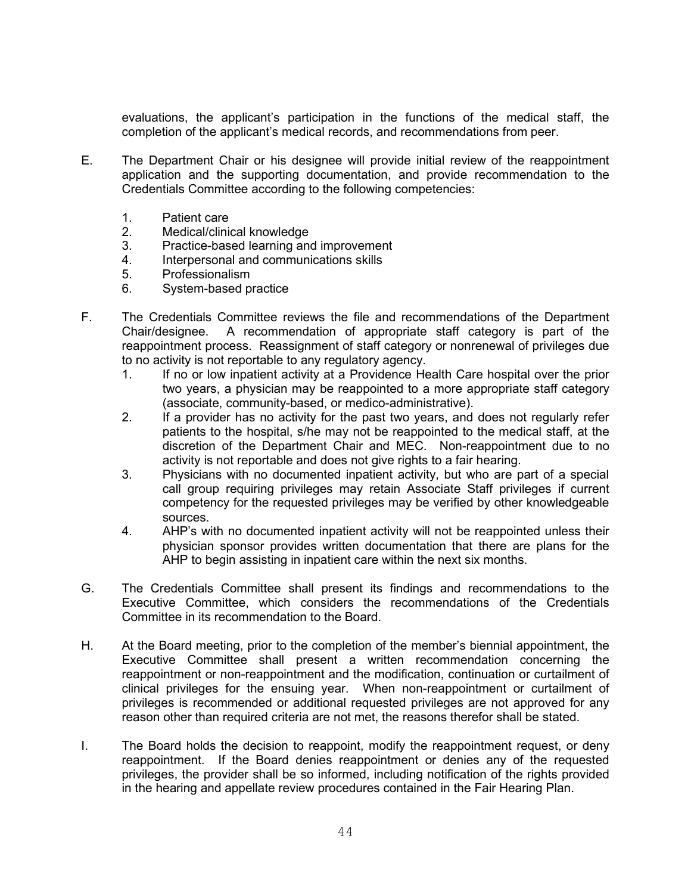evaluations, the applicant's participation in the functions of the medical staff, the completion of the applicant's medical records, and recommendations from peer.

- E. The Department Chair or his designee will provide initial review of the reappointment application and the supporting documentation, and provide recommendation to the Credentials Committee according to the following competencies:
	- 1. Patient care<br>2. Medical/clinio
	- Medical/clinical knowledge
	- 3. Practice-based learning and improvement<br>4 Interpersonal and communications skills
	- Interpersonal and communications skills
	- 5. Professionalism
	- 6. System-based practice
- F. The Credentials Committee reviews the file and recommendations of the Department Chair/designee. A recommendation of appropriate staff category is part of the reappointment process. Reassignment of staff category or nonrenewal of privileges due to no activity is not reportable to any regulatory agency.<br>1. If no or low inpatient activity at a Providence He
	- If no or low inpatient activity at a Providence Health Care hospital over the prior two years, a physician may be reappointed to a more appropriate staff category (associate, community-based, or medico-administrative).
	- 2. If a provider has no activity for the past two years, and does not regularly refer patients to the hospital, s/he may not be reappointed to the medical staff, at the discretion of the Department Chair and MEC. Non-reappointment due to no activity is not reportable and does not give rights to a fair hearing.
	- 3. Physicians with no documented inpatient activity, but who are part of a special call group requiring privileges may retain Associate Staff privileges if current competency for the requested privileges may be verified by other knowledgeable sources.
	- 4. AHP's with no documented inpatient activity will not be reappointed unless their physician sponsor provides written documentation that there are plans for the AHP to begin assisting in inpatient care within the next six months.
- G. The Credentials Committee shall present its findings and recommendations to the Executive Committee, which considers the recommendations of the Credentials Committee in its recommendation to the Board.
- H. At the Board meeting, prior to the completion of the member's biennial appointment, the Executive Committee shall present a written recommendation concerning the reappointment or non-reappointment and the modification, continuation or curtailment of clinical privileges for the ensuing year. When non-reappointment or curtailment of privileges is recommended or additional requested privileges are not approved for any reason other than required criteria are not met, the reasons therefor shall be stated.
- I. The Board holds the decision to reappoint, modify the reappointment request, or deny reappointment. If the Board denies reappointment or denies any of the requested privileges, the provider shall be so informed, including notification of the rights provided in the hearing and appellate review procedures contained in the Fair Hearing Plan.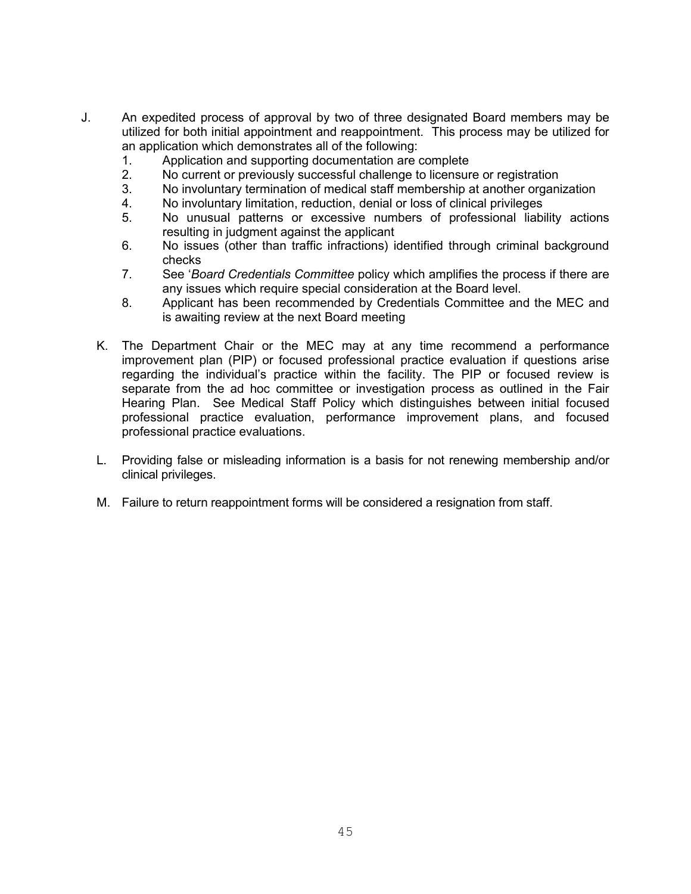- J. An expedited process of approval by two of three designated Board members may be utilized for both initial appointment and reappointment. This process may be utilized for an application which demonstrates all of the following:
	- 1. Application and supporting documentation are complete<br>2. No current or previously successful challenge to licensur
	- No current or previously successful challenge to licensure or registration
	- 3. No involuntary termination of medical staff membership at another organization
	- 4. No involuntary limitation, reduction, denial or loss of clinical privileges
	- 5. No unusual patterns or excessive numbers of professional liability actions resulting in judgment against the applicant
	- 6. No issues (other than traffic infractions) identified through criminal background checks
	- 7. See '*Board Credentials Committee* policy which amplifies the process if there are any issues which require special consideration at the Board level.
	- 8. Applicant has been recommended by Credentials Committee and the MEC and is awaiting review at the next Board meeting
	- K. The Department Chair or the MEC may at any time recommend a performance improvement plan (PIP) or focused professional practice evaluation if questions arise regarding the individual's practice within the facility. The PIP or focused review is separate from the ad hoc committee or investigation process as outlined in the Fair Hearing Plan. See Medical Staff Policy which distinguishes between initial focused professional practice evaluation, performance improvement plans, and focused professional practice evaluations.
	- L. Providing false or misleading information is a basis for not renewing membership and/or clinical privileges.
	- M. Failure to return reappointment forms will be considered a resignation from staff.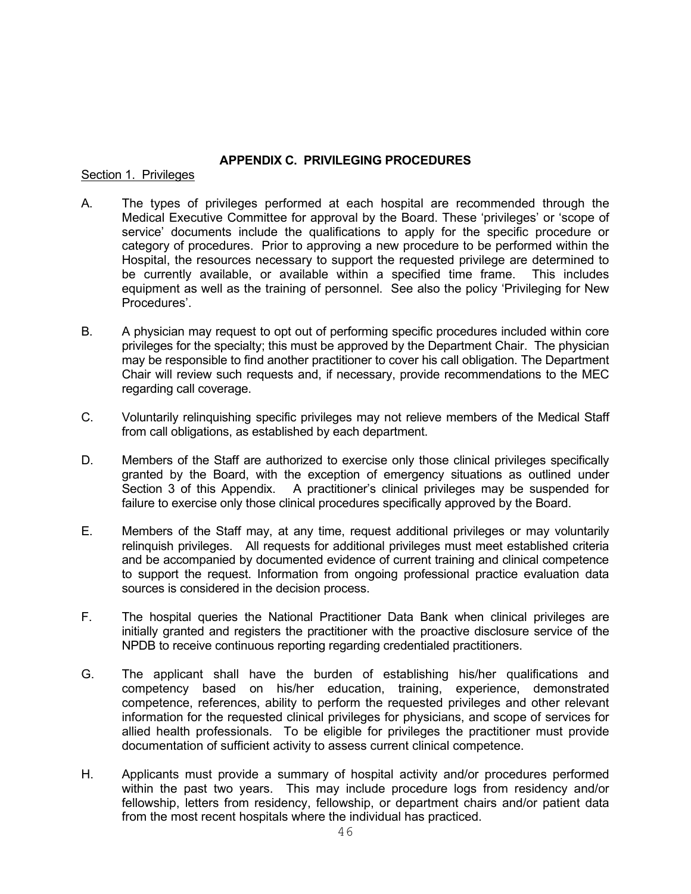# **APPENDIX C. PRIVILEGING PROCEDURES**

# Section 1. Privileges

- A. The types of privileges performed at each hospital are recommended through the Medical Executive Committee for approval by the Board. These 'privileges' or 'scope of service' documents include the qualifications to apply for the specific procedure or category of procedures. Prior to approving a new procedure to be performed within the Hospital, the resources necessary to support the requested privilege are determined to be currently available, or available within a specified time frame. This includes equipment as well as the training of personnel. See also the policy 'Privileging for New Procedures'.
- B. A physician may request to opt out of performing specific procedures included within core privileges for the specialty; this must be approved by the Department Chair. The physician may be responsible to find another practitioner to cover his call obligation. The Department Chair will review such requests and, if necessary, provide recommendations to the MEC regarding call coverage.
- C. Voluntarily relinquishing specific privileges may not relieve members of the Medical Staff from call obligations, as established by each department.
- D. Members of the Staff are authorized to exercise only those clinical privileges specifically granted by the Board, with the exception of emergency situations as outlined under<br>Section 3 of this Appendix. A practitioner's clinical privileges may be suspended for A practitioner's clinical privileges may be suspended for failure to exercise only those clinical procedures specifically approved by the Board.
- E. Members of the Staff may, at any time, request additional privileges or may voluntarily relinquish privileges. All requests for additional privileges must meet established criteria and be accompanied by documented evidence of current training and clinical competence to support the request. Information from ongoing professional practice evaluation data sources is considered in the decision process.
- F. The hospital queries the National Practitioner Data Bank when clinical privileges are initially granted and registers the practitioner with the proactive disclosure service of the NPDB to receive continuous reporting regarding credentialed practitioners.
- G. The applicant shall have the burden of establishing his/her qualifications and competency based on his/her education, training, experience, demonstrated competence, references, ability to perform the requested privileges and other relevant information for the requested clinical privileges for physicians, and scope of services for allied health professionals. To be eligible for privileges the practitioner must provide documentation of sufficient activity to assess current clinical competence.
- H. Applicants must provide a summary of hospital activity and/or procedures performed within the past two years. This may include procedure logs from residency and/or fellowship, letters from residency, fellowship, or department chairs and/or patient data from the most recent hospitals where the individual has practiced.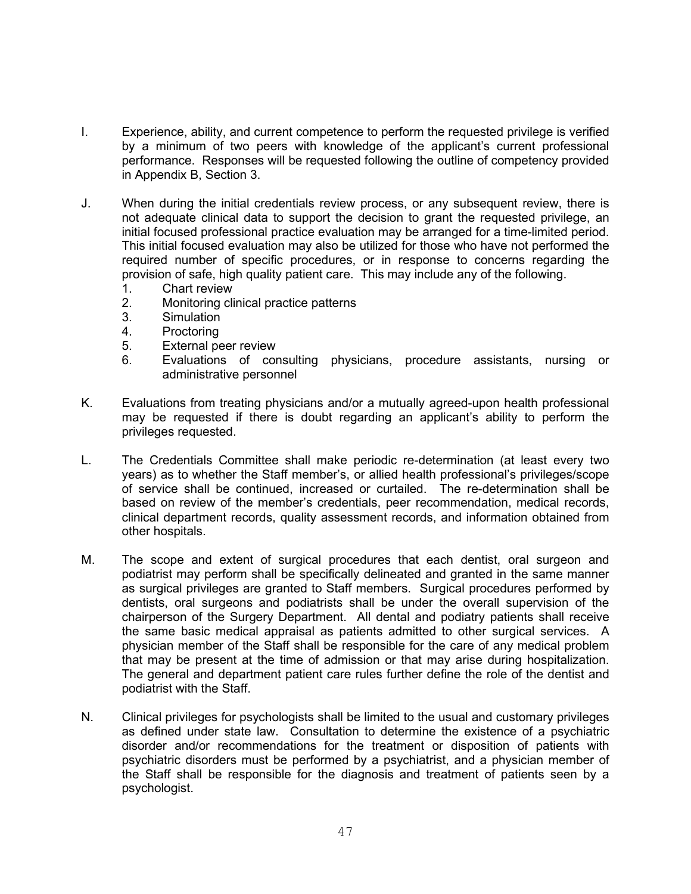- I. Experience, ability, and current competence to perform the requested privilege is verified by a minimum of two peers with knowledge of the applicant's current professional performance. Responses will be requested following the outline of competency provided in Appendix B, Section 3.
- J. When during the initial credentials review process, or any subsequent review, there is not adequate clinical data to support the decision to grant the requested privilege, an initial focused professional practice evaluation may be arranged for a time-limited period. This initial focused evaluation may also be utilized for those who have not performed the required number of specific procedures, or in response to concerns regarding the provision of safe, high quality patient care. This may include any of the following.
	- 1. Chart review
	- 2. Monitoring clinical practice patterns
	- 3. Simulation
	- 4. Proctoring
	- 5. External peer review
	- 6. Evaluations of consulting physicians, procedure assistants, nursing or administrative personnel
- K. Evaluations from treating physicians and/or a mutually agreed-upon health professional may be requested if there is doubt regarding an applicant's ability to perform the privileges requested.
- L. The Credentials Committee shall make periodic re-determination (at least every two years) as to whether the Staff member's, or allied health professional's privileges/scope of service shall be continued, increased or curtailed. The re-determination shall be based on review of the member's credentials, peer recommendation, medical records, clinical department records, quality assessment records, and information obtained from other hospitals.
- M. The scope and extent of surgical procedures that each dentist, oral surgeon and podiatrist may perform shall be specifically delineated and granted in the same manner as surgical privileges are granted to Staff members. Surgical procedures performed by dentists, oral surgeons and podiatrists shall be under the overall supervision of the chairperson of the Surgery Department. All dental and podiatry patients shall receive the same basic medical appraisal as patients admitted to other surgical services. A physician member of the Staff shall be responsible for the care of any medical problem that may be present at the time of admission or that may arise during hospitalization. The general and department patient care rules further define the role of the dentist and podiatrist with the Staff.
- N. Clinical privileges for psychologists shall be limited to the usual and customary privileges as defined under state law. Consultation to determine the existence of a psychiatric disorder and/or recommendations for the treatment or disposition of patients with psychiatric disorders must be performed by a psychiatrist, and a physician member of the Staff shall be responsible for the diagnosis and treatment of patients seen by a psychologist.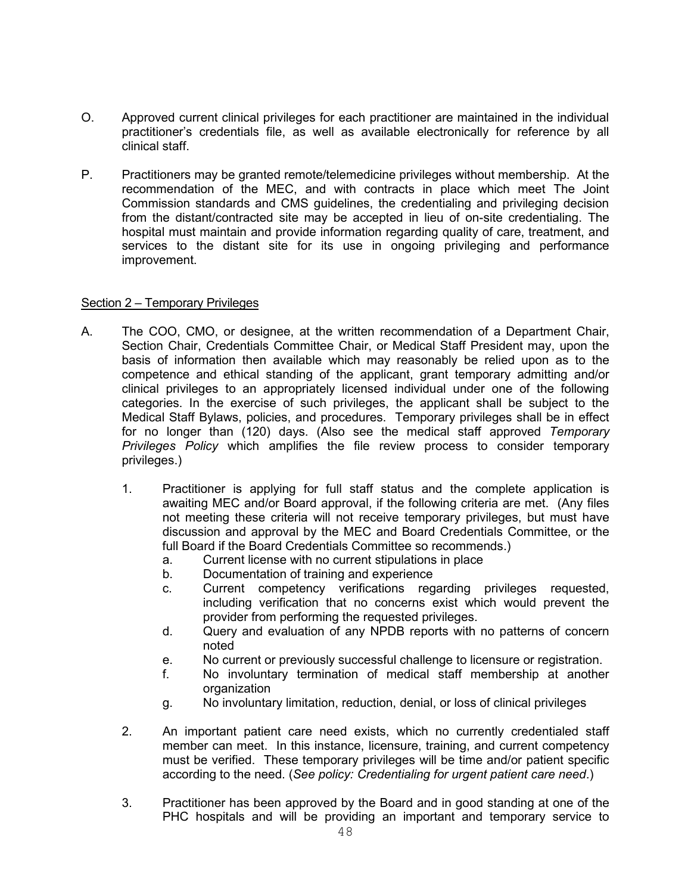- O. Approved current clinical privileges for each practitioner are maintained in the individual practitioner's credentials file, as well as available electronically for reference by all clinical staff.
- P. Practitioners may be granted remote/telemedicine privileges without membership. At the recommendation of the MEC, and with contracts in place which meet The Joint Commission standards and CMS guidelines, the credentialing and privileging decision from the distant/contracted site may be accepted in lieu of on-site credentialing. The hospital must maintain and provide information regarding quality of care, treatment, and services to the distant site for its use in ongoing privileging and performance improvement.

# Section 2 – Temporary Privileges

- A. The COO, CMO, or designee, at the written recommendation of a Department Chair, Section Chair, Credentials Committee Chair, or Medical Staff President may, upon the basis of information then available which may reasonably be relied upon as to the competence and ethical standing of the applicant, grant temporary admitting and/or clinical privileges to an appropriately licensed individual under one of the following categories. In the exercise of such privileges, the applicant shall be subject to the Medical Staff Bylaws, policies, and procedures. Temporary privileges shall be in effect for no longer than (120) days. (Also see the medical staff approved *Temporary Privileges Policy* which amplifies the file review process to consider temporary privileges.)
	- 1. Practitioner is applying for full staff status and the complete application is awaiting MEC and/or Board approval, if the following criteria are met. (Any files not meeting these criteria will not receive temporary privileges, but must have discussion and approval by the MEC and Board Credentials Committee, or the full Board if the Board Credentials Committee so recommends.)
		- a. Current license with no current stipulations in place
		- b. Documentation of training and experience
		- c. Current competency verifications regarding privileges requested, including verification that no concerns exist which would prevent the provider from performing the requested privileges.
		- d. Query and evaluation of any NPDB reports with no patterns of concern noted
		- e. No current or previously successful challenge to licensure or registration.
		- f. No involuntary termination of medical staff membership at another organization
		- g. No involuntary limitation, reduction, denial, or loss of clinical privileges
	- 2. An important patient care need exists, which no currently credentialed staff member can meet. In this instance, licensure, training, and current competency must be verified. These temporary privileges will be time and/or patient specific according to the need. (*See policy: Credentialing for urgent patient care need*.)
	- 3. Practitioner has been approved by the Board and in good standing at one of the PHC hospitals and will be providing an important and temporary service to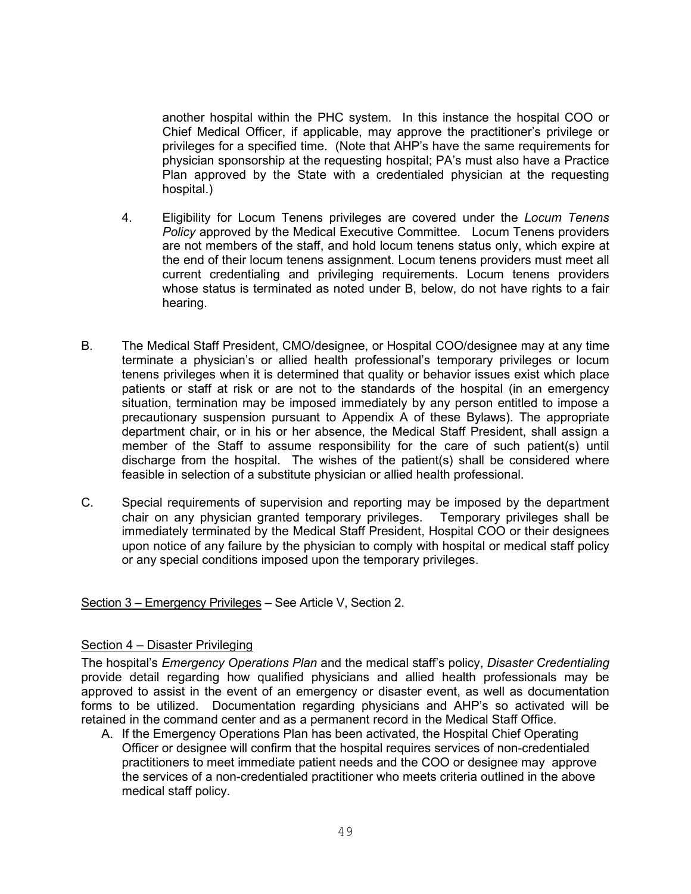another hospital within the PHC system. In this instance the hospital COO or Chief Medical Officer, if applicable, may approve the practitioner's privilege or privileges for a specified time. (Note that AHP's have the same requirements for physician sponsorship at the requesting hospital; PA's must also have a Practice Plan approved by the State with a credentialed physician at the requesting hospital.)

- 4. Eligibility for Locum Tenens privileges are covered under the *Locum Tenens Policy* approved by the Medical Executive Committee. Locum Tenens providers are not members of the staff, and hold locum tenens status only, which expire at the end of their locum tenens assignment. Locum tenens providers must meet all current credentialing and privileging requirements. Locum tenens providers whose status is terminated as noted under B, below, do not have rights to a fair hearing.
- B. The Medical Staff President, CMO/designee, or Hospital COO/designee may at any time terminate a physician's or allied health professional's temporary privileges or locum tenens privileges when it is determined that quality or behavior issues exist which place patients or staff at risk or are not to the standards of the hospital (in an emergency situation, termination may be imposed immediately by any person entitled to impose a precautionary suspension pursuant to Appendix A of these Bylaws). The appropriate department chair, or in his or her absence, the Medical Staff President, shall assign a member of the Staff to assume responsibility for the care of such patient(s) until discharge from the hospital. The wishes of the patient(s) shall be considered where feasible in selection of a substitute physician or allied health professional.
- C. Special requirements of supervision and reporting may be imposed by the department chair on any physician granted temporary privileges. Temporary privileges shall be immediately terminated by the Medical Staff President, Hospital COO or their designees upon notice of any failure by the physician to comply with hospital or medical staff policy or any special conditions imposed upon the temporary privileges.

### Section 3 – Emergency Privileges – See Article V, Section 2.

### Section 4 – Disaster Privileging

The hospital's *Emergency Operations Plan* and the medical staff's policy, *Disaster Credentialing* provide detail regarding how qualified physicians and allied health professionals may be approved to assist in the event of an emergency or disaster event, as well as documentation forms to be utilized. Documentation regarding physicians and AHP's so activated will be retained in the command center and as a permanent record in the Medical Staff Office.

A. If the Emergency Operations Plan has been activated, the Hospital Chief Operating Officer or designee will confirm that the hospital requires services of non-credentialed practitioners to meet immediate patient needs and the COO or designee may approve the services of a non-credentialed practitioner who meets criteria outlined in the above medical staff policy.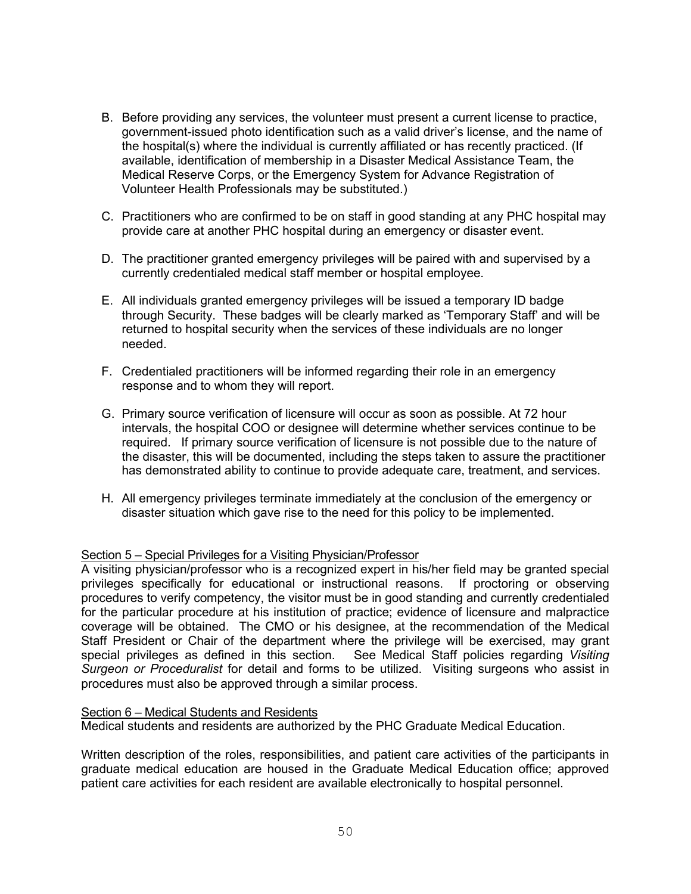- B. Before providing any services, the volunteer must present a current license to practice, government-issued photo identification such as a valid driver's license, and the name of the hospital(s) where the individual is currently affiliated or has recently practiced. (If available, identification of membership in a Disaster Medical Assistance Team, the Medical Reserve Corps, or the Emergency System for Advance Registration of Volunteer Health Professionals may be substituted.)
- C. Practitioners who are confirmed to be on staff in good standing at any PHC hospital may provide care at another PHC hospital during an emergency or disaster event.
- D. The practitioner granted emergency privileges will be paired with and supervised by a currently credentialed medical staff member or hospital employee.
- E. All individuals granted emergency privileges will be issued a temporary ID badge through Security. These badges will be clearly marked as 'Temporary Staff' and will be returned to hospital security when the services of these individuals are no longer needed.
- F. Credentialed practitioners will be informed regarding their role in an emergency response and to whom they will report.
- G. Primary source verification of licensure will occur as soon as possible. At 72 hour intervals, the hospital COO or designee will determine whether services continue to be required. If primary source verification of licensure is not possible due to the nature of the disaster, this will be documented, including the steps taken to assure the practitioner has demonstrated ability to continue to provide adequate care, treatment, and services.
- H. All emergency privileges terminate immediately at the conclusion of the emergency or disaster situation which gave rise to the need for this policy to be implemented.

### Section 5 – Special Privileges for a Visiting Physician/Professor

A visiting physician/professor who is a recognized expert in his/her field may be granted special privileges specifically for educational or instructional reasons. If proctoring or observing procedures to verify competency, the visitor must be in good standing and currently credentialed for the particular procedure at his institution of practice; evidence of licensure and malpractice coverage will be obtained. The CMO or his designee, at the recommendation of the Medical Staff President or Chair of the department where the privilege will be exercised, may grant special privileges as defined in this section. See Medical Staff policies regarding *Visiting Surgeon or Proceduralist* for detail and forms to be utilized. Visiting surgeons who assist in procedures must also be approved through a similar process.

### Section 6 – Medical Students and Residents

Medical students and residents are authorized by the PHC Graduate Medical Education.

Written description of the roles, responsibilities, and patient care activities of the participants in graduate medical education are housed in the Graduate Medical Education office; approved patient care activities for each resident are available electronically to hospital personnel.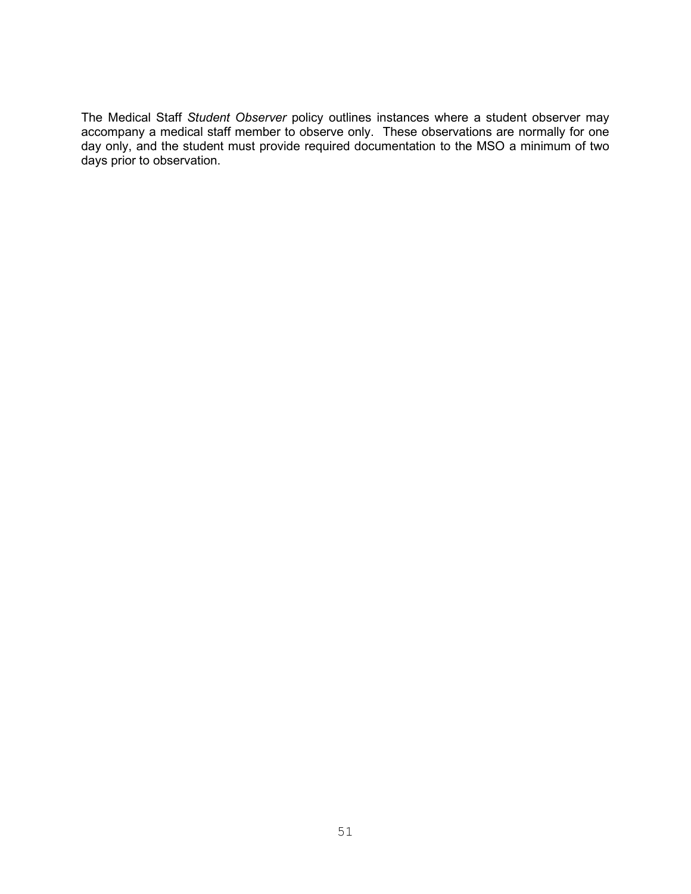The Medical Staff *Student Observer* policy outlines instances where a student observer may accompany a medical staff member to observe only. These observations are normally for one day only, and the student must provide required documentation to the MSO a minimum of two days prior to observation.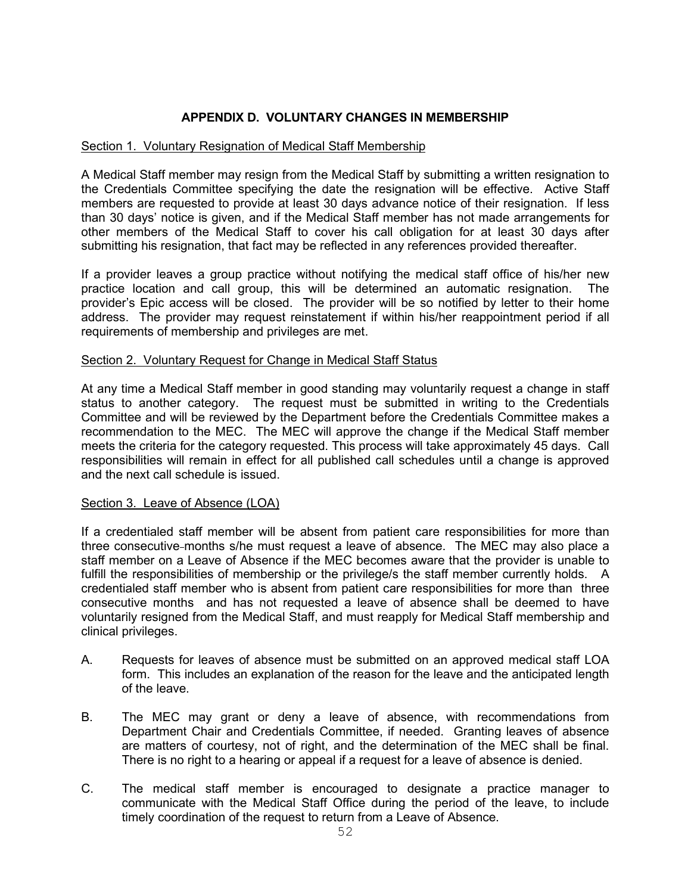# **APPENDIX D. VOLUNTARY CHANGES IN MEMBERSHIP**

# Section 1. Voluntary Resignation of Medical Staff Membership

A Medical Staff member may resign from the Medical Staff by submitting a written resignation to the Credentials Committee specifying the date the resignation will be effective. Active Staff members are requested to provide at least 30 days advance notice of their resignation. If less than 30 days' notice is given, and if the Medical Staff member has not made arrangements for other members of the Medical Staff to cover his call obligation for at least 30 days after submitting his resignation, that fact may be reflected in any references provided thereafter.

If a provider leaves a group practice without notifying the medical staff office of his/her new practice location and call group, this will be determined an automatic resignation. The provider's Epic access will be closed. The provider will be so notified by letter to their home address. The provider may request reinstatement if within his/her reappointment period if all requirements of membership and privileges are met.

# Section 2. Voluntary Request for Change in Medical Staff Status

At any time a Medical Staff member in good standing may voluntarily request a change in staff status to another category. The request must be submitted in writing to the Credentials Committee and will be reviewed by the Department before the Credentials Committee makes a recommendation to the MEC. The MEC will approve the change if the Medical Staff member meets the criteria for the category requested. This process will take approximately 45 days. Call responsibilities will remain in effect for all published call schedules until a change is approved and the next call schedule is issued.

# Section 3. Leave of Absence (LOA)

If a credentialed staff member will be absent from patient care responsibilities for more than three consecutive months s/he must request a leave of absence. The MEC may also place a staff member on a Leave of Absence if the MEC becomes aware that the provider is unable to fulfill the responsibilities of membership or the privilege/s the staff member currently holds. A credentialed staff member who is absent from patient care responsibilities for more than three consecutive months and has not requested a leave of absence shall be deemed to have voluntarily resigned from the Medical Staff, and must reapply for Medical Staff membership and clinical privileges.

- A. Requests for leaves of absence must be submitted on an approved medical staff LOA form. This includes an explanation of the reason for the leave and the anticipated length of the leave.
- B. The MEC may grant or deny a leave of absence, with recommendations from Department Chair and Credentials Committee, if needed. Granting leaves of absence are matters of courtesy, not of right, and the determination of the MEC shall be final. There is no right to a hearing or appeal if a request for a leave of absence is denied.
- C. The medical staff member is encouraged to designate a practice manager to communicate with the Medical Staff Office during the period of the leave, to include timely coordination of the request to return from a Leave of Absence.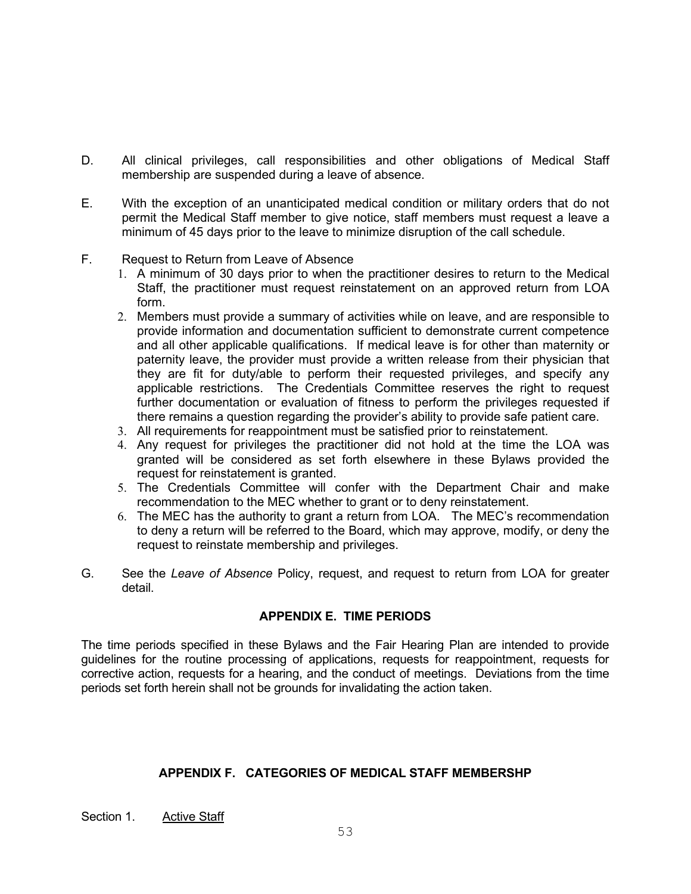- D. All clinical privileges, call responsibilities and other obligations of Medical Staff membership are suspended during a leave of absence.
- E. With the exception of an unanticipated medical condition or military orders that do not permit the Medical Staff member to give notice, staff members must request a leave a minimum of 45 days prior to the leave to minimize disruption of the call schedule.
- F. Request to Return from Leave of Absence
	- 1. A minimum of 30 days prior to when the practitioner desires to return to the Medical Staff, the practitioner must request reinstatement on an approved return from LOA form.
	- 2. Members must provide a summary of activities while on leave, and are responsible to provide information and documentation sufficient to demonstrate current competence and all other applicable qualifications. If medical leave is for other than maternity or paternity leave, the provider must provide a written release from their physician that they are fit for duty/able to perform their requested privileges, and specify any applicable restrictions. The Credentials Committee reserves the right to request further documentation or evaluation of fitness to perform the privileges requested if there remains a question regarding the provider's ability to provide safe patient care.
	- 3. All requirements for reappointment must be satisfied prior to reinstatement.
	- 4. Any request for privileges the practitioner did not hold at the time the LOA was granted will be considered as set forth elsewhere in these Bylaws provided the request for reinstatement is granted.
	- 5. The Credentials Committee will confer with the Department Chair and make recommendation to the MEC whether to grant or to deny reinstatement.
	- 6. The MEC has the authority to grant a return from LOA. The MEC's recommendation to deny a return will be referred to the Board, which may approve, modify, or deny the request to reinstate membership and privileges.
- G. See the *Leave of Absence* Policy, request, and request to return from LOA for greater detail.

# **APPENDIX E. TIME PERIODS**

The time periods specified in these Bylaws and the Fair Hearing Plan are intended to provide guidelines for the routine processing of applications, requests for reappointment, requests for corrective action, requests for a hearing, and the conduct of meetings. Deviations from the time periods set forth herein shall not be grounds for invalidating the action taken.

# **APPENDIX F. CATEGORIES OF MEDICAL STAFF MEMBERSHP**

Section 1. Active Staff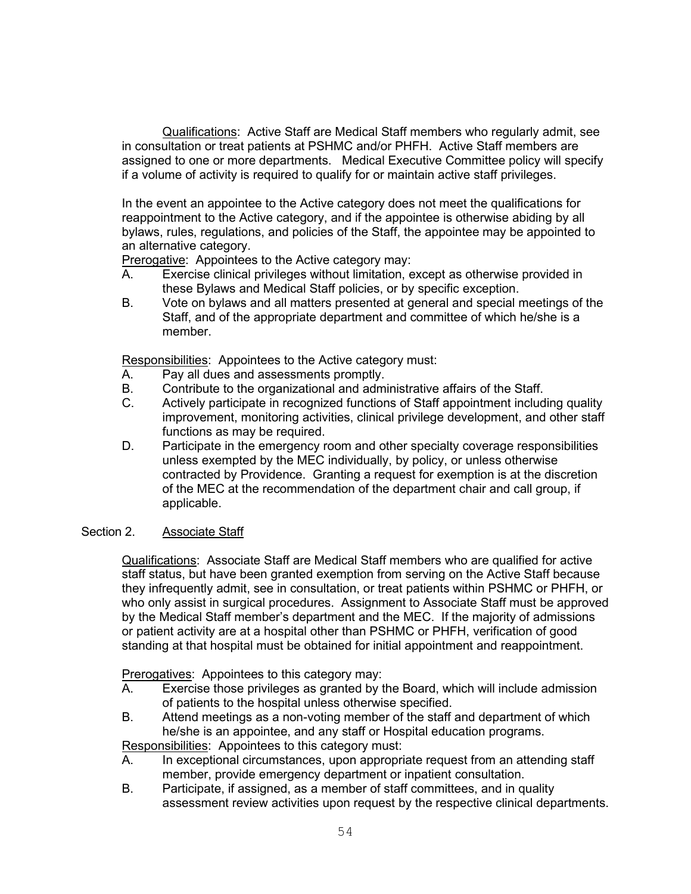Qualifications: Active Staff are Medical Staff members who regularly admit, see in consultation or treat patients at PSHMC and/or PHFH. Active Staff members are assigned to one or more departments. Medical Executive Committee policy will specify if a volume of activity is required to qualify for or maintain active staff privileges.

In the event an appointee to the Active category does not meet the qualifications for reappointment to the Active category, and if the appointee is otherwise abiding by all bylaws, rules, regulations, and policies of the Staff, the appointee may be appointed to an alternative category.

Prerogative: Appointees to the Active category may:

- A. Exercise clinical privileges without limitation, except as otherwise provided in these Bylaws and Medical Staff policies, or by specific exception.
- B. Vote on bylaws and all matters presented at general and special meetings of the Staff, and of the appropriate department and committee of which he/she is a member.

Responsibilities: Appointees to the Active category must:

- A. Pay all dues and assessments promptly.<br>B. Contribute to the organizational and adm
- Contribute to the organizational and administrative affairs of the Staff.
- C. Actively participate in recognized functions of Staff appointment including quality improvement, monitoring activities, clinical privilege development, and other staff functions as may be required.
- D. Participate in the emergency room and other specialty coverage responsibilities unless exempted by the MEC individually, by policy, or unless otherwise contracted by Providence. Granting a request for exemption is at the discretion of the MEC at the recommendation of the department chair and call group, if applicable.

### Section 2. Associate Staff

Qualifications: Associate Staff are Medical Staff members who are qualified for active staff status, but have been granted exemption from serving on the Active Staff because they infrequently admit, see in consultation, or treat patients within PSHMC or PHFH, or who only assist in surgical procedures. Assignment to Associate Staff must be approved by the Medical Staff member's department and the MEC. If the majority of admissions or patient activity are at a hospital other than PSHMC or PHFH, verification of good standing at that hospital must be obtained for initial appointment and reappointment.

Prerogatives: Appointees to this category may:

- A. Exercise those privileges as granted by the Board, which will include admission of patients to the hospital unless otherwise specified.
- B. Attend meetings as a non-voting member of the staff and department of which he/she is an appointee, and any staff or Hospital education programs.

Responsibilities: Appointees to this category must:

- A. In exceptional circumstances, upon appropriate request from an attending staff member, provide emergency department or inpatient consultation.
- B. Participate, if assigned, as a member of staff committees, and in quality assessment review activities upon request by the respective clinical departments.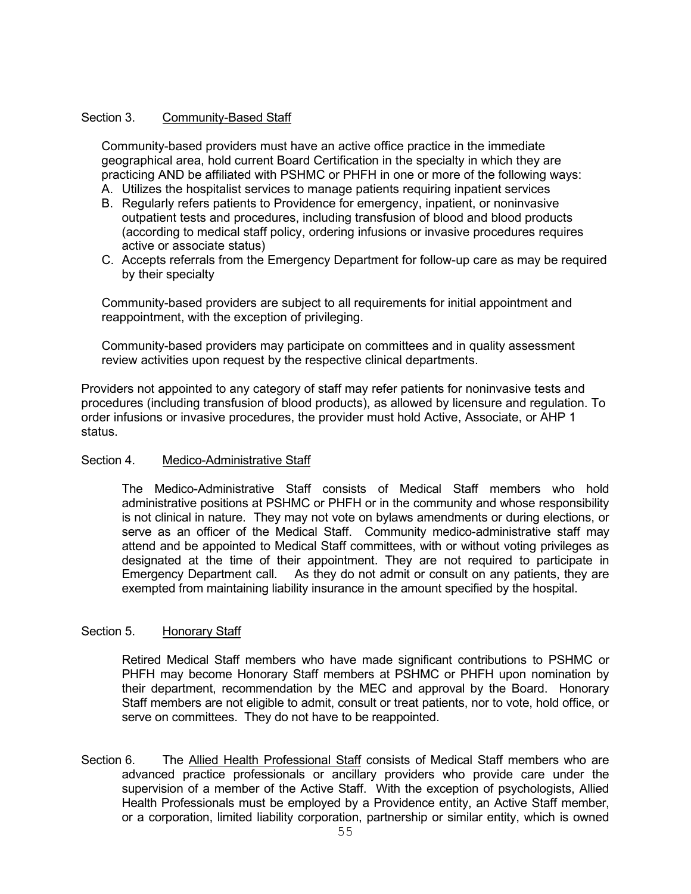# Section 3. Community-Based Staff

Community-based providers must have an active office practice in the immediate geographical area, hold current Board Certification in the specialty in which they are practicing AND be affiliated with PSHMC or PHFH in one or more of the following ways:

- A. Utilizes the hospitalist services to manage patients requiring inpatient services
- B. Regularly refers patients to Providence for emergency, inpatient, or noninvasive outpatient tests and procedures, including transfusion of blood and blood products (according to medical staff policy, ordering infusions or invasive procedures requires active or associate status)
- C. Accepts referrals from the Emergency Department for follow-up care as may be required by their specialty

Community-based providers are subject to all requirements for initial appointment and reappointment, with the exception of privileging.

Community-based providers may participate on committees and in quality assessment review activities upon request by the respective clinical departments.

Providers not appointed to any category of staff may refer patients for noninvasive tests and procedures (including transfusion of blood products), as allowed by licensure and regulation. To order infusions or invasive procedures, the provider must hold Active, Associate, or AHP 1 status.

### Section 4. Medico-Administrative Staff

The Medico-Administrative Staff consists of Medical Staff members who hold administrative positions at PSHMC or PHFH or in the community and whose responsibility is not clinical in nature. They may not vote on bylaws amendments or during elections, or serve as an officer of the Medical Staff. Community medico-administrative staff may attend and be appointed to Medical Staff committees, with or without voting privileges as designated at the time of their appointment. They are not required to participate in Emergency Department call. As they do not admit or consult on any patients, they are exempted from maintaining liability insurance in the amount specified by the hospital.

# Section 5. Honorary Staff

Retired Medical Staff members who have made significant contributions to PSHMC or PHFH may become Honorary Staff members at PSHMC or PHFH upon nomination by their department, recommendation by the MEC and approval by the Board. Honorary Staff members are not eligible to admit, consult or treat patients, nor to vote, hold office, or serve on committees. They do not have to be reappointed.

Section 6. The Allied Health Professional Staff consists of Medical Staff members who are advanced practice professionals or ancillary providers who provide care under the supervision of a member of the Active Staff. With the exception of psychologists, Allied Health Professionals must be employed by a Providence entity, an Active Staff member, or a corporation, limited liability corporation, partnership or similar entity, which is owned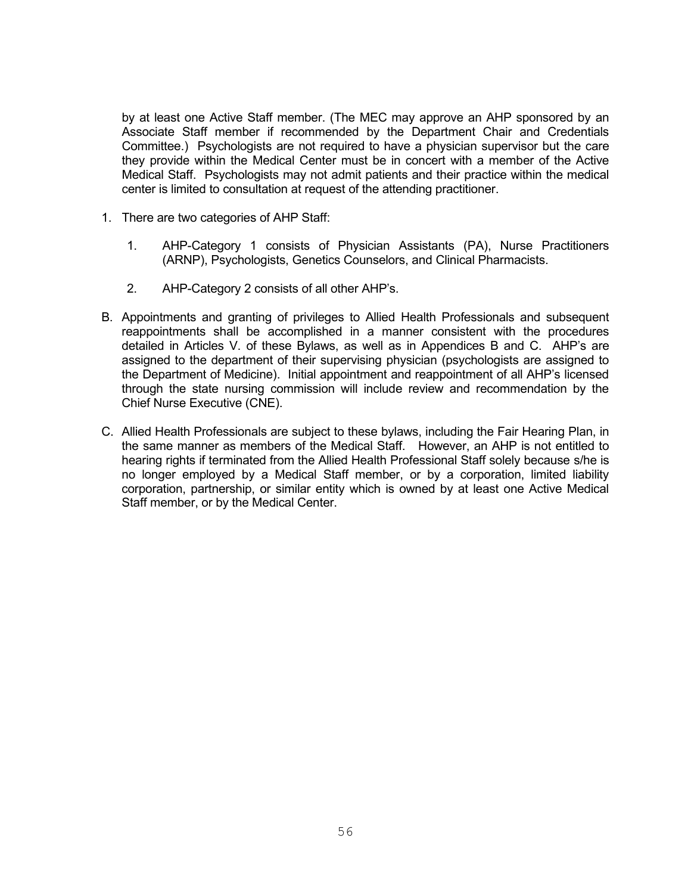by at least one Active Staff member. (The MEC may approve an AHP sponsored by an Associate Staff member if recommended by the Department Chair and Credentials Committee.) Psychologists are not required to have a physician supervisor but the care they provide within the Medical Center must be in concert with a member of the Active Medical Staff. Psychologists may not admit patients and their practice within the medical center is limited to consultation at request of the attending practitioner.

- 1. There are two categories of AHP Staff:
	- 1. AHP-Category 1 consists of Physician Assistants (PA), Nurse Practitioners (ARNP), Psychologists, Genetics Counselors, and Clinical Pharmacists.
	- 2. AHP-Category 2 consists of all other AHP's.
- B. Appointments and granting of privileges to Allied Health Professionals and subsequent reappointments shall be accomplished in a manner consistent with the procedures detailed in Articles V. of these Bylaws, as well as in Appendices B and C. AHP's are assigned to the department of their supervising physician (psychologists are assigned to the Department of Medicine). Initial appointment and reappointment of all AHP's licensed through the state nursing commission will include review and recommendation by the Chief Nurse Executive (CNE).
- C. Allied Health Professionals are subject to these bylaws, including the Fair Hearing Plan, in the same manner as members of the Medical Staff. However, an AHP is not entitled to hearing rights if terminated from the Allied Health Professional Staff solely because s/he is no longer employed by a Medical Staff member, or by a corporation, limited liability corporation, partnership, or similar entity which is owned by at least one Active Medical Staff member, or by the Medical Center.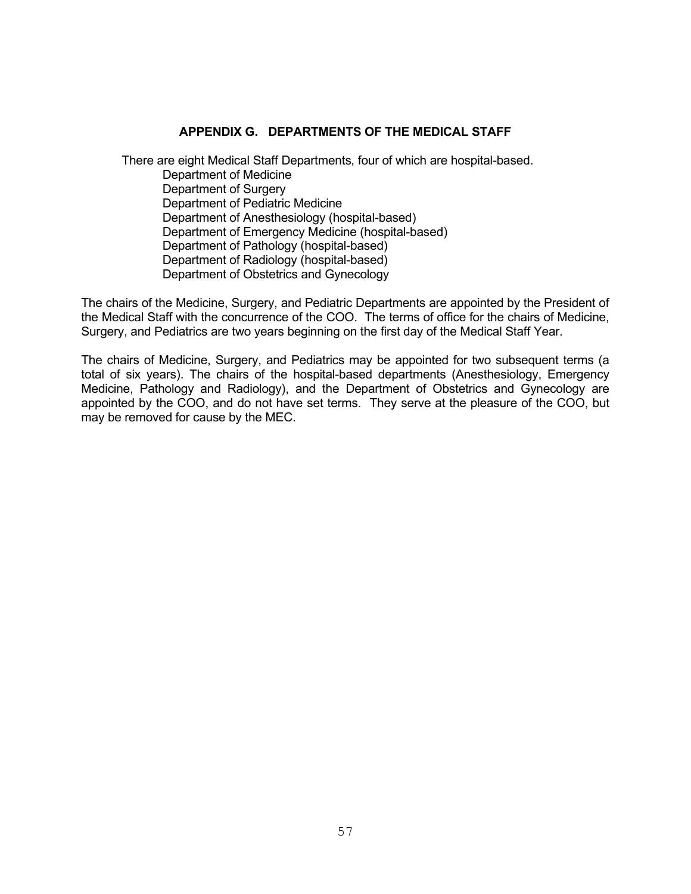# **APPENDIX G. DEPARTMENTS OF THE MEDICAL STAFF**

There are eight Medical Staff Departments, four of which are hospital-based. Department of Medicine Department of Surgery Department of Pediatric Medicine Department of Anesthesiology (hospital-based) Department of Emergency Medicine (hospital-based) Department of Pathology (hospital-based) Department of Radiology (hospital-based) Department of Obstetrics and Gynecology

The chairs of the Medicine, Surgery, and Pediatric Departments are appointed by the President of the Medical Staff with the concurrence of the COO. The terms of office for the chairs of Medicine, Surgery, and Pediatrics are two years beginning on the first day of the Medical Staff Year.

The chairs of Medicine, Surgery, and Pediatrics may be appointed for two subsequent terms (a total of six years). The chairs of the hospital-based departments (Anesthesiology, Emergency Medicine, Pathology and Radiology), and the Department of Obstetrics and Gynecology are appointed by the COO, and do not have set terms. They serve at the pleasure of the COO, but may be removed for cause by the MEC.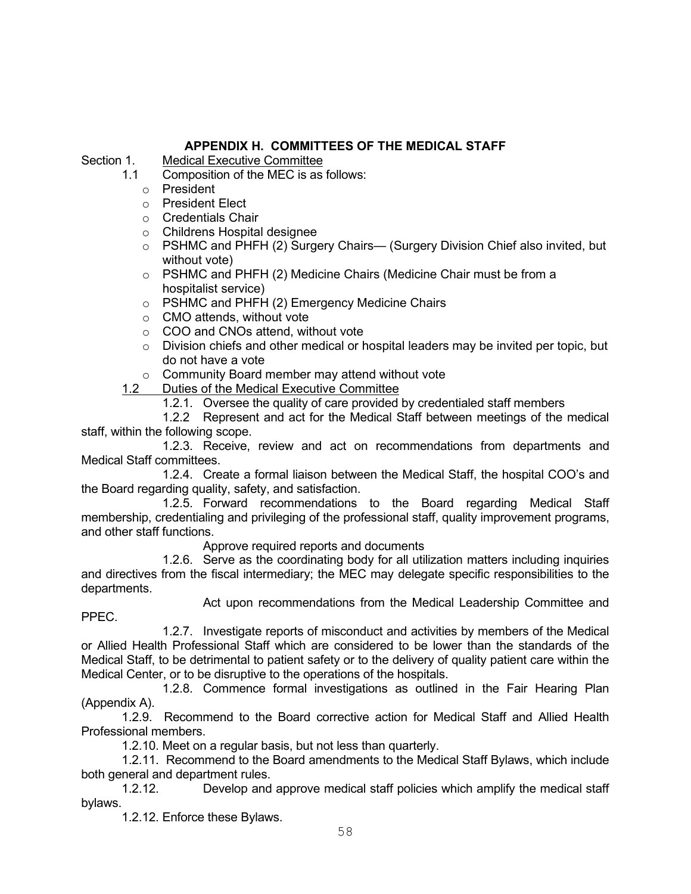# **APPENDIX H. COMMITTEES OF THE MEDICAL STAFF**

Section 1. Medical Executive Committee<br>11 Composition of the MFC is as

- Composition of the MEC is as follows:
	- o President
	- o President Elect
	- ⊙ Credentials Chair<br>○ Childrens Hospita
	- **Childrens Hospital designee**
	- o PSHMC and PHFH (2) Surgery Chairs— (Surgery Division Chief also invited, but without vote)
	- o PSHMC and PHFH (2) Medicine Chairs (Medicine Chair must be from a hospitalist service)
	- o PSHMC and PHFH (2) Emergency Medicine Chairs
	- o CMO attends, without vote
	- o COO and CNOs attend, without vote
	- $\circ$  Division chiefs and other medical or hospital leaders may be invited per topic, but do not have a vote
	- o Community Board member may attend without vote

1.2 Duties of the Medical Executive Committee

1.2.1. Oversee the quality of care provided by credentialed staff members

1.2.2 Represent and act for the Medical Staff between meetings of the medical staff, within the following scope.

1.2.3. Receive, review and act on recommendations from departments and Medical Staff committees.

1.2.4. Create a formal liaison between the Medical Staff, the hospital COO's and the Board regarding quality, safety, and satisfaction.

1.2.5. Forward recommendations to the Board regarding Medical Staff membership, credentialing and privileging of the professional staff, quality improvement programs, and other staff functions.

Approve required reports and documents

1.2.6. Serve as the coordinating body for all utilization matters including inquiries and directives from the fiscal intermediary; the MEC may delegate specific responsibilities to the departments.

Act upon recommendations from the Medical Leadership Committee and

PPEC.

1.2.7. Investigate reports of misconduct and activities by members of the Medical or Allied Health Professional Staff which are considered to be lower than the standards of the Medical Staff, to be detrimental to patient safety or to the delivery of quality patient care within the Medical Center, or to be disruptive to the operations of the hospitals.

1.2.8. Commence formal investigations as outlined in the Fair Hearing Plan (Appendix A).

1.2.9. Recommend to the Board corrective action for Medical Staff and Allied Health Professional members.

1.2.10. Meet on a regular basis, but not less than quarterly.

1.2.11. Recommend to the Board amendments to the Medical Staff Bylaws, which include both general and department rules.<br>1.2.12. Develop and

Develop and approve medical staff policies which amplify the medical staff bylaws.

1.2.12. Enforce these Bylaws.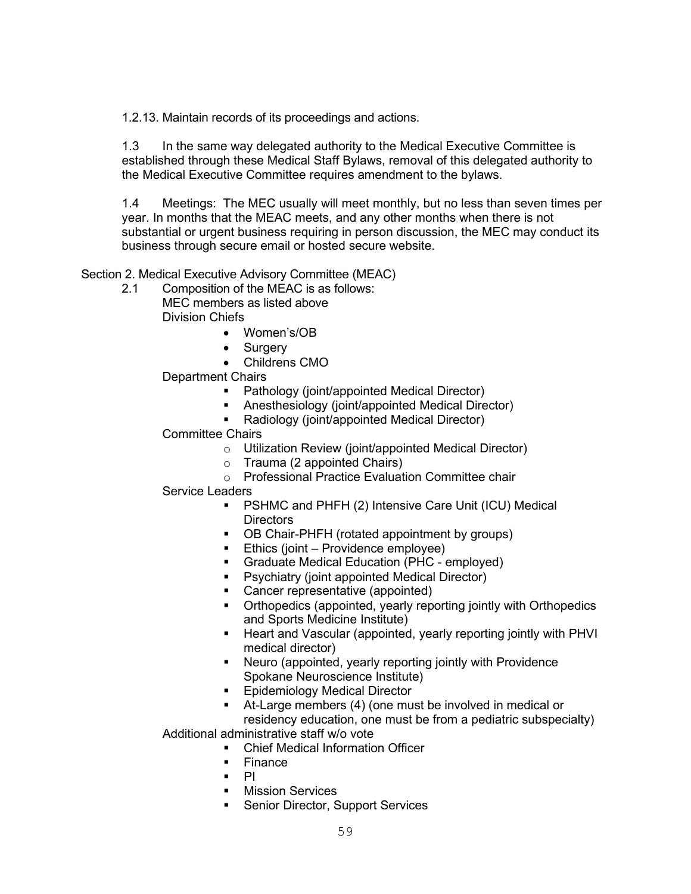1.2.13. Maintain records of its proceedings and actions.

1.3 In the same way delegated authority to the Medical Executive Committee is established through these Medical Staff Bylaws, removal of this delegated authority to the Medical Executive Committee requires amendment to the bylaws.

1.4 Meetings: The MEC usually will meet monthly, but no less than seven times per year. In months that the MEAC meets, and any other months when there is not substantial or urgent business requiring in person discussion, the MEC may conduct its business through secure email or hosted secure website.

Section 2. Medical Executive Advisory Committee (MEAC)

- 2.1 Composition of the MEAC is as follows: MEC members as listed above Division Chiefs
	- Women's/OB
		- Surgery
		- Childrens CMO

Department Chairs

- **•** Pathology (joint/appointed Medical Director)
- Anesthesiology (joint/appointed Medical Director)
- **Radiology (joint/appointed Medical Director)**

# Committee Chairs

- o Utilization Review (joint/appointed Medical Director)
- o Trauma (2 appointed Chairs)
- o Professional Practice Evaluation Committee chair

### Service Leaders

- PSHMC and PHFH (2) Intensive Care Unit (ICU) Medical **Directors**
- OB Chair-PHFH (rotated appointment by groups)
- **Ethics (joint Providence employee)**
- **Graduate Medical Education (PHC employed)**
- **Psychiatry (joint appointed Medical Director)**
- Cancer representative (appointed)
- Orthopedics (appointed, yearly reporting jointly with Orthopedics and Sports Medicine Institute)
- **Heart and Vascular (appointed, yearly reporting jointly with PHVI** medical director)
- Neuro (appointed, yearly reporting jointly with Providence Spokane Neuroscience Institute)
- **Epidemiology Medical Director**
- At-Large members (4) (one must be involved in medical or residency education, one must be from a pediatric subspecialty) Additional administrative staff w/o vote
	- Chief Medical Information Officer
		- **Finance**
		- $\blacksquare$  PI
		- **Mission Services**
		- Senior Director, Support Services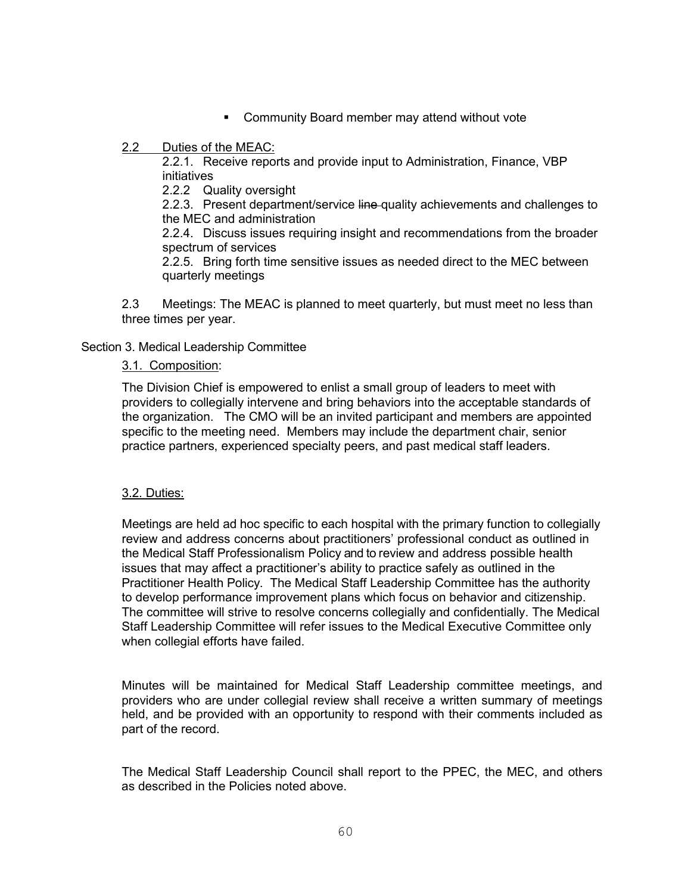**EXEDENT** Community Board member may attend without vote

# 2.2 Duties of the MEAC:

2.2.1. Receive reports and provide input to Administration, Finance, VBP initiatives

2.2.2 Quality oversight

2.2.3. Present department/service line-quality achievements and challenges to the MEC and administration

2.2.4. Discuss issues requiring insight and recommendations from the broader spectrum of services

2.2.5. Bring forth time sensitive issues as needed direct to the MEC between quarterly meetings

2.3 Meetings: The MEAC is planned to meet quarterly, but must meet no less than three times per year.

# Section 3. Medical Leadership Committee

# 3.1. Composition:

The Division Chief is empowered to enlist a small group of leaders to meet with providers to collegially intervene and bring behaviors into the acceptable standards of the organization. The CMO will be an invited participant and members are appointed specific to the meeting need. Members may include the department chair, senior practice partners, experienced specialty peers, and past medical staff leaders.

# 3.2. Duties:

Meetings are held ad hoc specific to each hospital with the primary function to collegially review and address concerns about practitioners' professional conduct as outlined in the Medical Staff Professionalism Policy and to review and address possible health issues that may affect a practitioner's ability to practice safely as outlined in the Practitioner Health Policy. The Medical Staff Leadership Committee has the authority to develop performance improvement plans which focus on behavior and citizenship. The committee will strive to resolve concerns collegially and confidentially. The Medical Staff Leadership Committee will refer issues to the Medical Executive Committee only when collegial efforts have failed.

Minutes will be maintained for Medical Staff Leadership committee meetings, and providers who are under collegial review shall receive a written summary of meetings held, and be provided with an opportunity to respond with their comments included as part of the record.

The Medical Staff Leadership Council shall report to the PPEC, the MEC, and others as described in the Policies noted above.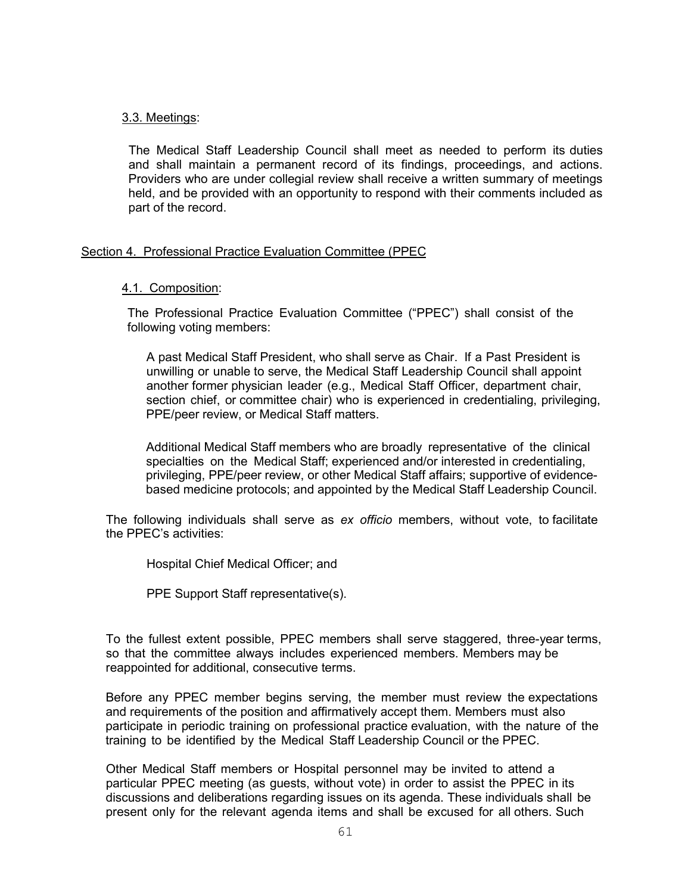### 3.3. Meetings:

The Medical Staff Leadership Council shall meet as needed to perform its duties and shall maintain a permanent record of its findings, proceedings, and actions. Providers who are under collegial review shall receive a written summary of meetings held, and be provided with an opportunity to respond with their comments included as part of the record.

# Section 4. Professional Practice Evaluation Committee (PPEC

# 4.1. Composition:

The Professional Practice Evaluation Committee ("PPEC") shall consist of the following voting members:

A past Medical Staff President, who shall serve as Chair. If a Past President is unwilling or unable to serve, the Medical Staff Leadership Council shall appoint another former physician leader (e.g., Medical Staff Officer, department chair, section chief, or committee chair) who is experienced in credentialing, privileging, PPE/peer review, or Medical Staff matters.

Additional Medical Staff members who are broadly representative of the clinical specialties on the Medical Staff; experienced and/or interested in credentialing, privileging, PPE/peer review, or other Medical Staff affairs; supportive of evidencebased medicine protocols; and appointed by the Medical Staff Leadership Council.

The following individuals shall serve as *ex officio* members, without vote, to facilitate the PPEC's activities:

Hospital Chief Medical Officer; and

PPE Support Staff representative(s).

To the fullest extent possible, PPEC members shall serve staggered, three-year terms, so that the committee always includes experienced members. Members may be reappointed for additional, consecutive terms.

Before any PPEC member begins serving, the member must review the expectations and requirements of the position and affirmatively accept them. Members must also participate in periodic training on professional practice evaluation, with the nature of the training to be identified by the Medical Staff Leadership Council or the PPEC.

Other Medical Staff members or Hospital personnel may be invited to attend a particular PPEC meeting (as guests, without vote) in order to assist the PPEC in its discussions and deliberations regarding issues on its agenda. These individuals shall be present only for the relevant agenda items and shall be excused for all others. Such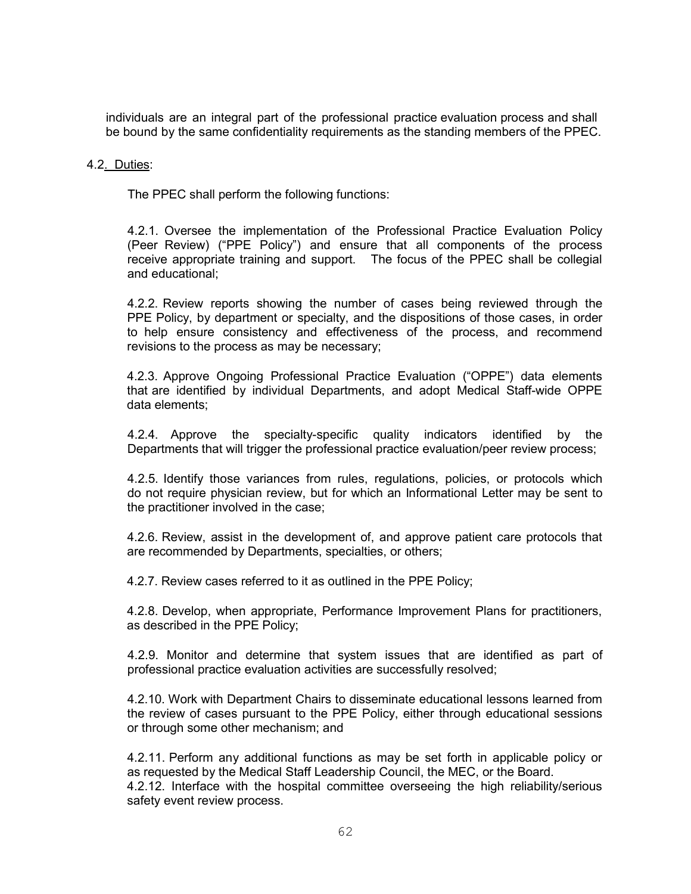individuals are an integral part of the professional practice evaluation process and shall be bound by the same confidentiality requirements as the standing members of the PPEC.

### 4.2. Duties:

The PPEC shall perform the following functions:

4.2.1. Oversee the implementation of the Professional Practice Evaluation Policy (Peer Review) ("PPE Policy") and ensure that all components of the process receive appropriate training and support. The focus of the PPEC shall be collegial and educational;

4.2.2. Review reports showing the number of cases being reviewed through the PPE Policy, by department or specialty, and the dispositions of those cases, in order to help ensure consistency and effectiveness of the process, and recommend revisions to the process as may be necessary;

4.2.3. Approve Ongoing Professional Practice Evaluation ("OPPE") data elements that are identified by individual Departments, and adopt Medical Staff-wide OPPE data elements;

4.2.4. Approve the specialty-specific quality indicators identified by the Departments that will trigger the professional practice evaluation/peer review process;

4.2.5. Identify those variances from rules, regulations, policies, or protocols which do not require physician review, but for which an Informational Letter may be sent to the practitioner involved in the case;

4.2.6. Review, assist in the development of, and approve patient care protocols that are recommended by Departments, specialties, or others;

4.2.7. Review cases referred to it as outlined in the PPE Policy;

4.2.8. Develop, when appropriate, Performance Improvement Plans for practitioners, as described in the PPE Policy;

4.2.9. Monitor and determine that system issues that are identified as part of professional practice evaluation activities are successfully resolved;

4.2.10. Work with Department Chairs to disseminate educational lessons learned from the review of cases pursuant to the PPE Policy, either through educational sessions or through some other mechanism; and

4.2.11. Perform any additional functions as may be set forth in applicable policy or as requested by the Medical Staff Leadership Council, the MEC, or the Board. 4.2.12. Interface with the hospital committee overseeing the high reliability/serious safety event review process.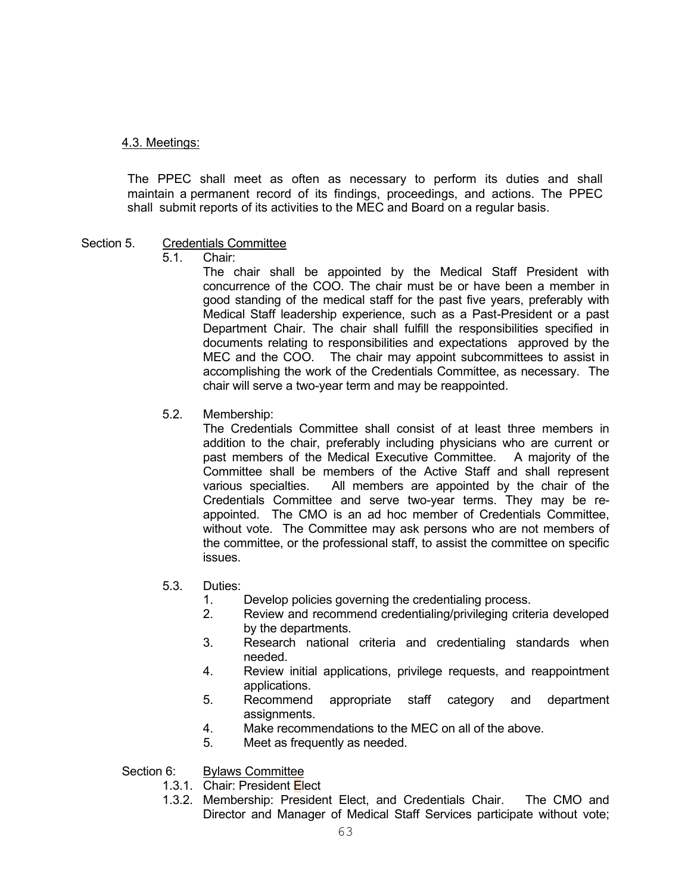# 4.3. Meetings:

The PPEC shall meet as often as necessary to perform its duties and shall maintain a permanent record of its findings, proceedings, and actions. The PPEC shall submit reports of its activities to the MEC and Board on a regular basis.

# Section 5. Credentials Committee

5.1. Chair:

The chair shall be appointed by the Medical Staff President with concurrence of the COO. The chair must be or have been a member in good standing of the medical staff for the past five years, preferably with Medical Staff leadership experience, such as a Past-President or a past Department Chair. The chair shall fulfill the responsibilities specified in documents relating to responsibilities and expectations approved by the MEC and the COO. The chair may appoint subcommittees to assist in accomplishing the work of the Credentials Committee, as necessary. The chair will serve a two-year term and may be reappointed.

5.2. Membership:

The Credentials Committee shall consist of at least three members in addition to the chair, preferably including physicians who are current or past members of the Medical Executive Committee. A majority of the Committee shall be members of the Active Staff and shall represent various specialties. All members are appointed by the chair of the Credentials Committee and serve two-year terms. They may be reappointed. The CMO is an ad hoc member of Credentials Committee, without vote. The Committee may ask persons who are not members of the committee, or the professional staff, to assist the committee on specific issues.

- 5.3. Duties:
	- 1. Develop policies governing the credentialing process.
	- 2. Review and recommend credentialing/privileging criteria developed by the departments.
	- 3. Research national criteria and credentialing standards when needed.
	- 4. Review initial applications, privilege requests, and reappointment applications.
	- 5. Recommend appropriate staff category and department assignments.
	- 4. Make recommendations to the MEC on all of the above.
	- 5. Meet as frequently as needed.

Section 6: Bylaws Committee

- 1.3.1. Chair: President Elect
- 1.3.2. Membership: President Elect, and Credentials Chair. The CMO and Director and Manager of Medical Staff Services participate without vote;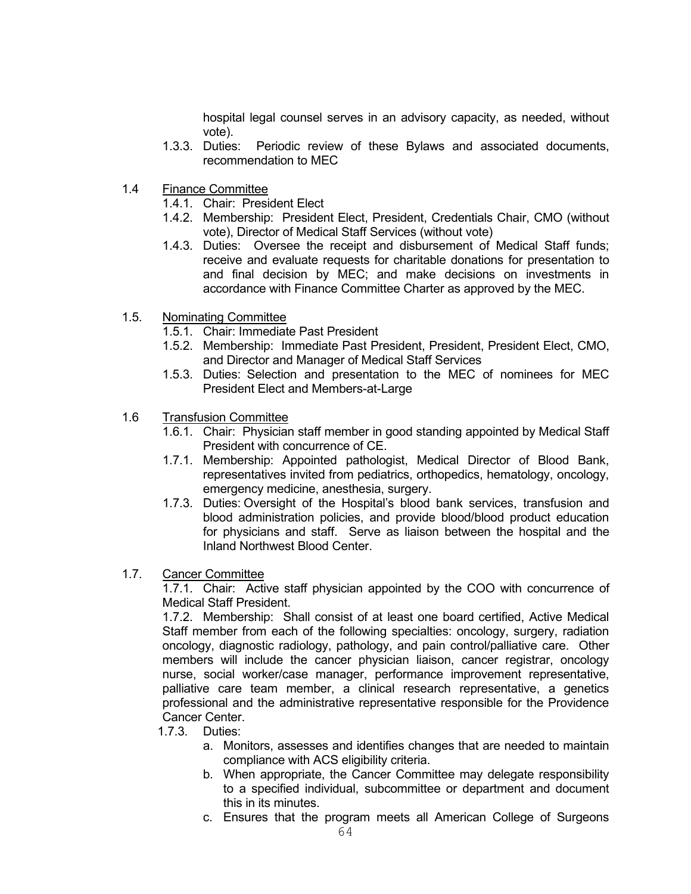hospital legal counsel serves in an advisory capacity, as needed, without vote).

- 1.3.3. Duties: Periodic review of these Bylaws and associated documents, recommendation to MEC
- 1.4 Finance Committee
	- 1.4.1. Chair: President Elect
	- 1.4.2. Membership: President Elect, President, Credentials Chair, CMO (without vote), Director of Medical Staff Services (without vote)
	- 1.4.3. Duties: Oversee the receipt and disbursement of Medical Staff funds; receive and evaluate requests for charitable donations for presentation to and final decision by MEC; and make decisions on investments in accordance with Finance Committee Charter as approved by the MEC.
- 1.5. Nominating Committee
	- 1.5.1. Chair: Immediate Past President
	- 1.5.2. Membership: Immediate Past President, President, President Elect, CMO, and Director and Manager of Medical Staff Services
	- 1.5.3. Duties: Selection and presentation to the MEC of nominees for MEC President Elect and Members-at-Large
- 1.6 Transfusion Committee
	- 1.6.1. Chair: Physician staff member in good standing appointed by Medical Staff President with concurrence of CE.
	- 1.7.1. Membership: Appointed pathologist, Medical Director of Blood Bank, representatives invited from pediatrics, orthopedics, hematology, oncology, emergency medicine, anesthesia, surgery.
	- 1.7.3. Duties: Oversight of the Hospital's blood bank services, transfusion and blood administration policies, and provide blood/blood product education for physicians and staff. Serve as liaison between the hospital and the Inland Northwest Blood Center.
- 1.7. Cancer Committee

1.7.1. Chair: Active staff physician appointed by the COO with concurrence of Medical Staff President.

1.7.2. Membership: Shall consist of at least one board certified, Active Medical Staff member from each of the following specialties: oncology, surgery, radiation oncology, diagnostic radiology, pathology, and pain control/palliative care. Other members will include the cancer physician liaison, cancer registrar, oncology nurse, social worker/case manager, performance improvement representative, palliative care team member, a clinical research representative, a genetics professional and the administrative representative responsible for the Providence Cancer Center.

- 1.7.3. Duties:
	- a. Monitors, assesses and identifies changes that are needed to maintain compliance with ACS eligibility criteria.
	- b. When appropriate, the Cancer Committee may delegate responsibility to a specified individual, subcommittee or department and document this in its minutes.
	- c. Ensures that the program meets all American College of Surgeons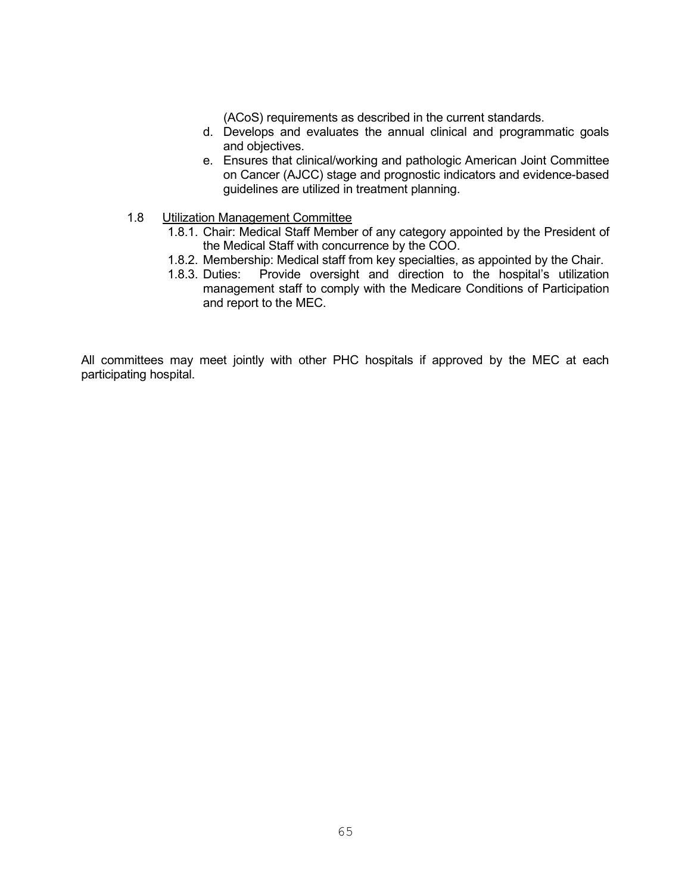(ACoS) requirements as described in the current standards.

- d. Develops and evaluates the annual clinical and programmatic goals and objectives.
- e. Ensures that clinical/working and pathologic American Joint Committee on Cancer (AJCC) stage and prognostic indicators and evidence-based guidelines are utilized in treatment planning.
- 1.8 Utilization Management Committee
	- 1.8.1. Chair: Medical Staff Member of any category appointed by the President of the Medical Staff with concurrence by the COO.
	- 1.8.2. Membership: Medical staff from key specialties, as appointed by the Chair.
	- 1.8.3. Duties: Provide oversight and direction to the hospital's utilization management staff to comply with the Medicare Conditions of Participation and report to the MEC.

All committees may meet jointly with other PHC hospitals if approved by the MEC at each participating hospital.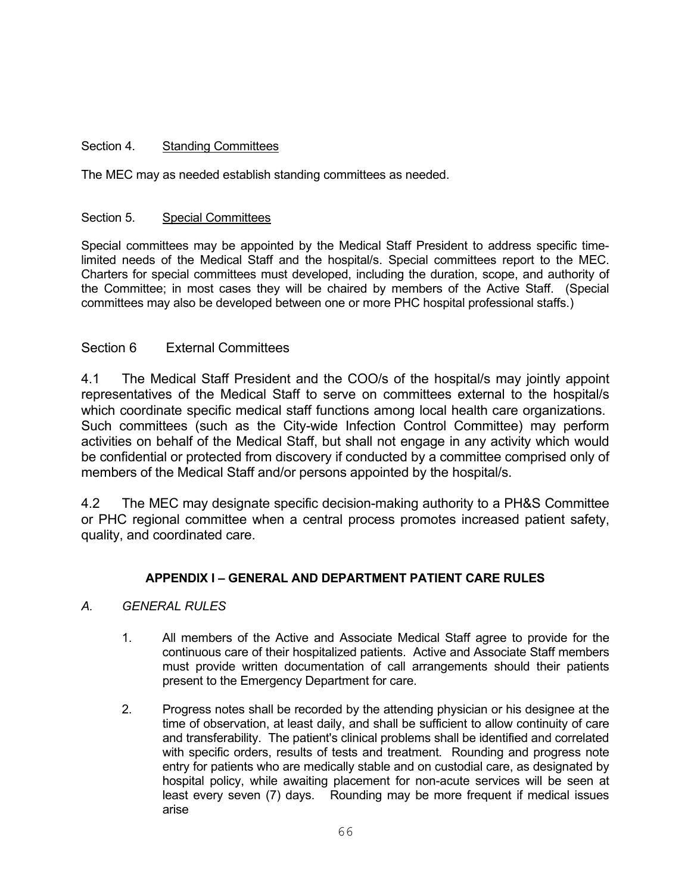# Section 4. Standing Committees

The MEC may as needed establish standing committees as needed.

# Section 5. Special Committees

Special committees may be appointed by the Medical Staff President to address specific timelimited needs of the Medical Staff and the hospital/s. Special committees report to the MEC. Charters for special committees must developed, including the duration, scope, and authority of the Committee; in most cases they will be chaired by members of the Active Staff. (Special committees may also be developed between one or more PHC hospital professional staffs.)

# Section 6 External Committees

4.1 The Medical Staff President and the COO/s of the hospital/s may jointly appoint representatives of the Medical Staff to serve on committees external to the hospital/s which coordinate specific medical staff functions among local health care organizations. Such committees (such as the City-wide Infection Control Committee) may perform activities on behalf of the Medical Staff, but shall not engage in any activity which would be confidential or protected from discovery if conducted by a committee comprised only of members of the Medical Staff and/or persons appointed by the hospital/s.

4.2 The MEC may designate specific decision-making authority to a PH&S Committee or PHC regional committee when a central process promotes increased patient safety, quality, and coordinated care.

# **APPENDIX I – GENERAL AND DEPARTMENT PATIENT CARE RULES**

# *A. GENERAL RULES*

- 1. All members of the Active and Associate Medical Staff agree to provide for the continuous care of their hospitalized patients. Active and Associate Staff members must provide written documentation of call arrangements should their patients present to the Emergency Department for care.
- 2. Progress notes shall be recorded by the attending physician or his designee at the time of observation, at least daily, and shall be sufficient to allow continuity of care and transferability. The patient's clinical problems shall be identified and correlated with specific orders, results of tests and treatment. Rounding and progress note entry for patients who are medically stable and on custodial care, as designated by hospital policy, while awaiting placement for non-acute services will be seen at least every seven (7) days. Rounding may be more frequent if medical issues arise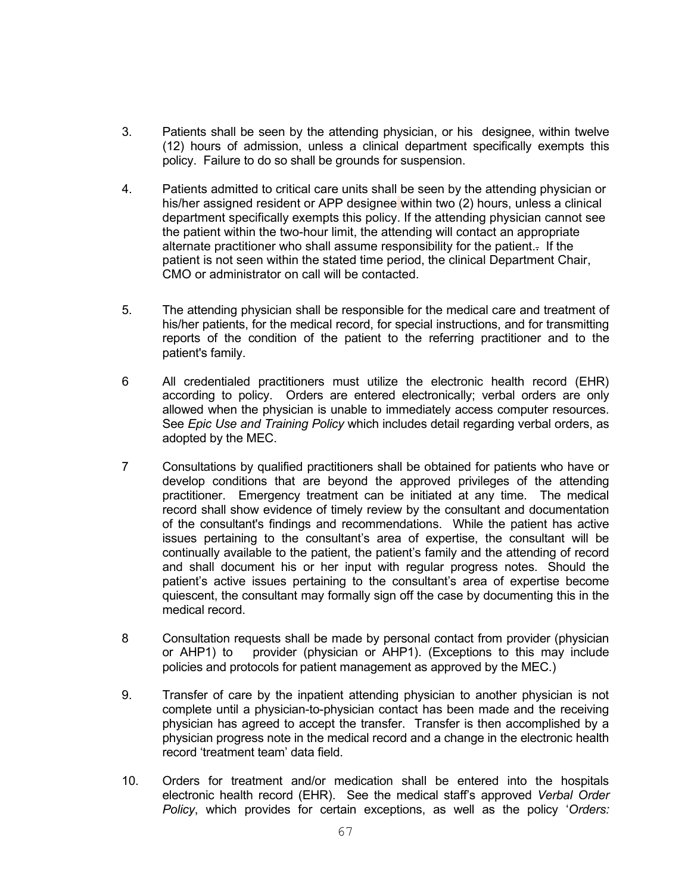- 3. Patients shall be seen by the attending physician, or his designee, within twelve (12) hours of admission, unless a clinical department specifically exempts this policy. Failure to do so shall be grounds for suspension.
- 4. Patients admitted to critical care units shall be seen by the attending physician or his/her assigned resident or APP designee within two (2) hours, unless a clinical department specifically exempts this policy. If the attending physician cannot see the patient within the two-hour limit, the attending will contact an appropriate alternate practitioner who shall assume responsibility for the patient.. If the patient is not seen within the stated time period, the clinical Department Chair, CMO or administrator on call will be contacted.
- 5. The attending physician shall be responsible for the medical care and treatment of his/her patients, for the medical record, for special instructions, and for transmitting reports of the condition of the patient to the referring practitioner and to the patient's family.
- 6 All credentialed practitioners must utilize the electronic health record (EHR) according to policy. Orders are entered electronically; verbal orders are only allowed when the physician is unable to immediately access computer resources. See *Epic Use and Training Policy* which includes detail regarding verbal orders, as adopted by the MEC.
- 7 Consultations by qualified practitioners shall be obtained for patients who have or develop conditions that are beyond the approved privileges of the attending practitioner. Emergency treatment can be initiated at any time. The medical record shall show evidence of timely review by the consultant and documentation of the consultant's findings and recommendations. While the patient has active issues pertaining to the consultant's area of expertise, the consultant will be continually available to the patient, the patient's family and the attending of record and shall document his or her input with regular progress notes. Should the patient's active issues pertaining to the consultant's area of expertise become quiescent, the consultant may formally sign off the case by documenting this in the medical record.
- 8 Consultation requests shall be made by personal contact from provider (physician or AHP1) to provider (physician or AHP1). (Exceptions to this may include policies and protocols for patient management as approved by the MEC.)
- 9. Transfer of care by the inpatient attending physician to another physician is not complete until a physician-to-physician contact has been made and the receiving physician has agreed to accept the transfer. Transfer is then accomplished by a physician progress note in the medical record and a change in the electronic health record 'treatment team' data field.
- 10. Orders for treatment and/or medication shall be entered into the hospitals electronic health record (EHR). See the medical staff's approved *Verbal Order Policy*, which provides for certain exceptions, as well as the policy '*Orders:*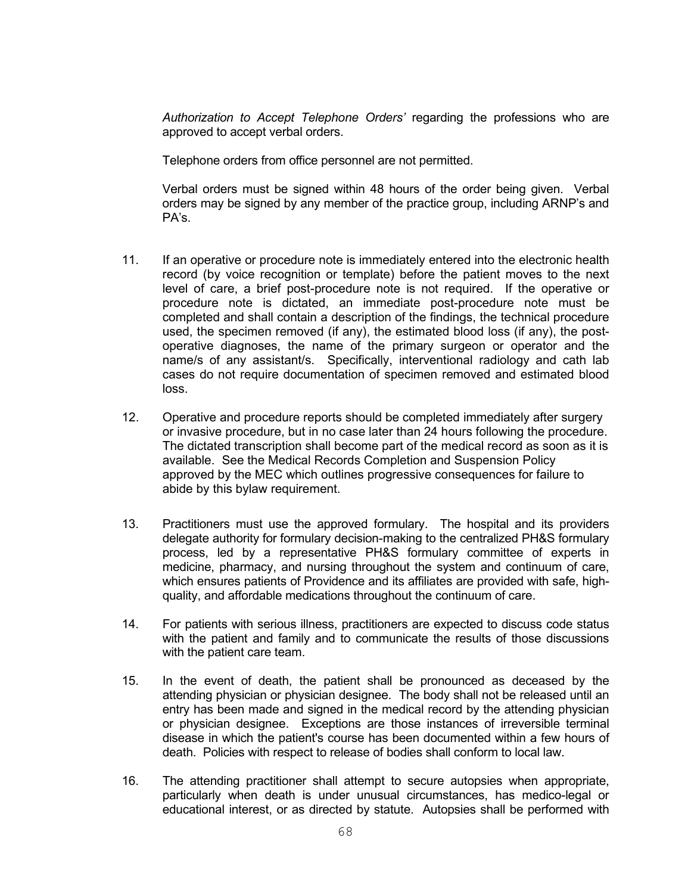*Authorization to Accept Telephone Orders'* regarding the professions who are approved to accept verbal orders.

Telephone orders from office personnel are not permitted.

Verbal orders must be signed within 48 hours of the order being given. Verbal orders may be signed by any member of the practice group, including ARNP's and PA's.

- 11. If an operative or procedure note is immediately entered into the electronic health record (by voice recognition or template) before the patient moves to the next level of care, a brief post-procedure note is not required. If the operative or procedure note is dictated, an immediate post-procedure note must be completed and shall contain a description of the findings, the technical procedure used, the specimen removed (if any), the estimated blood loss (if any), the postoperative diagnoses, the name of the primary surgeon or operator and the name/s of any assistant/s. Specifically, interventional radiology and cath lab cases do not require documentation of specimen removed and estimated blood loss.
- 12. Operative and procedure reports should be completed immediately after surgery or invasive procedure, but in no case later than 24 hours following the procedure. The dictated transcription shall become part of the medical record as soon as it is available. See the Medical Records Completion and Suspension Policy approved by the MEC which outlines progressive consequences for failure to abide by this bylaw requirement.
- 13. Practitioners must use the approved formulary. The hospital and its providers delegate authority for formulary decision-making to the centralized PH&S formulary process, led by a representative PH&S formulary committee of experts in medicine, pharmacy, and nursing throughout the system and continuum of care, which ensures patients of Providence and its affiliates are provided with safe, highquality, and affordable medications throughout the continuum of care.
- 14. For patients with serious illness, practitioners are expected to discuss code status with the patient and family and to communicate the results of those discussions with the patient care team.
- 15. In the event of death, the patient shall be pronounced as deceased by the attending physician or physician designee. The body shall not be released until an entry has been made and signed in the medical record by the attending physician or physician designee. Exceptions are those instances of irreversible terminal disease in which the patient's course has been documented within a few hours of death. Policies with respect to release of bodies shall conform to local law.
- 16. The attending practitioner shall attempt to secure autopsies when appropriate, particularly when death is under unusual circumstances, has medico-legal or educational interest, or as directed by statute. Autopsies shall be performed with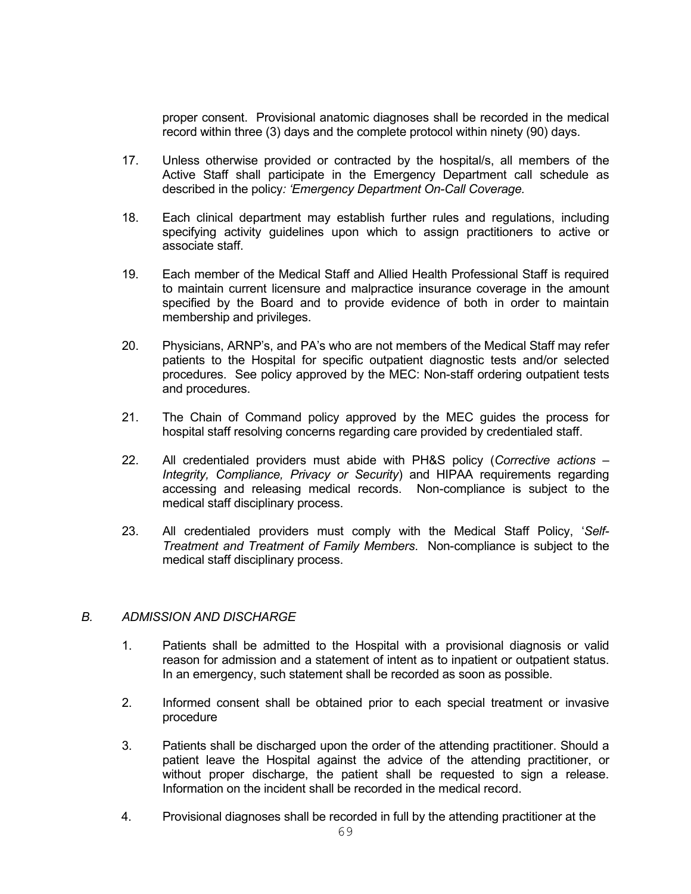proper consent. Provisional anatomic diagnoses shall be recorded in the medical record within three (3) days and the complete protocol within ninety (90) days.

- 17. Unless otherwise provided or contracted by the hospital/s, all members of the Active Staff shall participate in the Emergency Department call schedule as described in the policy*: 'Emergency Department On-Call Coverage.*
- 18. Each clinical department may establish further rules and regulations, including specifying activity guidelines upon which to assign practitioners to active or associate staff.
- 19. Each member of the Medical Staff and Allied Health Professional Staff is required to maintain current licensure and malpractice insurance coverage in the amount specified by the Board and to provide evidence of both in order to maintain membership and privileges.
- 20. Physicians, ARNP's, and PA's who are not members of the Medical Staff may refer patients to the Hospital for specific outpatient diagnostic tests and/or selected procedures. See policy approved by the MEC: Non-staff ordering outpatient tests and procedures.
- 21. The Chain of Command policy approved by the MEC guides the process for hospital staff resolving concerns regarding care provided by credentialed staff.
- 22. All credentialed providers must abide with PH&S policy (*Corrective actions – Integrity, Compliance, Privacy or Security*) and HIPAA requirements regarding accessing and releasing medical records. Non-compliance is subject to the medical staff disciplinary process.
- 23. All credentialed providers must comply with the Medical Staff Policy, '*Self-Treatment and Treatment of Family Members*. Non-compliance is subject to the medical staff disciplinary process.

### *B. ADMISSION AND DISCHARGE*

- 1. Patients shall be admitted to the Hospital with a provisional diagnosis or valid reason for admission and a statement of intent as to inpatient or outpatient status. In an emergency, such statement shall be recorded as soon as possible.
- 2. Informed consent shall be obtained prior to each special treatment or invasive procedure
- 3. Patients shall be discharged upon the order of the attending practitioner. Should a patient leave the Hospital against the advice of the attending practitioner, or without proper discharge, the patient shall be requested to sign a release. Information on the incident shall be recorded in the medical record.
- 4. Provisional diagnoses shall be recorded in full by the attending practitioner at the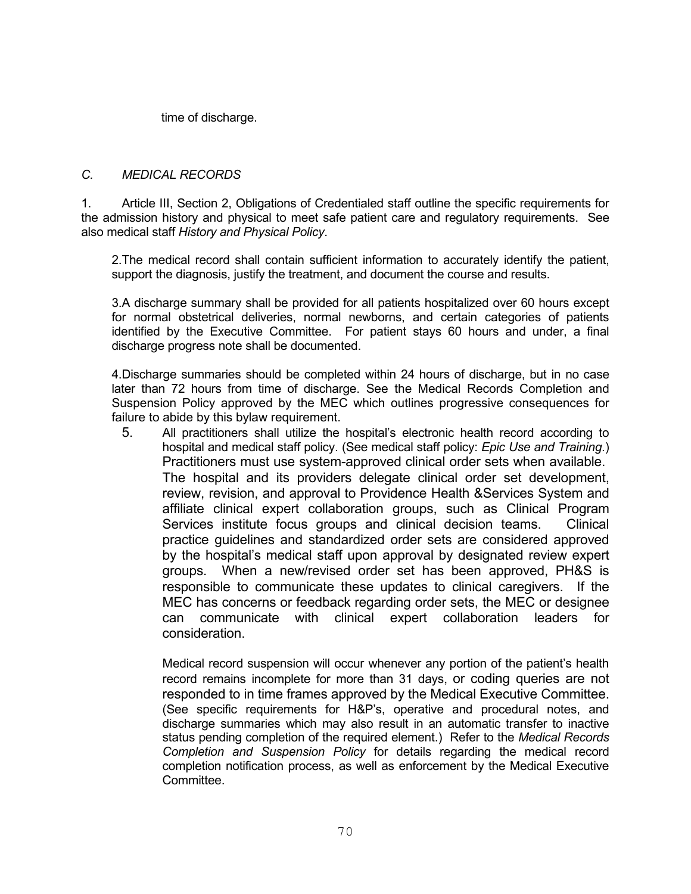time of discharge.

# *C. MEDICAL RECORDS*

1. Article III, Section 2, Obligations of Credentialed staff outline the specific requirements for the admission history and physical to meet safe patient care and regulatory requirements. See also medical staff *History and Physical Policy*.

2.The medical record shall contain sufficient information to accurately identify the patient, support the diagnosis, justify the treatment, and document the course and results.

3.A discharge summary shall be provided for all patients hospitalized over 60 hours except for normal obstetrical deliveries, normal newborns, and certain categories of patients identified by the Executive Committee. For patient stays 60 hours and under, a final discharge progress note shall be documented.

4.Discharge summaries should be completed within 24 hours of discharge, but in no case later than 72 hours from time of discharge. See the Medical Records Completion and Suspension Policy approved by the MEC which outlines progressive consequences for failure to abide by this bylaw requirement.

5. All practitioners shall utilize the hospital's electronic health record according to hospital and medical staff policy. (See medical staff policy: *Epic Use and Training*.) Practitioners must use system-approved clinical order sets when available. The hospital and its providers delegate clinical order set development, review, revision, and approval to Providence Health &Services System and affiliate clinical expert collaboration groups, such as Clinical Program Services institute focus groups and clinical decision teams. Clinical practice guidelines and standardized order sets are considered approved by the hospital's medical staff upon approval by designated review expert groups. When a new/revised order set has been approved, PH&S is responsible to communicate these updates to clinical caregivers. If the MEC has concerns or feedback regarding order sets, the MEC or designee can communicate with clinical expert collaboration leaders for consideration.

Medical record suspension will occur whenever any portion of the patient's health record remains incomplete for more than 31 days, or coding queries are not responded to in time frames approved by the Medical Executive Committee. (See specific requirements for H&P's, operative and procedural notes, and discharge summaries which may also result in an automatic transfer to inactive status pending completion of the required element.) Refer to the *Medical Records Completion and Suspension Policy* for details regarding the medical record completion notification process, as well as enforcement by the Medical Executive Committee.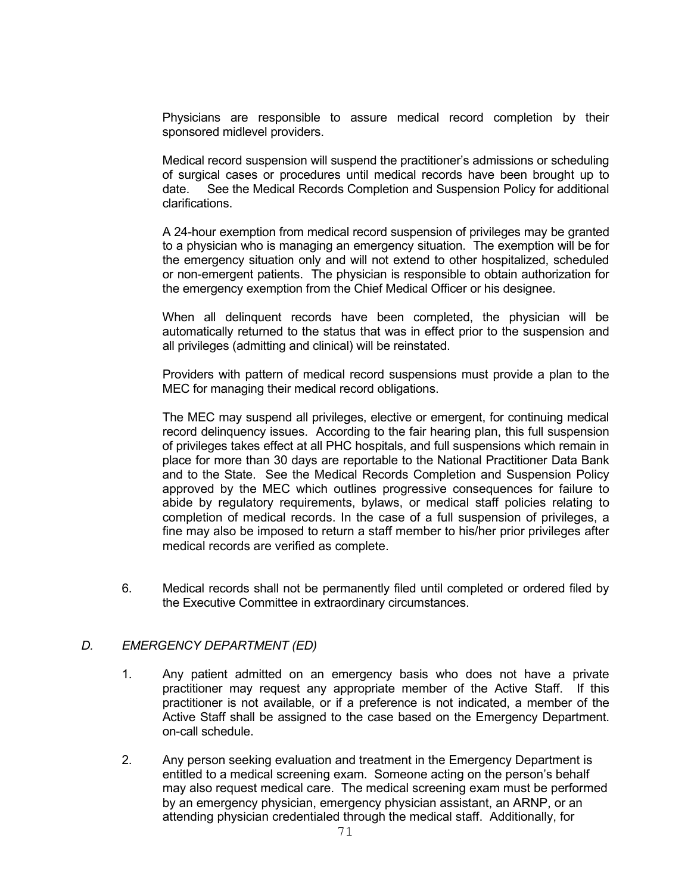Physicians are responsible to assure medical record completion by their sponsored midlevel providers.

Medical record suspension will suspend the practitioner's admissions or scheduling of surgical cases or procedures until medical records have been brought up to date. See the Medical Records Completion and Suspension Policy for additional clarifications.

A 24-hour exemption from medical record suspension of privileges may be granted to a physician who is managing an emergency situation. The exemption will be for the emergency situation only and will not extend to other hospitalized, scheduled or non-emergent patients. The physician is responsible to obtain authorization for the emergency exemption from the Chief Medical Officer or his designee.

When all delinquent records have been completed, the physician will be automatically returned to the status that was in effect prior to the suspension and all privileges (admitting and clinical) will be reinstated.

Providers with pattern of medical record suspensions must provide a plan to the MEC for managing their medical record obligations.

The MEC may suspend all privileges, elective or emergent, for continuing medical record delinquency issues. According to the fair hearing plan, this full suspension of privileges takes effect at all PHC hospitals, and full suspensions which remain in place for more than 30 days are reportable to the National Practitioner Data Bank and to the State. See the Medical Records Completion and Suspension Policy approved by the MEC which outlines progressive consequences for failure to abide by regulatory requirements, bylaws, or medical staff policies relating to completion of medical records. In the case of a full suspension of privileges, a fine may also be imposed to return a staff member to his/her prior privileges after medical records are verified as complete.

6. Medical records shall not be permanently filed until completed or ordered filed by the Executive Committee in extraordinary circumstances.

## *D. EMERGENCY DEPARTMENT (ED)*

- 1. Any patient admitted on an emergency basis who does not have a private practitioner may request any appropriate member of the Active Staff. If this practitioner is not available, or if a preference is not indicated, a member of the Active Staff shall be assigned to the case based on the Emergency Department. on-call schedule.
- 2. Any person seeking evaluation and treatment in the Emergency Department is entitled to a medical screening exam. Someone acting on the person's behalf may also request medical care. The medical screening exam must be performed by an emergency physician, emergency physician assistant, an ARNP, or an attending physician credentialed through the medical staff. Additionally, for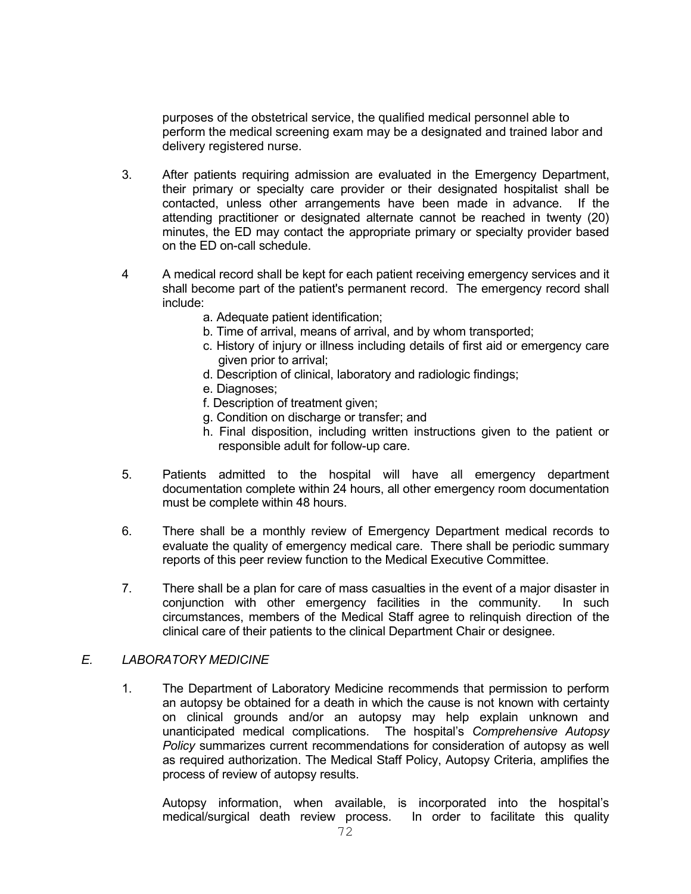purposes of the obstetrical service, the qualified medical personnel able to perform the medical screening exam may be a designated and trained labor and delivery registered nurse.

- 3. After patients requiring admission are evaluated in the Emergency Department, their primary or specialty care provider or their designated hospitalist shall be contacted, unless other arrangements have been made in advance. If the attending practitioner or designated alternate cannot be reached in twenty (20) minutes, the ED may contact the appropriate primary or specialty provider based on the ED on-call schedule.
- 4 A medical record shall be kept for each patient receiving emergency services and it shall become part of the patient's permanent record. The emergency record shall include:
	- a. Adequate patient identification;
	- b. Time of arrival, means of arrival, and by whom transported;
	- c. History of injury or illness including details of first aid or emergency care given prior to arrival;
	- d. Description of clinical, laboratory and radiologic findings;
	- e. Diagnoses;
	- f. Description of treatment given;
	- g. Condition on discharge or transfer; and
	- h. Final disposition, including written instructions given to the patient or responsible adult for follow-up care.
- 5. Patients admitted to the hospital will have all emergency department documentation complete within 24 hours, all other emergency room documentation must be complete within 48 hours.
- 6. There shall be a monthly review of Emergency Department medical records to evaluate the quality of emergency medical care. There shall be periodic summary reports of this peer review function to the Medical Executive Committee.
- 7. There shall be a plan for care of mass casualties in the event of a major disaster in conjunction with other emergency facilities in the community. In such circumstances, members of the Medical Staff agree to relinquish direction of the clinical care of their patients to the clinical Department Chair or designee.

## *E. LABORATORY MEDICINE*

1. The Department of Laboratory Medicine recommends that permission to perform an autopsy be obtained for a death in which the cause is not known with certainty on clinical grounds and/or an autopsy may help explain unknown and unanticipated medical complications. The hospital's *Comprehensive Autopsy Policy* summarizes current recommendations for consideration of autopsy as well as required authorization. The Medical Staff Policy, Autopsy Criteria, amplifies the process of review of autopsy results.

Autopsy information, when available, is incorporated into the hospital's medical/surgical death review process. In order to facilitate this quality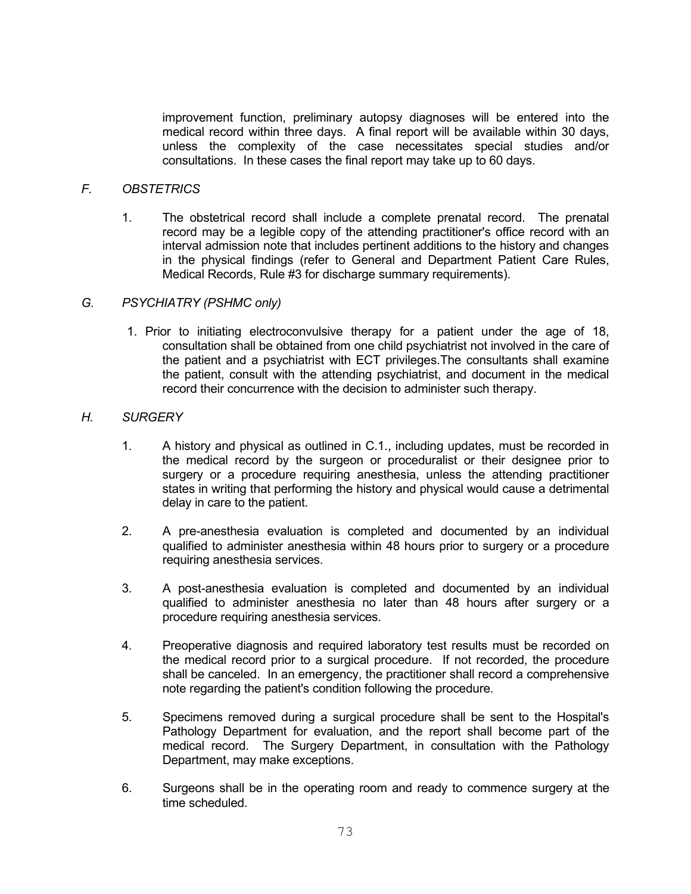improvement function, preliminary autopsy diagnoses will be entered into the medical record within three days. A final report will be available within 30 days, unless the complexity of the case necessitates special studies and/or consultations. In these cases the final report may take up to 60 days.

## *F. OBSTETRICS*

1. The obstetrical record shall include a complete prenatal record. The prenatal record may be a legible copy of the attending practitioner's office record with an interval admission note that includes pertinent additions to the history and changes in the physical findings (refer to General and Department Patient Care Rules, Medical Records, Rule #3 for discharge summary requirements).

#### *G. PSYCHIATRY (PSHMC only)*

1. Prior to initiating electroconvulsive therapy for a patient under the age of 18, consultation shall be obtained from one child psychiatrist not involved in the care of the patient and a psychiatrist with ECT privileges.The consultants shall examine the patient, consult with the attending psychiatrist, and document in the medical record their concurrence with the decision to administer such therapy.

#### *H. SURGERY*

- 1. A history and physical as outlined in C.1., including updates, must be recorded in the medical record by the surgeon or proceduralist or their designee prior to surgery or a procedure requiring anesthesia, unless the attending practitioner states in writing that performing the history and physical would cause a detrimental delay in care to the patient.
- 2. A pre-anesthesia evaluation is completed and documented by an individual qualified to administer anesthesia within 48 hours prior to surgery or a procedure requiring anesthesia services.
- 3. A post-anesthesia evaluation is completed and documented by an individual qualified to administer anesthesia no later than 48 hours after surgery or a procedure requiring anesthesia services.
- 4. Preoperative diagnosis and required laboratory test results must be recorded on the medical record prior to a surgical procedure. If not recorded, the procedure shall be canceled. In an emergency, the practitioner shall record a comprehensive note regarding the patient's condition following the procedure.
- 5. Specimens removed during a surgical procedure shall be sent to the Hospital's Pathology Department for evaluation, and the report shall become part of the medical record. The Surgery Department, in consultation with the Pathology Department, may make exceptions.
- 6. Surgeons shall be in the operating room and ready to commence surgery at the time scheduled.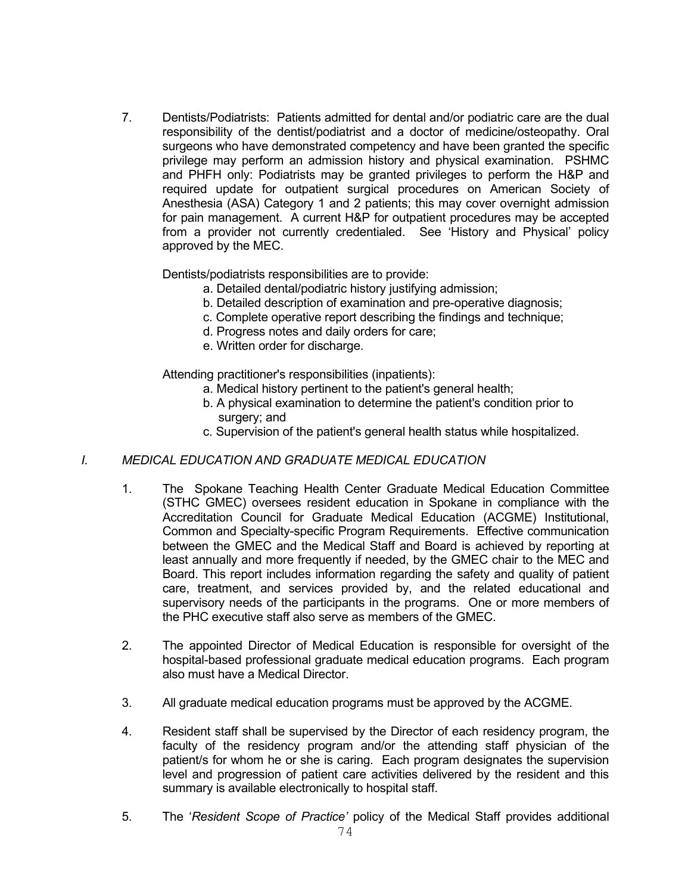7. Dentists/Podiatrists: Patients admitted for dental and/or podiatric care are the dual responsibility of the dentist/podiatrist and a doctor of medicine/osteopathy. Oral surgeons who have demonstrated competency and have been granted the specific privilege may perform an admission history and physical examination. PSHMC and PHFH only: Podiatrists may be granted privileges to perform the H&P and required update for outpatient surgical procedures on American Society of Anesthesia (ASA) Category 1 and 2 patients; this may cover overnight admission for pain management. A current H&P for outpatient procedures may be accepted from a provider not currently credentialed. See 'History and Physical' policy approved by the MEC.

Dentists/podiatrists responsibilities are to provide:

- a. Detailed dental/podiatric history justifying admission;
- b. Detailed description of examination and pre-operative diagnosis;
- c. Complete operative report describing the findings and technique;
- d. Progress notes and daily orders for care;
- e. Written order for discharge.

Attending practitioner's responsibilities (inpatients):

- a. Medical history pertinent to the patient's general health;
- b. A physical examination to determine the patient's condition prior to surgery; and
- c. Supervision of the patient's general health status while hospitalized.

## *I. MEDICAL EDUCATION AND GRADUATE MEDICAL EDUCATION*

- 1. The Spokane Teaching Health Center Graduate Medical Education Committee (STHC GMEC) oversees resident education in Spokane in compliance with the Accreditation Council for Graduate Medical Education (ACGME) Institutional, Common and Specialty-specific Program Requirements. Effective communication between the GMEC and the Medical Staff and Board is achieved by reporting at least annually and more frequently if needed, by the GMEC chair to the MEC and Board. This report includes information regarding the safety and quality of patient care, treatment, and services provided by, and the related educational and supervisory needs of the participants in the programs. One or more members of the PHC executive staff also serve as members of the GMEC.
- 2. The appointed Director of Medical Education is responsible for oversight of the hospital-based professional graduate medical education programs. Each program also must have a Medical Director.
- 3. All graduate medical education programs must be approved by the ACGME.
- 4. Resident staff shall be supervised by the Director of each residency program, the faculty of the residency program and/or the attending staff physician of the patient/s for whom he or she is caring. Each program designates the supervision level and progression of patient care activities delivered by the resident and this summary is available electronically to hospital staff.
- 5. The '*Resident Scope of Practice'* policy of the Medical Staff provides additional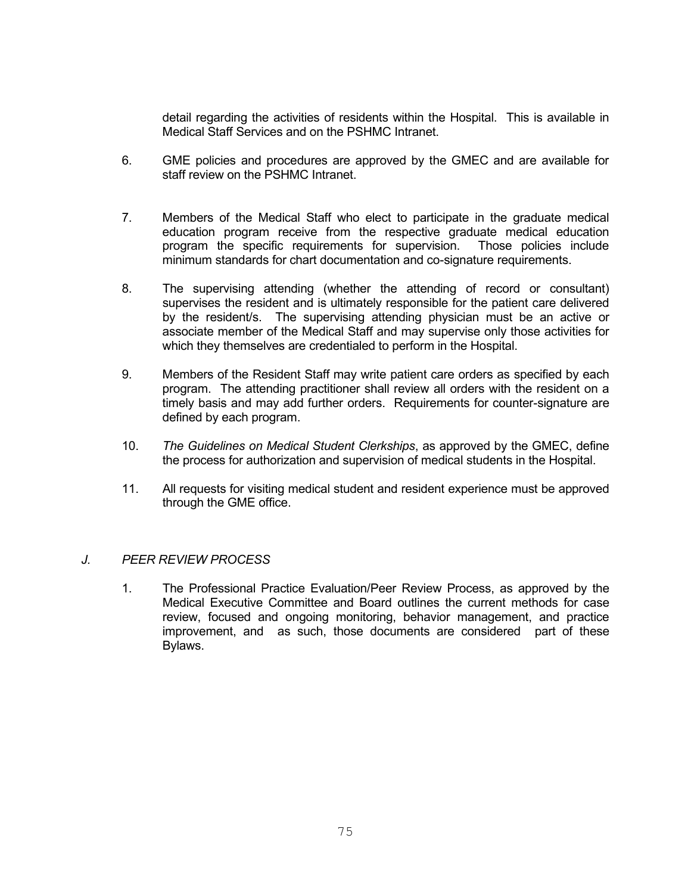detail regarding the activities of residents within the Hospital. This is available in Medical Staff Services and on the PSHMC Intranet.

- 6. GME policies and procedures are approved by the GMEC and are available for staff review on the PSHMC Intranet.
- 7. Members of the Medical Staff who elect to participate in the graduate medical education program receive from the respective graduate medical education program the specific requirements for supervision. Those policies include minimum standards for chart documentation and co-signature requirements.
- 8. The supervising attending (whether the attending of record or consultant) supervises the resident and is ultimately responsible for the patient care delivered by the resident/s. The supervising attending physician must be an active or associate member of the Medical Staff and may supervise only those activities for which they themselves are credentialed to perform in the Hospital.
- 9. Members of the Resident Staff may write patient care orders as specified by each program. The attending practitioner shall review all orders with the resident on a timely basis and may add further orders. Requirements for counter-signature are defined by each program.
- 10. *The Guidelines on Medical Student Clerkships*, as approved by the GMEC, define the process for authorization and supervision of medical students in the Hospital.
- 11. All requests for visiting medical student and resident experience must be approved through the GME office.

#### *J. PEER REVIEW PROCESS*

1. The Professional Practice Evaluation/Peer Review Process, as approved by the Medical Executive Committee and Board outlines the current methods for case review, focused and ongoing monitoring, behavior management, and practice improvement, and as such, those documents are considered part of these Bylaws.